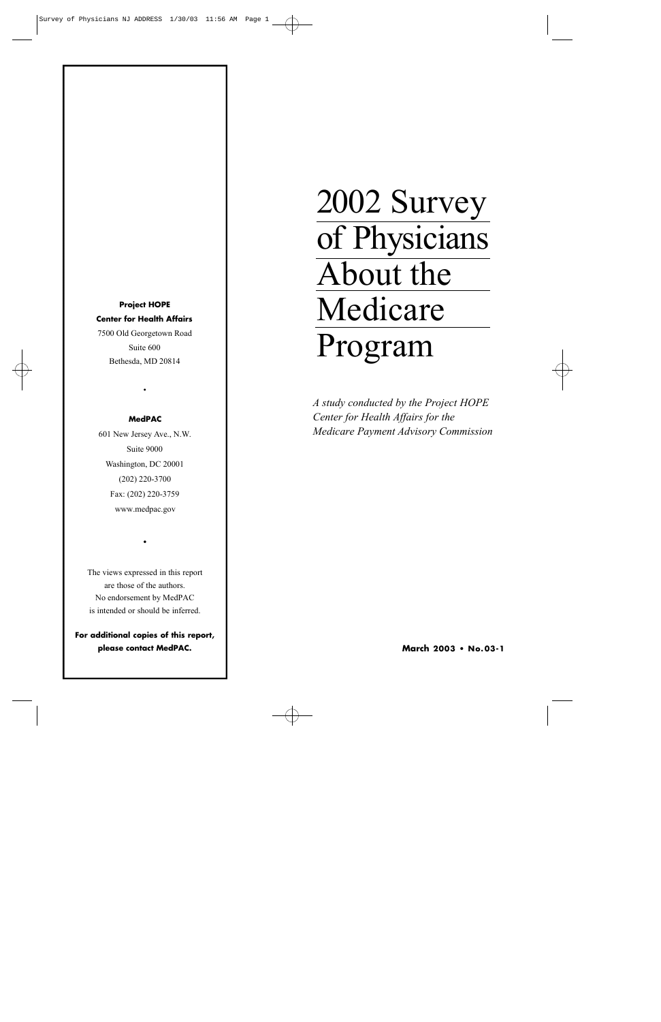**Project HOPE Center for Health Affairs** 7500 Old Georgetown Road Suite 600 Bethesda, MD 20814

#### **MedPAC**

•

601 New Jersey Ave., N.W. Suite 9000 Washington, DC 20001 (202) 220-3700 Fax: (202) 220-3759 www.medpac.gov

The views expressed in this report are those of the authors. No endorsement by MedPAC is intended or should be inferred.

•

**For additional copies of this report, please contact MedPAC.**

# 2002 Survey of Physicians About the Medicare Program

*A study conducted by the Project HOPE Center for Health Affairs for the Medicare Payment Advisory Commission*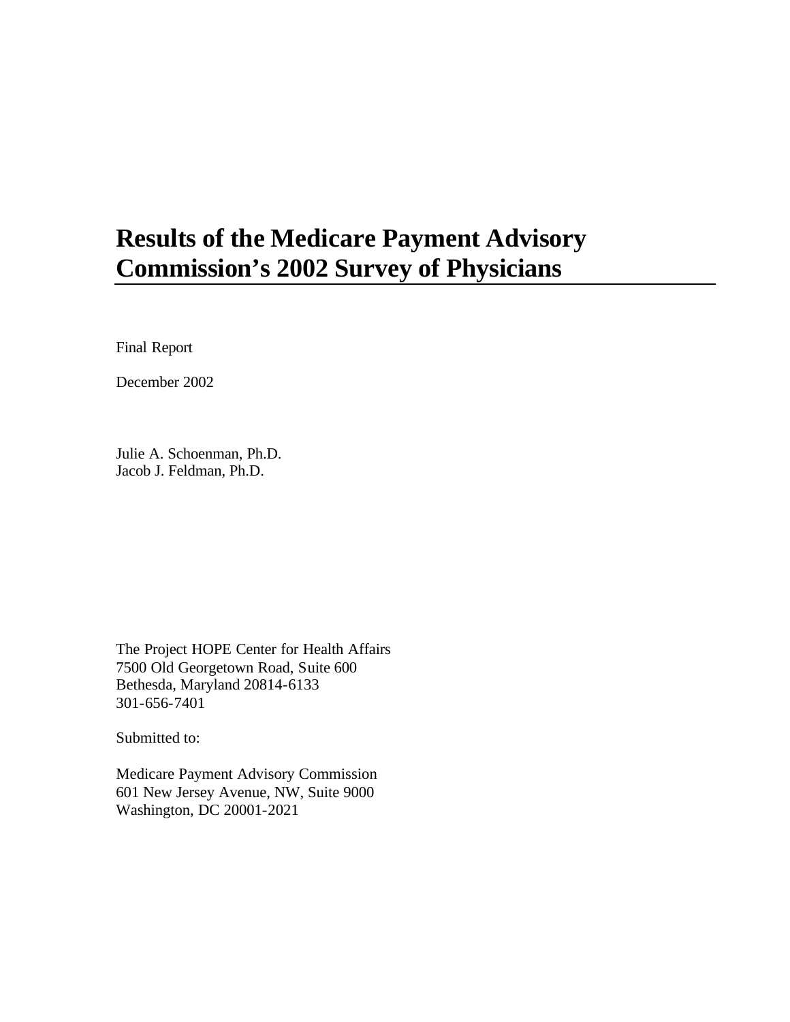## **Results of the Medicare Payment Advisory Commission's 2002 Survey of Physicians**

Final Report

December 2002

Julie A. Schoenman, Ph.D. Jacob J. Feldman, Ph.D.

The Project HOPE Center for Health Affairs 7500 Old Georgetown Road, Suite 600 Bethesda, Maryland 20814-6133 301-656-7401

Submitted to:

Medicare Payment Advisory Commission 601 New Jersey Avenue, NW, Suite 9000 Washington, DC 20001-2021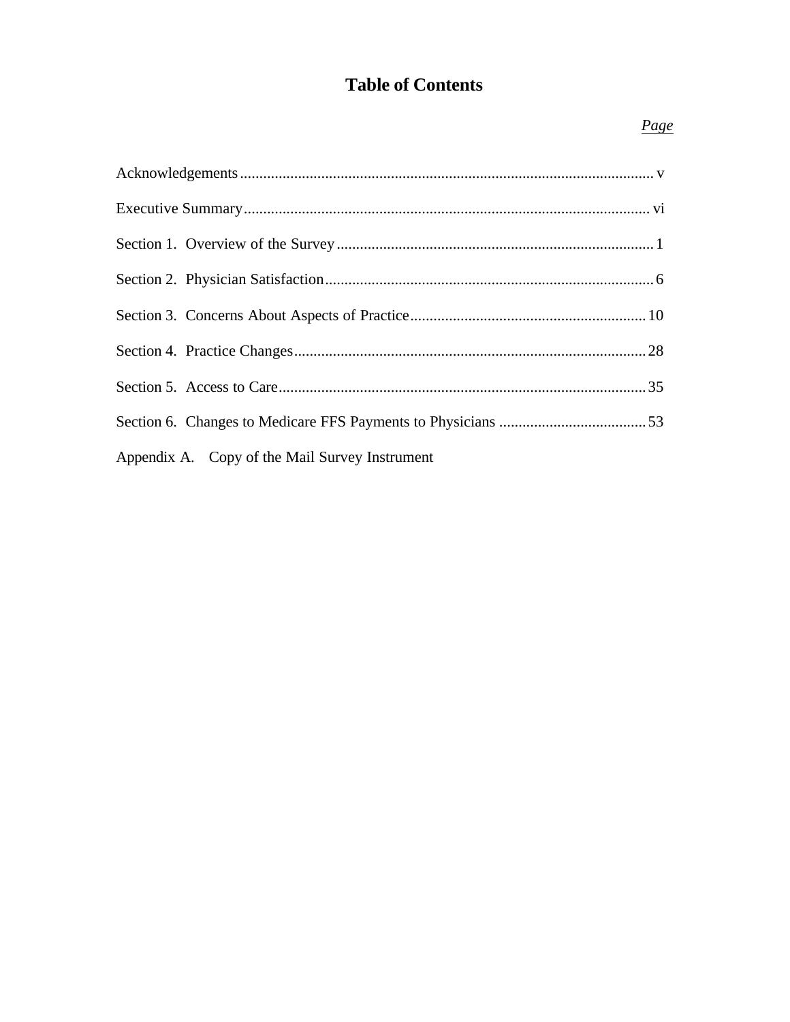## **Table of Contents**

### Page

| Appendix A. Copy of the Mail Survey Instrument |  |
|------------------------------------------------|--|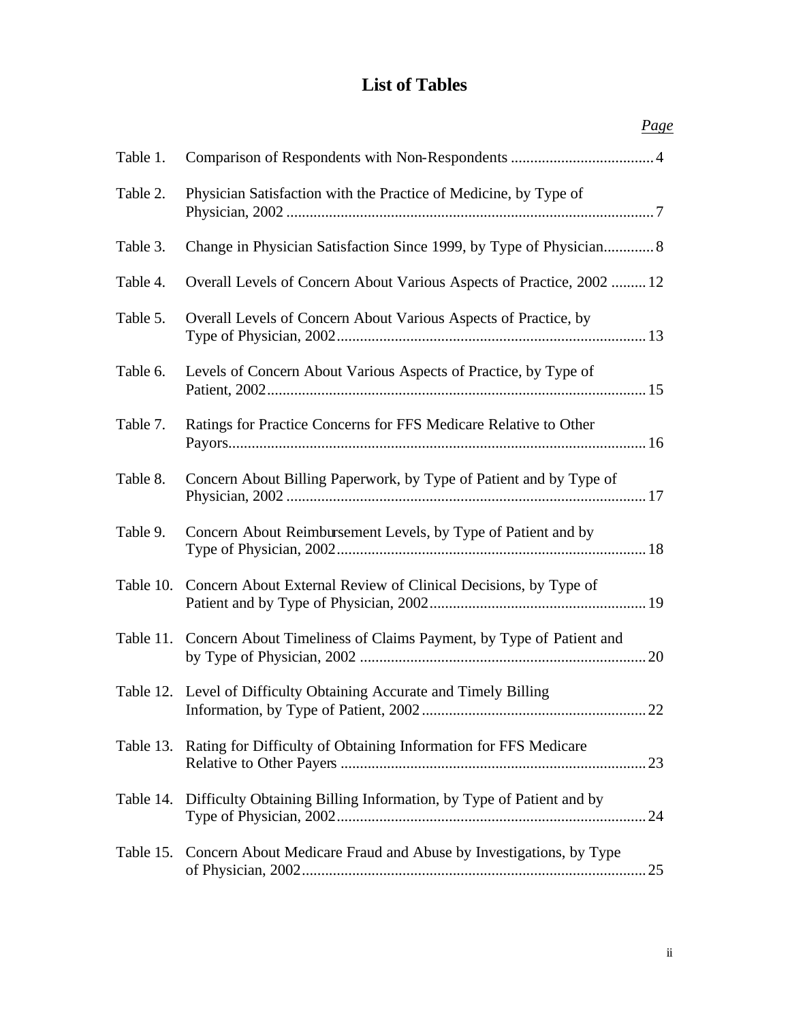## **List of Tables**

|           | <u>Page</u>                                                                   |
|-----------|-------------------------------------------------------------------------------|
| Table 1.  |                                                                               |
| Table 2.  | Physician Satisfaction with the Practice of Medicine, by Type of              |
| Table 3.  | Change in Physician Satisfaction Since 1999, by Type of Physician 8           |
| Table 4.  | Overall Levels of Concern About Various Aspects of Practice, 2002  12         |
| Table 5.  | Overall Levels of Concern About Various Aspects of Practice, by               |
| Table 6.  | Levels of Concern About Various Aspects of Practice, by Type of               |
| Table 7.  | Ratings for Practice Concerns for FFS Medicare Relative to Other              |
| Table 8.  | Concern About Billing Paperwork, by Type of Patient and by Type of            |
| Table 9.  | Concern About Reimbursement Levels, by Type of Patient and by                 |
| Table 10. | Concern About External Review of Clinical Decisions, by Type of               |
|           | Table 11. Concern About Timeliness of Claims Payment, by Type of Patient and  |
|           | Table 12. Level of Difficulty Obtaining Accurate and Timely Billing           |
|           | Table 13. Rating for Difficulty of Obtaining Information for FFS Medicare     |
|           | Table 14. Difficulty Obtaining Billing Information, by Type of Patient and by |
| Table 15. | Concern About Medicare Fraud and Abuse by Investigations, by Type             |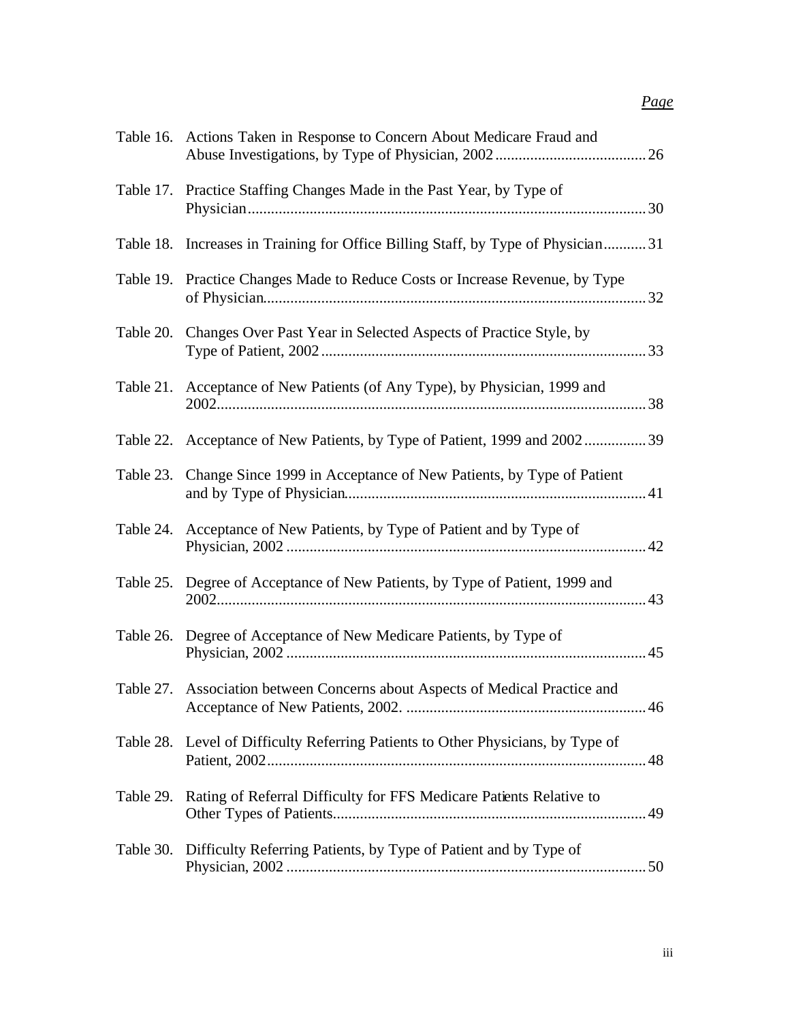## *Page*

|           | Table 16. Actions Taken in Response to Concern About Medicare Fraud and          |  |
|-----------|----------------------------------------------------------------------------------|--|
|           | Table 17. Practice Staffing Changes Made in the Past Year, by Type of            |  |
|           | Table 18. Increases in Training for Office Billing Staff, by Type of Physician31 |  |
|           | Table 19. Practice Changes Made to Reduce Costs or Increase Revenue, by Type     |  |
|           | Table 20. Changes Over Past Year in Selected Aspects of Practice Style, by       |  |
|           | Table 21. Acceptance of New Patients (of Any Type), by Physician, 1999 and       |  |
|           | Table 22. Acceptance of New Patients, by Type of Patient, 1999 and 2002 39       |  |
|           | Table 23. Change Since 1999 in Acceptance of New Patients, by Type of Patient    |  |
|           | Table 24. Acceptance of New Patients, by Type of Patient and by Type of          |  |
|           | Table 25. Degree of Acceptance of New Patients, by Type of Patient, 1999 and     |  |
| Table 26. | Degree of Acceptance of New Medicare Patients, by Type of                        |  |
|           | Table 27. Association between Concerns about Aspects of Medical Practice and     |  |
|           | Table 28. Level of Difficulty Referring Patients to Other Physicians, by Type of |  |
| Table 29. | Rating of Referral Difficulty for FFS Medicare Patients Relative to              |  |
|           | Table 30. Difficulty Referring Patients, by Type of Patient and by Type of       |  |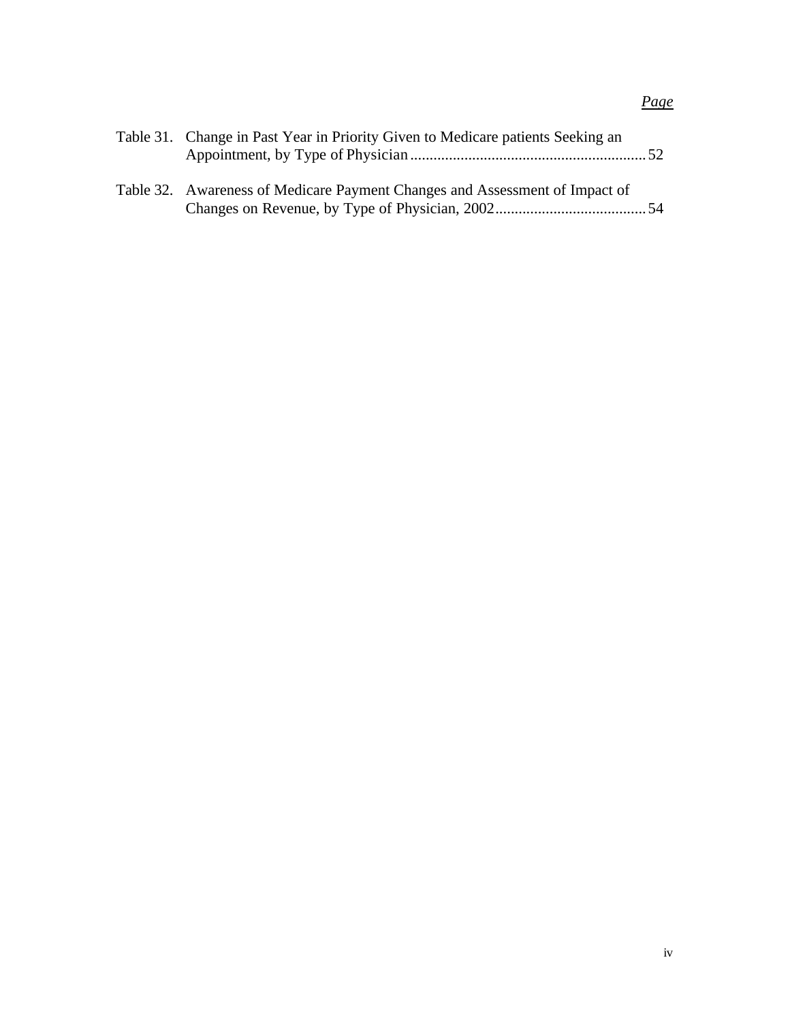| Table 31. Change in Past Year in Priority Given to Medicare patients Seeking an |  |
|---------------------------------------------------------------------------------|--|
| Table 32. Awareness of Medicare Payment Changes and Assessment of Impact of     |  |

## *Page*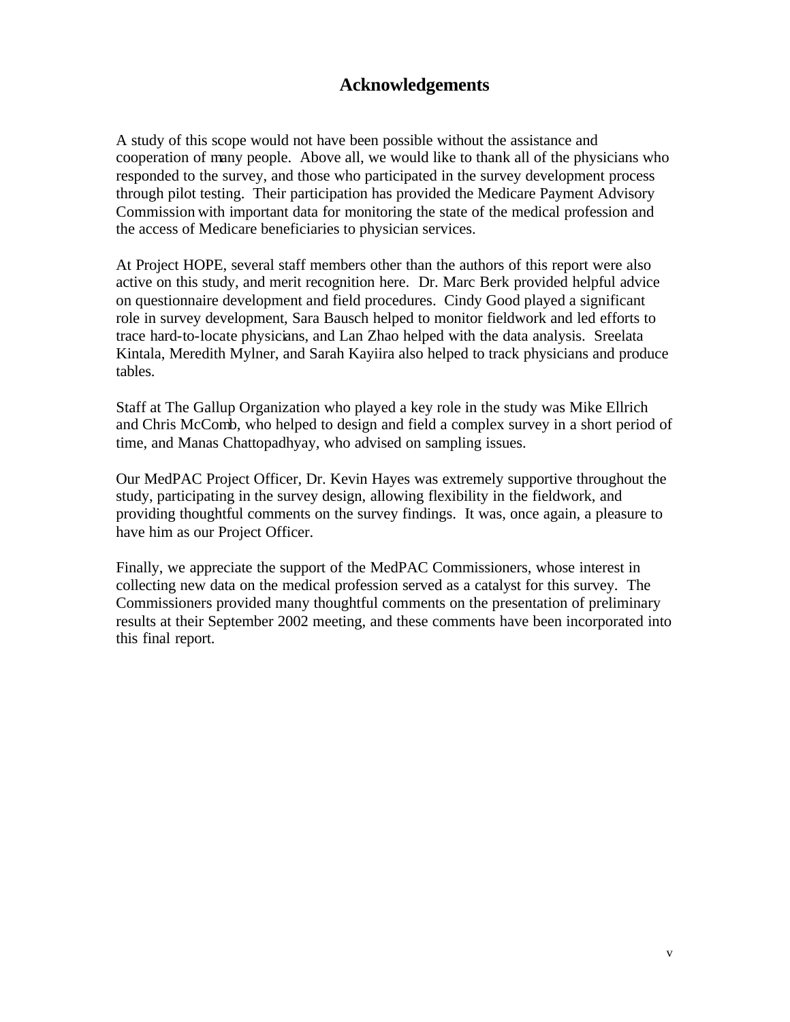## **Acknowledgements**

A study of this scope would not have been possible without the assistance and cooperation of many people. Above all, we would like to thank all of the physicians who responded to the survey, and those who participated in the survey development process through pilot testing. Their participation has provided the Medicare Payment Advisory Commission with important data for monitoring the state of the medical profession and the access of Medicare beneficiaries to physician services.

At Project HOPE, several staff members other than the authors of this report were also active on this study, and merit recognition here. Dr. Marc Berk provided helpful advice on questionnaire development and field procedures. Cindy Good played a significant role in survey development, Sara Bausch helped to monitor fieldwork and led efforts to trace hard-to-locate physicians, and Lan Zhao helped with the data analysis. Sreelata Kintala, Meredith Mylner, and Sarah Kayiira also helped to track physicians and produce tables.

Staff at The Gallup Organization who played a key role in the study was Mike Ellrich and Chris McComb, who helped to design and field a complex survey in a short period of time, and Manas Chattopadhyay, who advised on sampling issues.

Our MedPAC Project Officer, Dr. Kevin Hayes was extremely supportive throughout the study, participating in the survey design, allowing flexibility in the fieldwork, and providing thoughtful comments on the survey findings. It was, once again, a pleasure to have him as our Project Officer.

Finally, we appreciate the support of the MedPAC Commissioners, whose interest in collecting new data on the medical profession served as a catalyst for this survey. The Commissioners provided many thoughtful comments on the presentation of preliminary results at their September 2002 meeting, and these comments have been incorporated into this final report.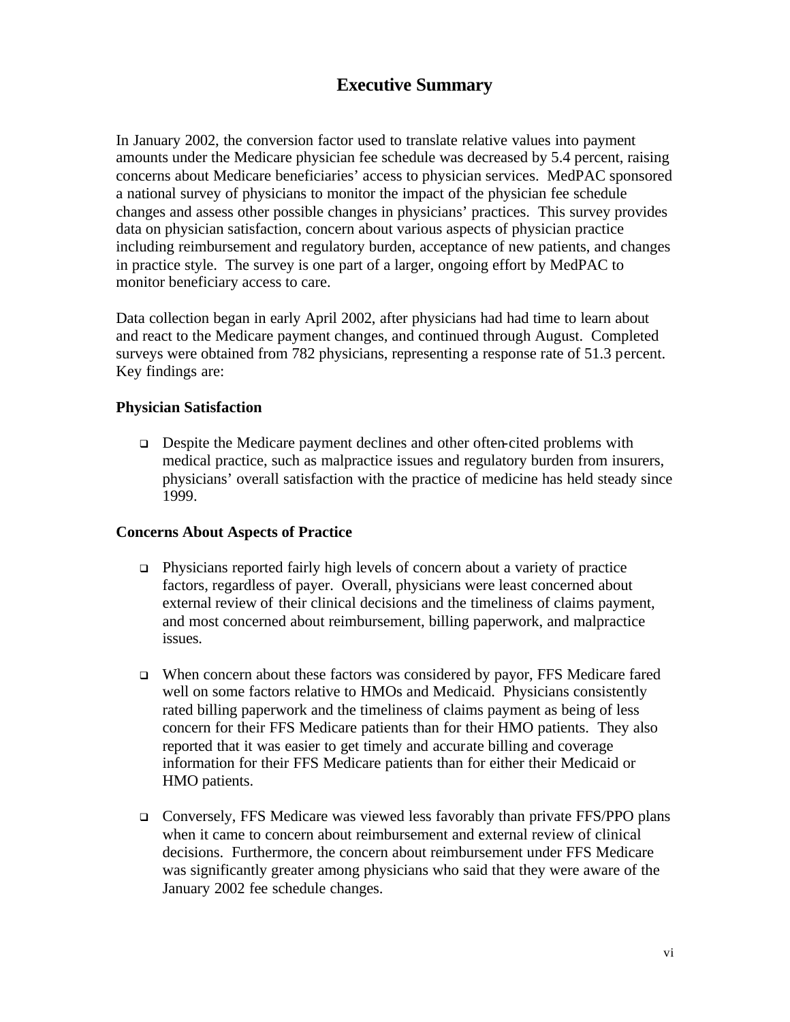## **Executive Summary**

In January 2002, the conversion factor used to translate relative values into payment amounts under the Medicare physician fee schedule was decreased by 5.4 percent, raising concerns about Medicare beneficiaries' access to physician services. MedPAC sponsored a national survey of physicians to monitor the impact of the physician fee schedule changes and assess other possible changes in physicians' practices. This survey provides data on physician satisfaction, concern about various aspects of physician practice including reimbursement and regulatory burden, acceptance of new patients, and changes in practice style. The survey is one part of a larger, ongoing effort by MedPAC to monitor beneficiary access to care.

Data collection began in early April 2002, after physicians had had time to learn about and react to the Medicare payment changes, and continued through August. Completed surveys were obtained from 782 physicians, representing a response rate of 51.3 percent. Key findings are:

#### **Physician Satisfaction**

 $\Box$  Despite the Medicare payment declines and other often-cited problems with medical practice, such as malpractice issues and regulatory burden from insurers, physicians' overall satisfaction with the practice of medicine has held steady since 1999.

#### **Concerns About Aspects of Practice**

- $\Box$  Physicians reported fairly high levels of concern about a variety of practice factors, regardless of payer. Overall, physicians were least concerned about external review of their clinical decisions and the timeliness of claims payment, and most concerned about reimbursement, billing paperwork, and malpractice issues.
- <sup>q</sup> When concern about these factors was considered by payor, FFS Medicare fared well on some factors relative to HMOs and Medicaid. Physicians consistently rated billing paperwork and the timeliness of claims payment as being of less concern for their FFS Medicare patients than for their HMO patients. They also reported that it was easier to get timely and accurate billing and coverage information for their FFS Medicare patients than for either their Medicaid or HMO patients.
- <sup>q</sup> Conversely, FFS Medicare was viewed less favorably than private FFS/PPO plans when it came to concern about reimbursement and external review of clinical decisions. Furthermore, the concern about reimbursement under FFS Medicare was significantly greater among physicians who said that they were aware of the January 2002 fee schedule changes.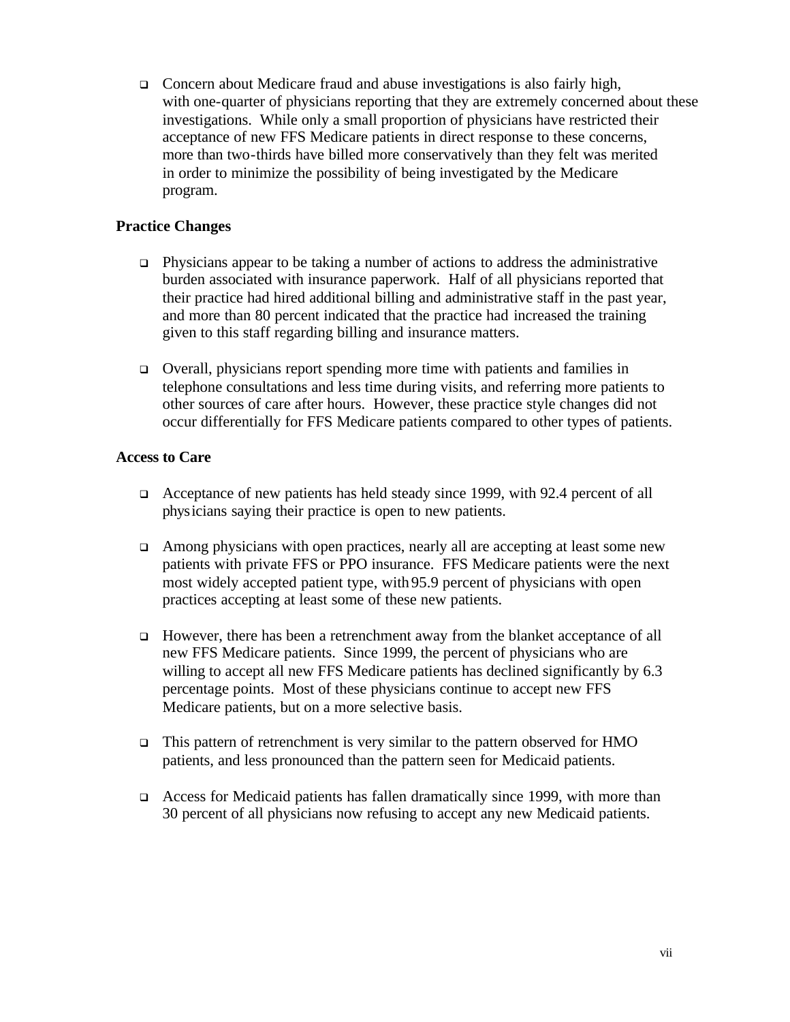$\Box$  Concern about Medicare fraud and abuse investigations is also fairly high, with one-quarter of physicians reporting that they are extremely concerned about these investigations. While only a small proportion of physicians have restricted their acceptance of new FFS Medicare patients in direct response to these concerns, more than two-thirds have billed more conservatively than they felt was merited in order to minimize the possibility of being investigated by the Medicare program.

#### **Practice Changes**

- $\Box$  Physicians appear to be taking a number of actions to address the administrative burden associated with insurance paperwork. Half of all physicians reported that their practice had hired additional billing and administrative staff in the past year, and more than 80 percent indicated that the practice had increased the training given to this staff regarding billing and insurance matters.
- <sup>q</sup> Overall, physicians report spending more time with patients and families in telephone consultations and less time during visits, and referring more patients to other sources of care after hours. However, these practice style changes did not occur differentially for FFS Medicare patients compared to other types of patients.

#### **Access to Care**

- <sup>q</sup> Acceptance of new patients has held steady since 1999, with 92.4 percent of all physicians saying their practice is open to new patients.
- $\Box$  Among physicians with open practices, nearly all are accepting at least some new patients with private FFS or PPO insurance. FFS Medicare patients were the next most widely accepted patient type, with 95.9 percent of physicians with open practices accepting at least some of these new patients.
- <sup>q</sup> However, there has been a retrenchment away from the blanket acceptance of all new FFS Medicare patients. Since 1999, the percent of physicians who are willing to accept all new FFS Medicare patients has declined significantly by 6.3 percentage points. Most of these physicians continue to accept new FFS Medicare patients, but on a more selective basis.
- $\Box$  This pattern of retrenchment is very similar to the pattern observed for HMO patients, and less pronounced than the pattern seen for Medicaid patients.
- <sup>q</sup> Access for Medicaid patients has fallen dramatically since 1999, with more than 30 percent of all physicians now refusing to accept any new Medicaid patients.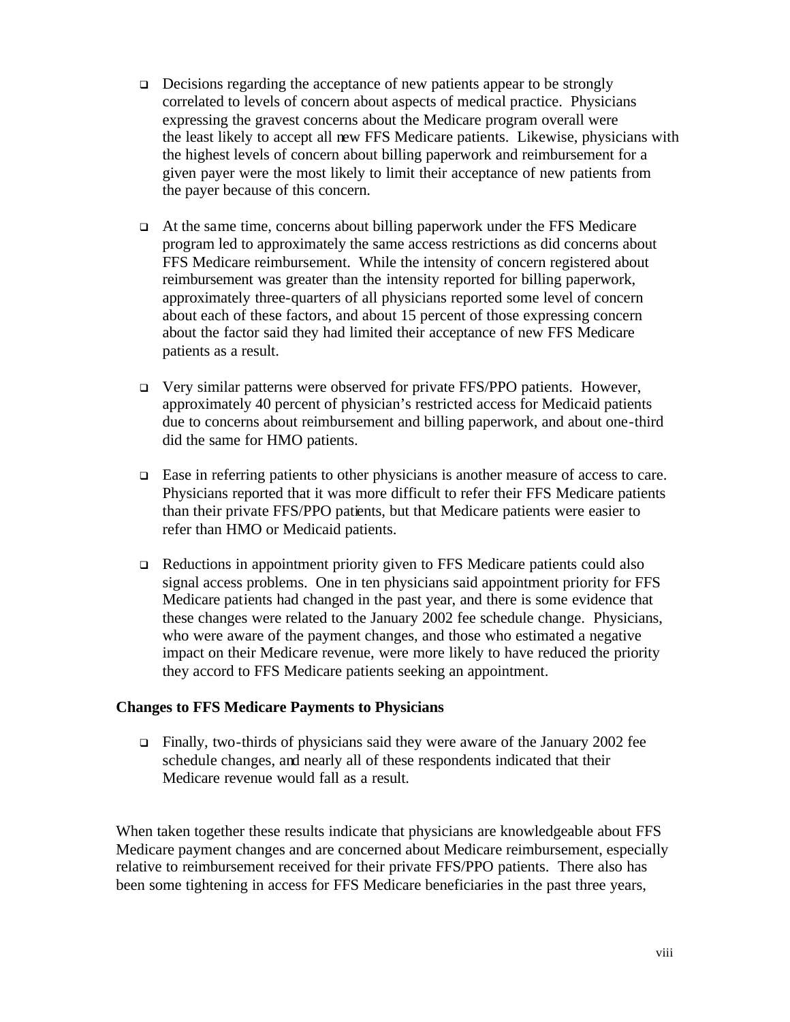- $\Box$  Decisions regarding the acceptance of new patients appear to be strongly correlated to levels of concern about aspects of medical practice. Physicians expressing the gravest concerns about the Medicare program overall were the least likely to accept all new FFS Medicare patients. Likewise, physicians with the highest levels of concern about billing paperwork and reimbursement for a given payer were the most likely to limit their acceptance of new patients from the payer because of this concern.
- <sup>q</sup> At the same time, concerns about billing paperwork under the FFS Medicare program led to approximately the same access restrictions as did concerns about FFS Medicare reimbursement. While the intensity of concern registered about reimbursement was greater than the intensity reported for billing paperwork, approximately three-quarters of all physicians reported some level of concern about each of these factors, and about 15 percent of those expressing concern about the factor said they had limited their acceptance of new FFS Medicare patients as a result.
- <sup>q</sup> Very similar patterns were observed for private FFS/PPO patients. However, approximately 40 percent of physician's restricted access for Medicaid patients due to concerns about reimbursement and billing paperwork, and about one-third did the same for HMO patients.
- $\Box$  Ease in referring patients to other physicians is another measure of access to care. Physicians reported that it was more difficult to refer their FFS Medicare patients than their private FFS/PPO patients, but that Medicare patients were easier to refer than HMO or Medicaid patients.
- $\Box$  Reductions in appointment priority given to FFS Medicare patients could also signal access problems. One in ten physicians said appointment priority for FFS Medicare patients had changed in the past year, and there is some evidence that these changes were related to the January 2002 fee schedule change. Physicians, who were aware of the payment changes, and those who estimated a negative impact on their Medicare revenue, were more likely to have reduced the priority they accord to FFS Medicare patients seeking an appointment.

#### **Changes to FFS Medicare Payments to Physicians**

 $\Box$  Finally, two-thirds of physicians said they were aware of the January 2002 fee schedule changes, and nearly all of these respondents indicated that their Medicare revenue would fall as a result.

When taken together these results indicate that physicians are knowledgeable about FFS Medicare payment changes and are concerned about Medicare reimbursement, especially relative to reimbursement received for their private FFS/PPO patients. There also has been some tightening in access for FFS Medicare beneficiaries in the past three years,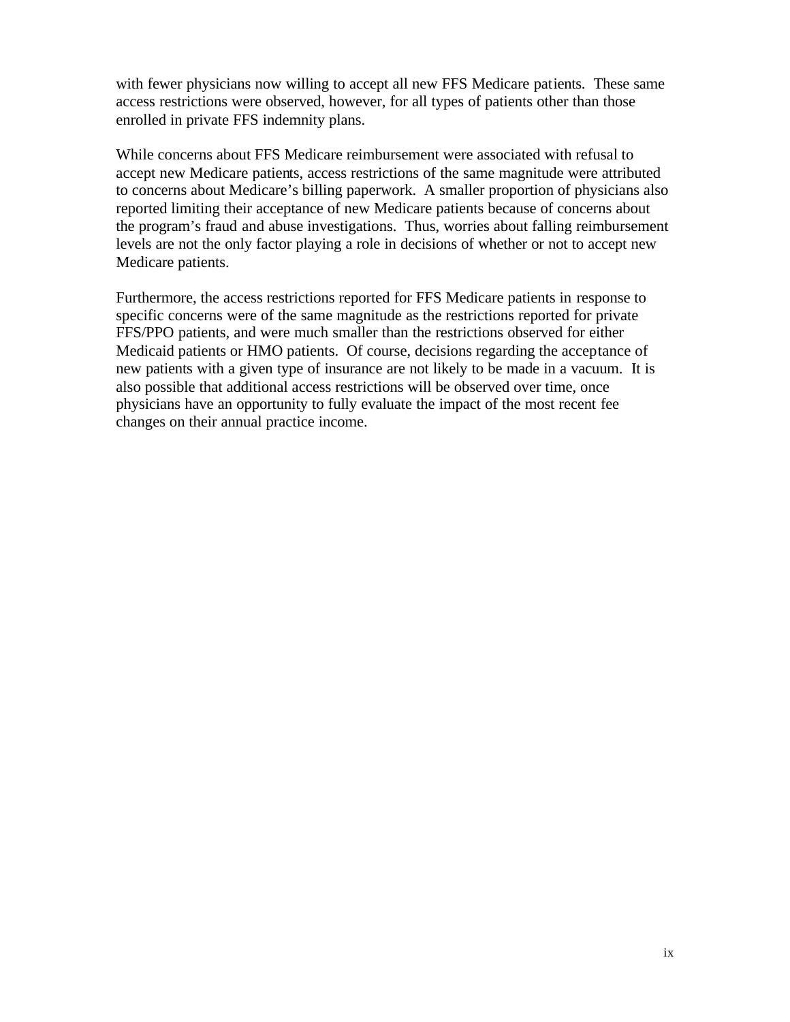with fewer physicians now willing to accept all new FFS Medicare patients. These same access restrictions were observed, however, for all types of patients other than those enrolled in private FFS indemnity plans.

While concerns about FFS Medicare reimbursement were associated with refusal to accept new Medicare patients, access restrictions of the same magnitude were attributed to concerns about Medicare's billing paperwork. A smaller proportion of physicians also reported limiting their acceptance of new Medicare patients because of concerns about the program's fraud and abuse investigations. Thus, worries about falling reimbursement levels are not the only factor playing a role in decisions of whether or not to accept new Medicare patients.

Furthermore, the access restrictions reported for FFS Medicare patients in response to specific concerns were of the same magnitude as the restrictions reported for private FFS/PPO patients, and were much smaller than the restrictions observed for either Medicaid patients or HMO patients. Of course, decisions regarding the acceptance of new patients with a given type of insurance are not likely to be made in a vacuum. It is also possible that additional access restrictions will be observed over time, once physicians have an opportunity to fully evaluate the impact of the most recent fee changes on their annual practice income.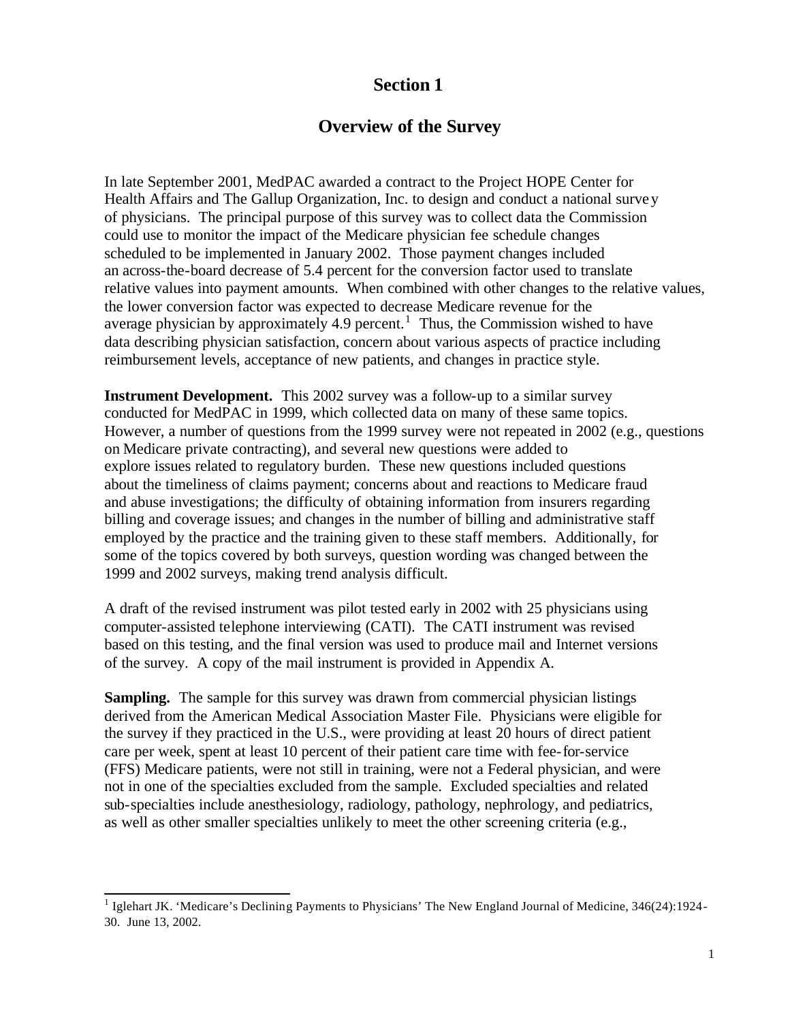## **Section 1**

## **Overview of the Survey**

In late September 2001, MedPAC awarded a contract to the Project HOPE Center for Health Affairs and The Gallup Organization, Inc. to design and conduct a national survey of physicians. The principal purpose of this survey was to collect data the Commission could use to monitor the impact of the Medicare physician fee schedule changes scheduled to be implemented in January 2002. Those payment changes included an across-the-board decrease of 5.4 percent for the conversion factor used to translate relative values into payment amounts. When combined with other changes to the relative values, the lower conversion factor was expected to decrease Medicare revenue for the average physician by approximately 4.9 percent.<sup>1</sup> Thus, the Commission wished to have data describing physician satisfaction, concern about various aspects of practice including reimbursement levels, acceptance of new patients, and changes in practice style.

**Instrument Development.** This 2002 survey was a follow-up to a similar survey conducted for MedPAC in 1999, which collected data on many of these same topics. However, a number of questions from the 1999 survey were not repeated in 2002 (e.g., questions on Medicare private contracting), and several new questions were added to explore issues related to regulatory burden. These new questions included questions about the timeliness of claims payment; concerns about and reactions to Medicare fraud and abuse investigations; the difficulty of obtaining information from insurers regarding billing and coverage issues; and changes in the number of billing and administrative staff employed by the practice and the training given to these staff members. Additionally, for some of the topics covered by both surveys, question wording was changed between the 1999 and 2002 surveys, making trend analysis difficult.

A draft of the revised instrument was pilot tested early in 2002 with 25 physicians using computer-assisted telephone interviewing (CATI). The CATI instrument was revised based on this testing, and the final version was used to produce mail and Internet versions of the survey. A copy of the mail instrument is provided in Appendix A.

**Sampling.** The sample for this survey was drawn from commercial physician listings derived from the American Medical Association Master File. Physicians were eligible for the survey if they practiced in the U.S., were providing at least 20 hours of direct patient care per week, spent at least 10 percent of their patient care time with fee-for-service (FFS) Medicare patients, were not still in training, were not a Federal physician, and were not in one of the specialties excluded from the sample. Excluded specialties and related sub-specialties include anesthesiology, radiology, pathology, nephrology, and pediatrics, as well as other smaller specialties unlikely to meet the other screening criteria (e.g.,

 1 Iglehart JK. 'Medicare's Declining Payments to Physicians' The New England Journal of Medicine, 346(24):1924- 30. June 13, 2002.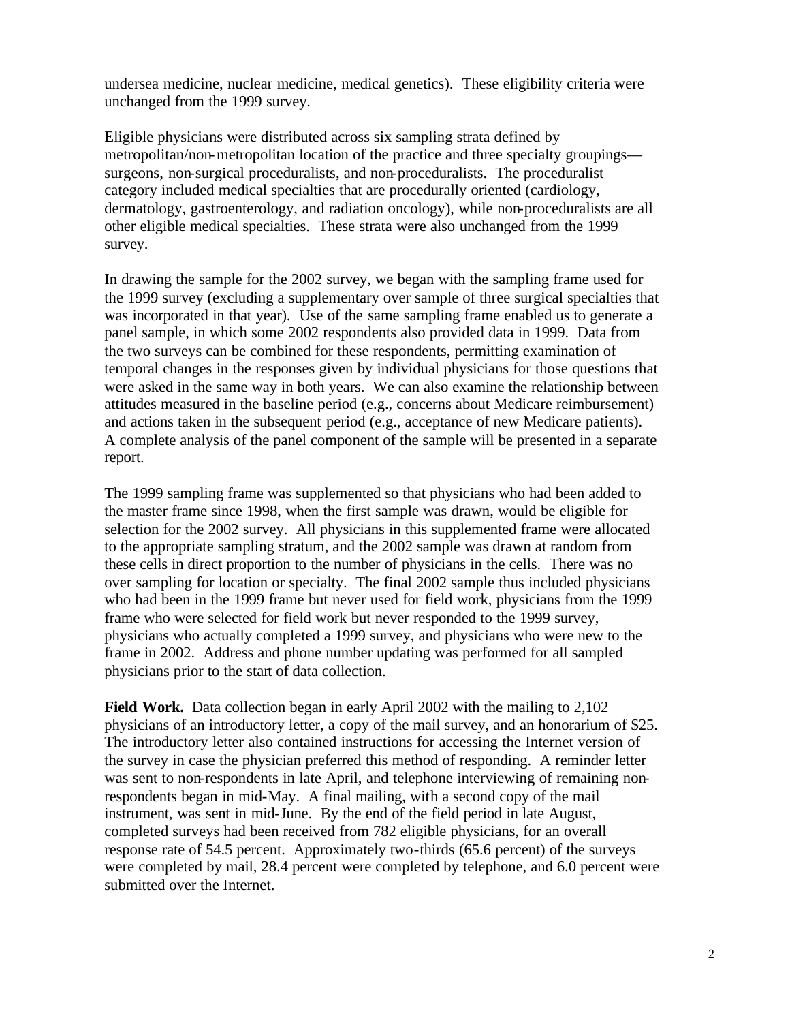undersea medicine, nuclear medicine, medical genetics). These eligibility criteria were unchanged from the 1999 survey.

Eligible physicians were distributed across six sampling strata defined by metropolitan/non-metropolitan location of the practice and three specialty groupings surgeons, non-surgical proceduralists, and non-proceduralists. The proceduralist category included medical specialties that are procedurally oriented (cardiology, dermatology, gastroenterology, and radiation oncology), while non-proceduralists are all other eligible medical specialties. These strata were also unchanged from the 1999 survey.

In drawing the sample for the 2002 survey, we began with the sampling frame used for the 1999 survey (excluding a supplementary over sample of three surgical specialties that was incorporated in that year). Use of the same sampling frame enabled us to generate a panel sample, in which some 2002 respondents also provided data in 1999. Data from the two surveys can be combined for these respondents, permitting examination of temporal changes in the responses given by individual physicians for those questions that were asked in the same way in both years. We can also examine the relationship between attitudes measured in the baseline period (e.g., concerns about Medicare reimbursement) and actions taken in the subsequent period (e.g., acceptance of new Medicare patients). A complete analysis of the panel component of the sample will be presented in a separate report.

The 1999 sampling frame was supplemented so that physicians who had been added to the master frame since 1998, when the first sample was drawn, would be eligible for selection for the 2002 survey. All physicians in this supplemented frame were allocated to the appropriate sampling stratum, and the 2002 sample was drawn at random from these cells in direct proportion to the number of physicians in the cells. There was no over sampling for location or specialty. The final 2002 sample thus included physicians who had been in the 1999 frame but never used for field work, physicians from the 1999 frame who were selected for field work but never responded to the 1999 survey, physicians who actually completed a 1999 survey, and physicians who were new to the frame in 2002. Address and phone number updating was performed for all sampled physicians prior to the start of data collection.

**Field Work.** Data collection began in early April 2002 with the mailing to 2,102 physicians of an introductory letter, a copy of the mail survey, and an honorarium of \$25. The introductory letter also contained instructions for accessing the Internet version of the survey in case the physician preferred this method of responding. A reminder letter was sent to non-respondents in late April, and telephone interviewing of remaining nonrespondents began in mid-May. A final mailing, with a second copy of the mail instrument, was sent in mid-June. By the end of the field period in late August, completed surveys had been received from 782 eligible physicians, for an overall response rate of 54.5 percent. Approximately two-thirds (65.6 percent) of the surveys were completed by mail, 28.4 percent were completed by telephone, and 6.0 percent were submitted over the Internet.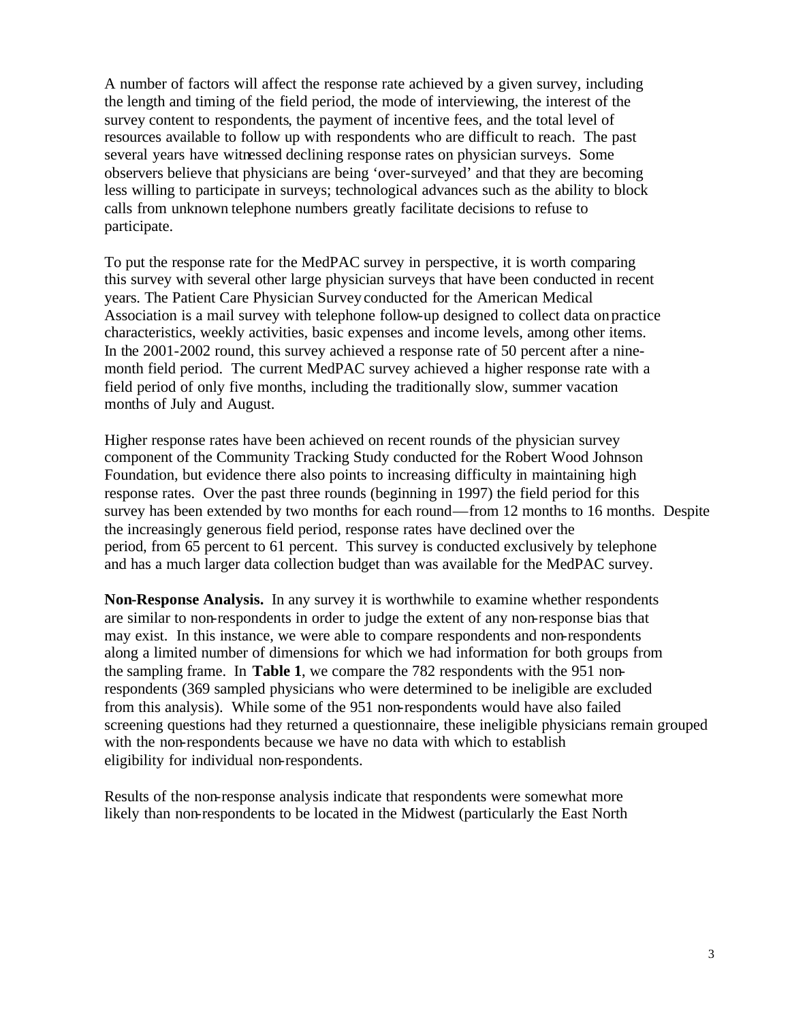A number of factors will affect the response rate achieved by a given survey, including the length and timing of the field period, the mode of interviewing, the interest of the survey content to respondents, the payment of incentive fees, and the total level of resources available to follow up with respondents who are difficult to reach. The past several years have witnessed declining response rates on physician surveys. Some observers believe that physicians are being 'over-surveyed' and that they are becoming less willing to participate in surveys; technological advances such as the ability to block calls from unknown telephone numbers greatly facilitate decisions to refuse to participate.

To put the response rate for the MedPAC survey in perspective, it is worth comparing this survey with several other large physician surveys that have been conducted in recent years. The Patient Care Physician Survey conducted for the American Medical Association is a mail survey with telephone follow-up designed to collect data on practice characteristics, weekly activities, basic expenses and income levels, among other items. In the 2001-2002 round, this survey achieved a response rate of 50 percent after a ninemonth field period. The current MedPAC survey achieved a higher response rate with a field period of only five months, including the traditionally slow, summer vacation months of July and August.

Higher response rates have been achieved on recent rounds of the physician survey component of the Community Tracking Study conducted for the Robert Wood Johnson Foundation, but evidence there also points to increasing difficulty in maintaining high response rates. Over the past three rounds (beginning in 1997) the field period for this survey has been extended by two months for each round—from 12 months to 16 months. Despite the increasingly generous field period, response rates have declined over the period, from 65 percent to 61 percent. This survey is conducted exclusively by telephone and has a much larger data collection budget than was available for the MedPAC survey.

**Non-Response Analysis.** In any survey it is worthwhile to examine whether respondents are similar to non-respondents in order to judge the extent of any non-response bias that may exist. In this instance, we were able to compare respondents and non-respondents along a limited number of dimensions for which we had information for both groups from the sampling frame. In **Table 1**, we compare the 782 respondents with the 951 nonrespondents (369 sampled physicians who were determined to be ineligible are excluded from this analysis). While some of the 951 non-respondents would have also failed screening questions had they returned a questionnaire, these ineligible physicians remain grouped with the non-respondents because we have no data with which to establish eligibility for individual non-respondents.

Results of the non-response analysis indicate that respondents were somewhat more likely than non-respondents to be located in the Midwest (particularly the East North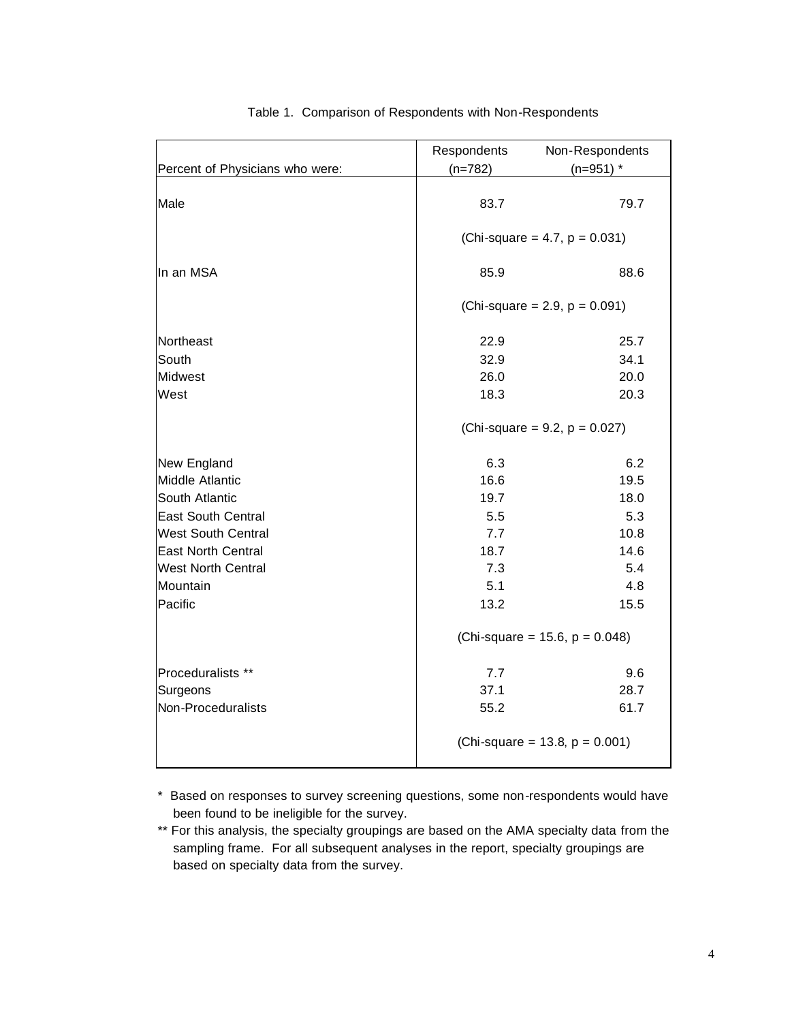|                                 | Respondents | Non-Respondents                     |  |
|---------------------------------|-------------|-------------------------------------|--|
| Percent of Physicians who were: | $(n=782)$   | $(n=951)$ *                         |  |
| Male                            | 83.7        | 79.7                                |  |
|                                 |             | (Chi-square = 4.7, $p = 0.031$ )    |  |
| In an MSA                       | 85.9        | 88.6                                |  |
|                                 |             | (Chi-square = 2.9, $p = 0.091$ )    |  |
| Northeast                       | 22.9        | 25.7                                |  |
| South                           | 32.9        | 34.1                                |  |
| <b>Midwest</b>                  | 26.0        | 20.0                                |  |
| West                            | 18.3        | 20.3                                |  |
|                                 |             | (Chi-square = $9.2$ , $p = 0.027$ ) |  |
| New England                     | 6.3         | 6.2                                 |  |
| Middle Atlantic                 | 16.6        | 19.5                                |  |
| South Atlantic                  | 19.7        | 18.0                                |  |
| <b>East South Central</b>       | 5.5         | 5.3                                 |  |
| <b>West South Central</b>       | 7.7         | 10.8                                |  |
| <b>East North Central</b>       | 18.7        | 14.6                                |  |
| <b>West North Central</b>       | 7.3         | 5.4                                 |  |
| Mountain                        | 5.1         | 4.8                                 |  |
| Pacific                         | 13.2        | 15.5                                |  |
|                                 |             | (Chi-square = 15.6, $p = 0.048$ )   |  |
| Proceduralists **               | 7.7         | 9.6                                 |  |
| Surgeons                        | 37.1        | 28.7                                |  |
| Non-Proceduralists              | 55.2        | 61.7                                |  |
|                                 |             | (Chi-square = 13.8, $p = 0.001$ )   |  |

#### Table 1. Comparison of Respondents with Non-Respondents

\* Based on responses to survey screening questions, some non-respondents would have been found to be ineligible for the survey.

<sup>\*\*</sup> For this analysis, the specialty groupings are based on the AMA specialty data from the sampling frame. For all subsequent analyses in the report, specialty groupings are based on specialty data from the survey.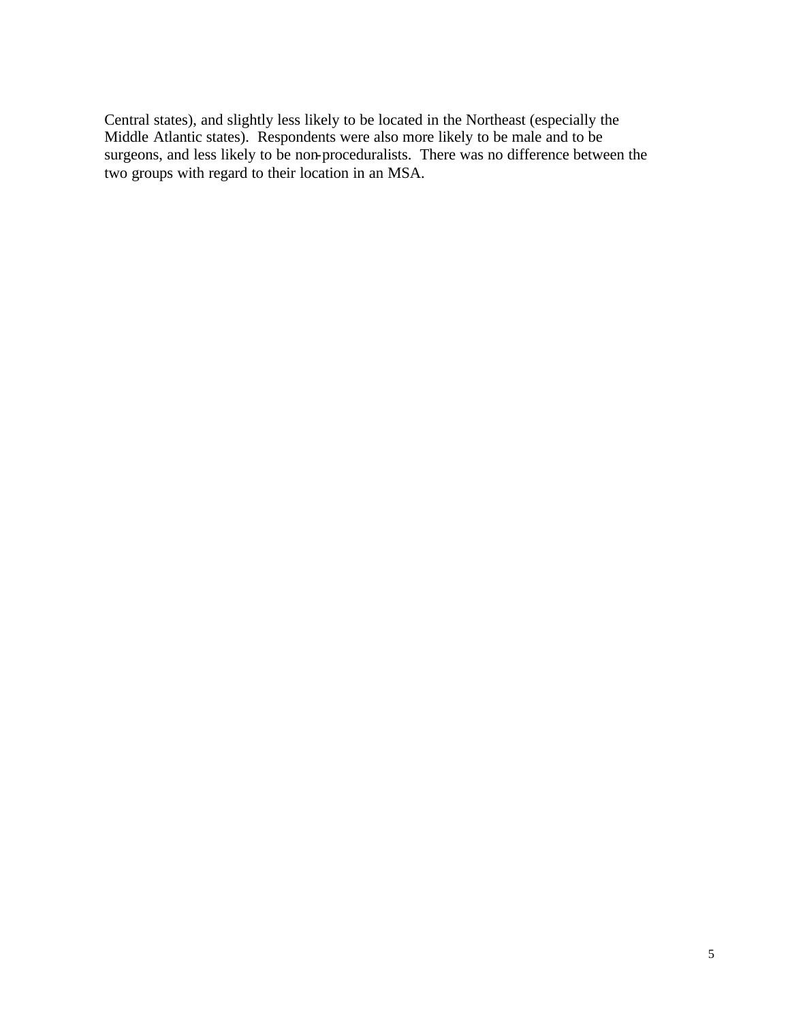Central states), and slightly less likely to be located in the Northeast (especially the Middle Atlantic states). Respondents were also more likely to be male and to be surgeons, and less likely to be non-proceduralists. There was no difference between the two groups with regard to their location in an MSA.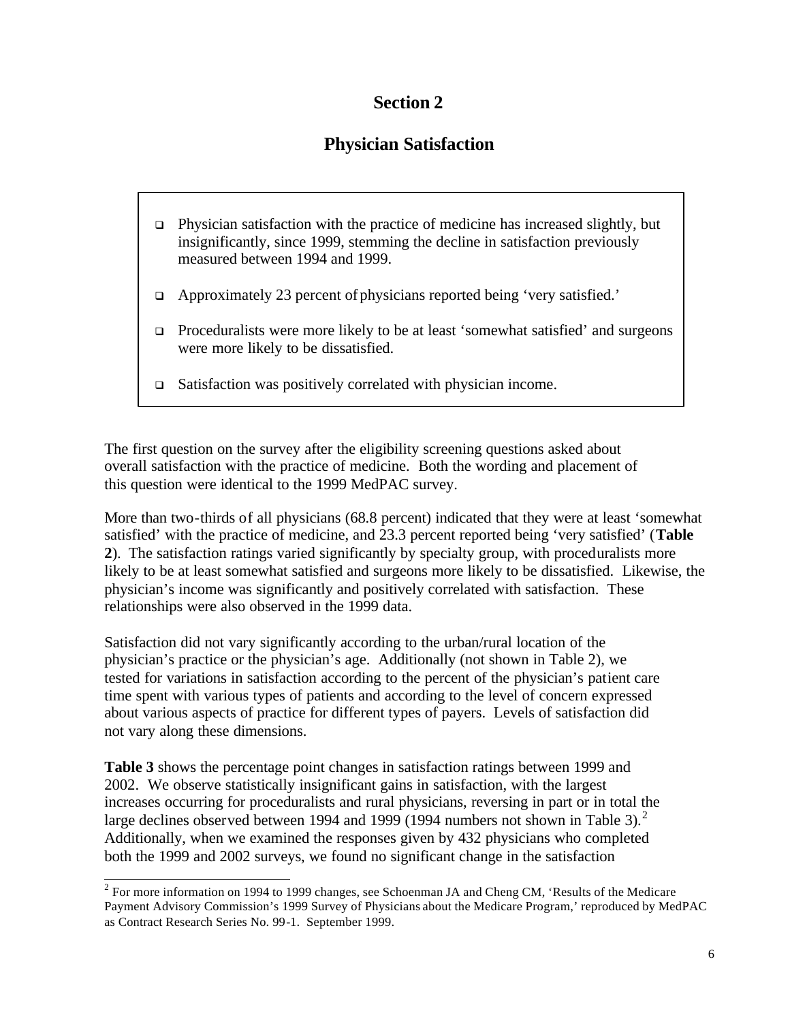## **Section 2**

## **Physician Satisfaction**

- $\Box$  Physician satisfaction with the practice of medicine has increased slightly, but insignificantly, since 1999, stemming the decline in satisfaction previously measured between 1994 and 1999.
- $\Box$  Approximately 23 percent of physicians reported being 'very satisfied.'
- $\Box$  Proceduralists were more likely to be at least 'somewhat satisfied' and surgeons were more likely to be dissatisfied.
- $\Box$  Satisfaction was positively correlated with physician income.

The first question on the survey after the eligibility screening questions asked about overall satisfaction with the practice of medicine. Both the wording and placement of this question were identical to the 1999 MedPAC survey.

More than two-thirds of all physicians (68.8 percent) indicated that they were at least 'somewhat satisfied' with the practice of medicine, and 23.3 percent reported being 'very satisfied' (**Table 2**).The satisfaction ratings varied significantly by specialty group, with proceduralists more likely to be at least somewhat satisfied and surgeons more likely to be dissatisfied. Likewise, the physician's income was significantly and positively correlated with satisfaction. These relationships were also observed in the 1999 data.

Satisfaction did not vary significantly according to the urban/rural location of the physician's practice or the physician's age. Additionally (not shown in Table 2), we tested for variations in satisfaction according to the percent of the physician's patient care time spent with various types of patients and according to the level of concern expressed about various aspects of practice for different types of payers. Levels of satisfaction did not vary along these dimensions.

**Table 3** shows the percentage point changes in satisfaction ratings between 1999 and 2002. We observe statistically insignificant gains in satisfaction, with the largest increases occurring for proceduralists and rural physicians, reversing in part or in total the large declines observed between 1994 and 1999 (1994 numbers not shown in Table 3).<sup>2</sup> Additionally, when we examined the responses given by 432 physicians who completed both the 1999 and 2002 surveys, we found no significant change in the satisfaction

<sup>&</sup>lt;sup>2</sup> For more information on 1994 to 1999 changes, see Schoenman JA and Cheng CM, 'Results of the Medicare Payment Advisory Commission's 1999 Survey of Physicians about the Medicare Program,' reproduced by MedPAC as Contract Research Series No. 99-1. September 1999.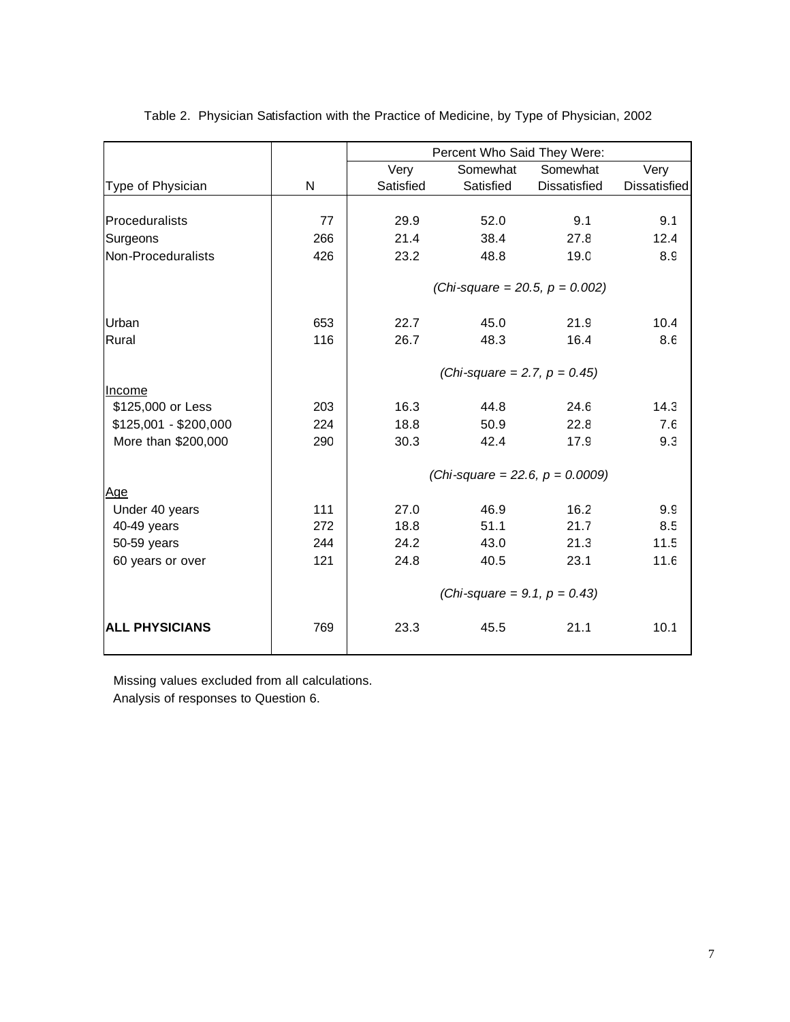|                       |     | Percent Who Said They Were: |                                    |                     |                     |
|-----------------------|-----|-----------------------------|------------------------------------|---------------------|---------------------|
|                       |     | Very                        | Somewhat                           | Somewhat            | Very                |
| Type of Physician     | N   | Satisfied                   | Satisfied                          | <b>Dissatisfied</b> | <b>Dissatisfied</b> |
|                       |     |                             |                                    |                     |                     |
| Proceduralists        | 77  | 29.9                        | 52.0                               | 9.1                 | 9.1                 |
| Surgeons              | 266 | 21.4                        | 38.4                               | 27.8                | 12.4                |
| Non-Proceduralists    | 426 | 23.2                        | 48.8                               | 19.0                | 8.9                 |
|                       |     |                             | (Chi-square = 20.5, $p = 0.002$ )  |                     |                     |
|                       |     |                             |                                    |                     |                     |
| Urban                 | 653 | 22.7                        | 45.0                               | 21.9                | 10.4                |
| Rural                 | 116 | 26.7                        | 48.3                               | 16.4                | 8.6                 |
|                       |     |                             | (Chi-square = 2.7, $p = 0.45$ )    |                     |                     |
| <b>Income</b>         |     |                             |                                    |                     |                     |
| \$125,000 or Less     | 203 | 16.3                        | 44.8                               | 24.6                | 14.3                |
| \$125,001 - \$200,000 | 224 | 18.8                        | 50.9                               | 22.8                | 7.6                 |
| More than \$200,000   | 290 | 30.3                        | 42.4                               | 17.9                | 9.3                 |
|                       |     |                             | (Chi-square = 22.6, $p = 0.0009$ ) |                     |                     |
| <u>Age</u>            |     |                             |                                    |                     |                     |
| Under 40 years        | 111 | 27.0                        | 46.9                               | 16.2                | 9.9                 |
| 40-49 years           | 272 | 18.8                        | 51.1                               | 21.7                | 8.5                 |
| 50-59 years           | 244 | 24.2                        | 43.0                               | 21.3                | 11.5                |
| 60 years or over      | 121 | 24.8                        | 40.5                               | 23.1                | 11.6                |
|                       |     |                             | (Chi-square = 9.1, $p = 0.43$ )    |                     |                     |
| <b>ALL PHYSICIANS</b> | 769 | 23.3                        | 45.5                               | 21.1                | 10.1                |

Table 2. Physician Satisfaction with the Practice of Medicine, by Type of Physician, 2002

 Missing values excluded from all calculations. Analysis of responses to Question 6.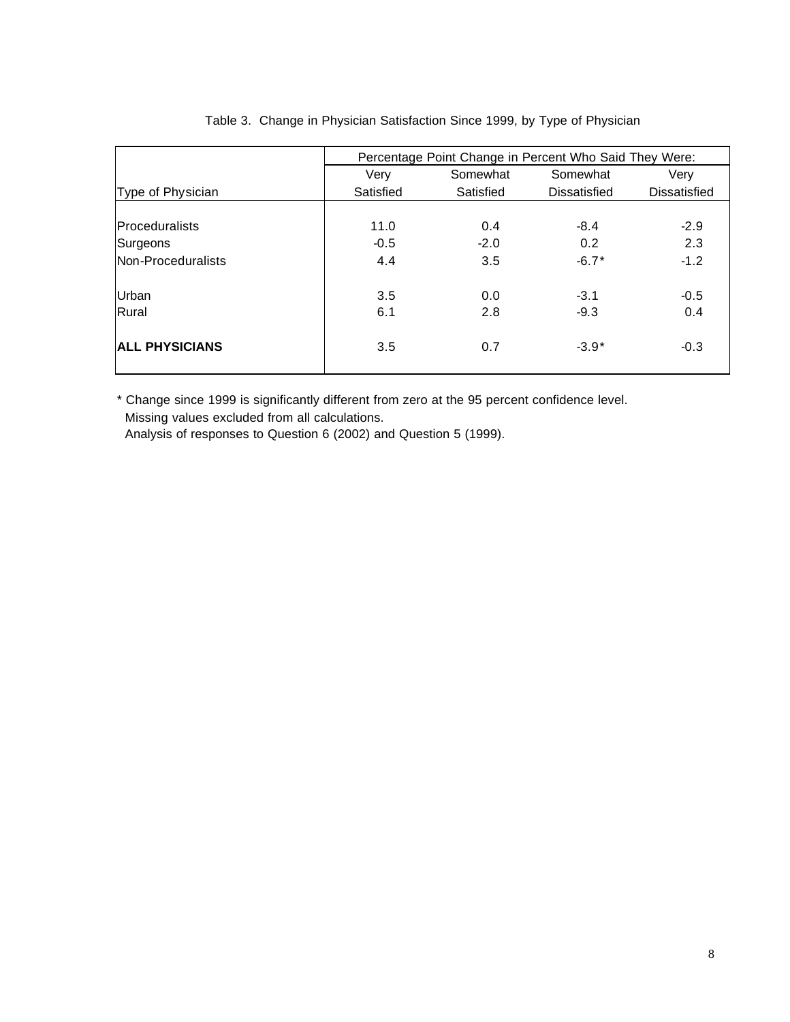|                       | Percentage Point Change in Percent Who Said They Were: |           |                     |                     |  |  |  |
|-----------------------|--------------------------------------------------------|-----------|---------------------|---------------------|--|--|--|
|                       | Very<br>Somewhat                                       |           | Somewhat            | Verv                |  |  |  |
| Type of Physician     | Satisfied                                              | Satisfied | <b>Dissatisfied</b> | <b>Dissatisfied</b> |  |  |  |
|                       |                                                        |           |                     |                     |  |  |  |
| Proceduralists        | 11.0                                                   | 0.4       | $-8.4$              | $-2.9$              |  |  |  |
| Surgeons              | $-0.5$                                                 | $-2.0$    | 0.2                 | 2.3                 |  |  |  |
| Non-Proceduralists    | 4.4                                                    | 3.5       | $-6.7*$             | $-1.2$              |  |  |  |
| Urban                 | 3.5                                                    | 0.0       | $-3.1$              | $-0.5$              |  |  |  |
| Rural                 | 6.1                                                    | 2.8       | $-9.3$              | 0.4                 |  |  |  |
| <b>ALL PHYSICIANS</b> | 3.5                                                    | 0.7       | $-3.9*$             | $-0.3$              |  |  |  |

#### Table 3. Change in Physician Satisfaction Since 1999, by Type of Physician

\* Change since 1999 is significantly different from zero at the 95 percent confidence level. Missing values excluded from all calculations.

Analysis of responses to Question 6 (2002) and Question 5 (1999).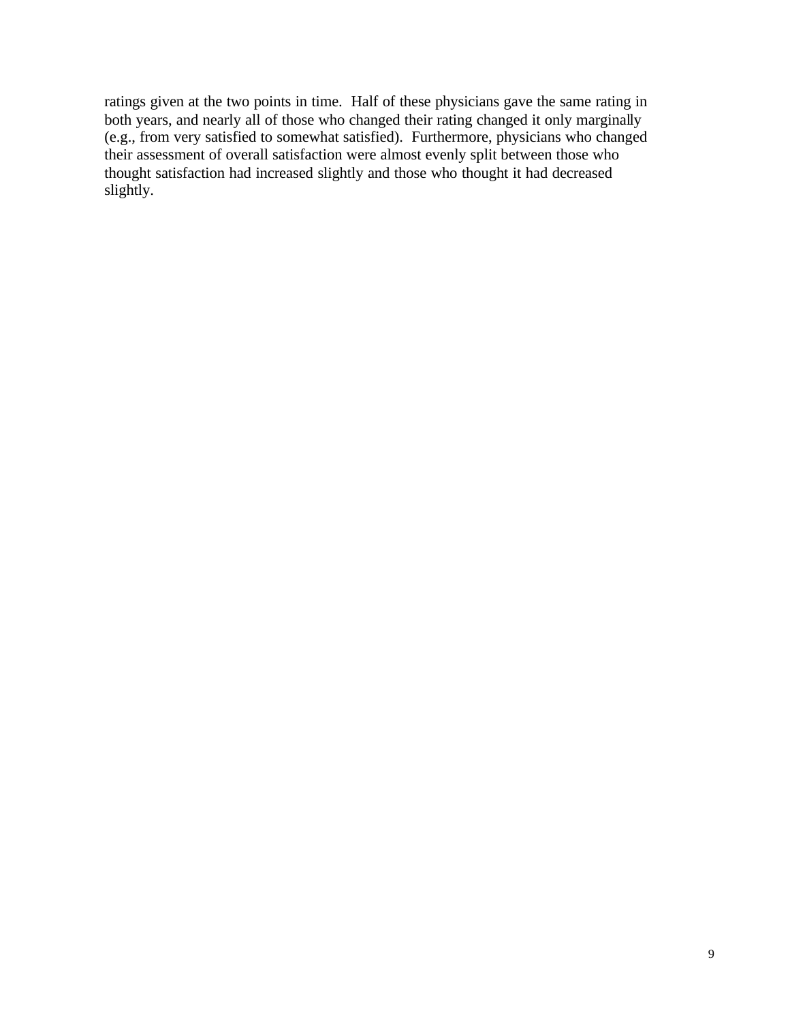ratings given at the two points in time. Half of these physicians gave the same rating in both years, and nearly all of those who changed their rating changed it only marginally (e.g., from very satisfied to somewhat satisfied). Furthermore, physicians who changed their assessment of overall satisfaction were almost evenly split between those who thought satisfaction had increased slightly and those who thought it had decreased slightly.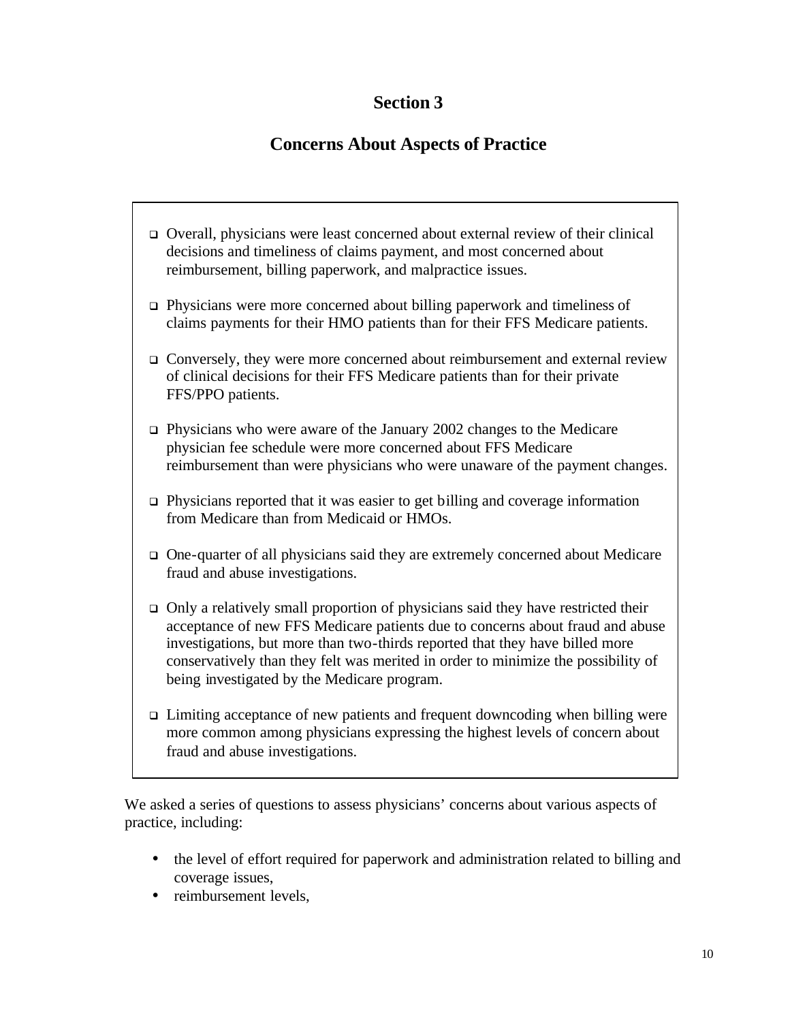## **Section 3**

## **Concerns About Aspects of Practice**

- <sup>q</sup> Overall, physicians were least concerned about external review of their clinical decisions and timeliness of claims payment, and most concerned about reimbursement, billing paperwork, and malpractice issues.
- $\Box$  Physicians were more concerned about billing paperwork and timeliness of claims payments for their HMO patients than for their FFS Medicare patients.
- □ Conversely, they were more concerned about reimbursement and external review of clinical decisions for their FFS Medicare patients than for their private FFS/PPO patients.
- $\Box$  Physicians who were aware of the January 2002 changes to the Medicare physician fee schedule were more concerned about FFS Medicare reimbursement than were physicians who were unaware of the payment changes.
- $\Box$  Physicians reported that it was easier to get billing and coverage information from Medicare than from Medicaid or HMOs.
- $\Box$  One-quarter of all physicians said they are extremely concerned about Medicare fraud and abuse investigations.
- $\Box$  Only a relatively small proportion of physicians said they have restricted their acceptance of new FFS Medicare patients due to concerns about fraud and abuse investigations, but more than two-thirds reported that they have billed more conservatively than they felt was merited in order to minimize the possibility of being investigated by the Medicare program.
- $\Box$  Limiting acceptance of new patients and frequent downcoding when billing were more common among physicians expressing the highest levels of concern about fraud and abuse investigations.

 We asked a series of questions to assess physicians' concerns about various aspects of practice, including:

- the level of effort required for paperwork and administration related to billing and coverage issues,
- reimbursement levels.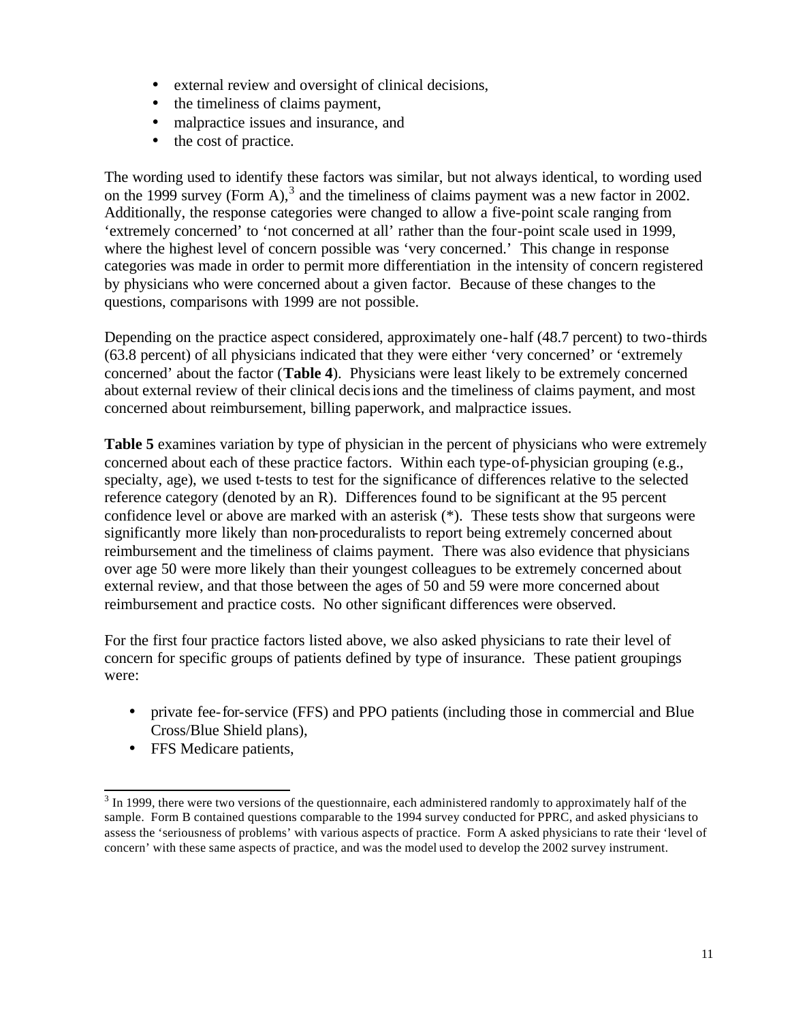- external review and oversight of clinical decisions,
- the timeliness of claims payment,
- malpractice issues and insurance, and
- the cost of practice.

The wording used to identify these factors was similar, but not always identical, to wording used on the 1999 survey (Form A),<sup>3</sup> and the timeliness of claims payment was a new factor in 2002. Additionally, the response categories were changed to allow a five-point scale ranging from 'extremely concerned' to 'not concerned at all' rather than the four-point scale used in 1999, where the highest level of concern possible was 'very concerned.' This change in response categories was made in order to permit more differentiation in the intensity of concern registered by physicians who were concerned about a given factor. Because of these changes to the questions, comparisons with 1999 are not possible.

Depending on the practice aspect considered, approximately one-half (48.7 percent) to two-thirds (63.8 percent) of all physicians indicated that they were either 'very concerned' or 'extremely concerned' about the factor (**Table 4**). Physicians were least likely to be extremely concerned about external review of their clinical decisions and the timeliness of claims payment, and most concerned about reimbursement, billing paperwork, and malpractice issues.

**Table 5** examines variation by type of physician in the percent of physicians who were extremely concerned about each of these practice factors. Within each type-of-physician grouping (e.g., specialty, age), we used t-tests to test for the significance of differences relative to the selected reference category (denoted by an R). Differences found to be significant at the 95 percent confidence level or above are marked with an asterisk (\*). These tests show that surgeons were significantly more likely than non-proceduralists to report being extremely concerned about reimbursement and the timeliness of claims payment. There was also evidence that physicians over age 50 were more likely than their youngest colleagues to be extremely concerned about external review, and that those between the ages of 50 and 59 were more concerned about reimbursement and practice costs. No other significant differences were observed.

For the first four practice factors listed above, we also asked physicians to rate their level of concern for specific groups of patients defined by type of insurance. These patient groupings were:

- private fee-for-service (FFS) and PPO patients (including those in commercial and Blue Cross/Blue Shield plans),
- FFS Medicare patients,

l

 $3$  In 1999, there were two versions of the questionnaire, each administered randomly to approximately half of the sample. Form B contained questions comparable to the 1994 survey conducted for PPRC, and asked physicians to assess the 'seriousness of problems' with various aspects of practice. Form A asked physicians to rate their 'level of concern' with these same aspects of practice, and was the model used to develop the 2002 survey instrument.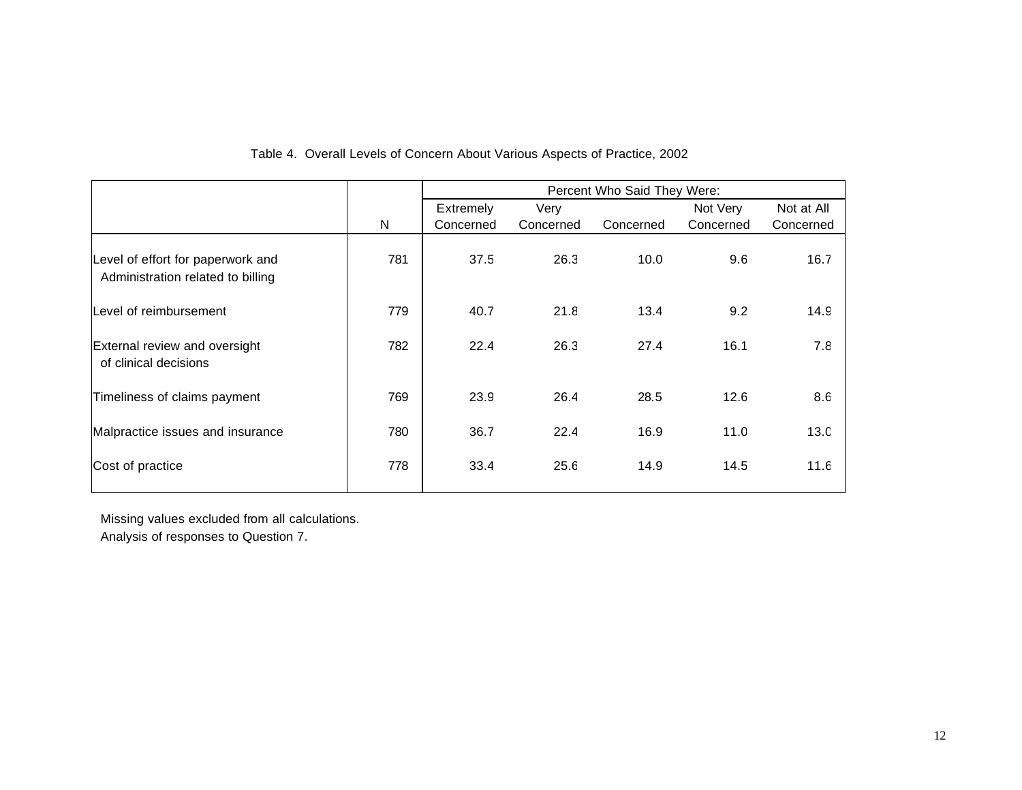|                                                                        |              | Percent Who Said They Were: |           |           |           |            |
|------------------------------------------------------------------------|--------------|-----------------------------|-----------|-----------|-----------|------------|
|                                                                        |              | Extremely                   | Very      |           | Not Very  | Not at All |
|                                                                        | $\mathsf{N}$ | Concerned                   | Concerned | Concerned | Concerned | Concerned  |
| Level of effort for paperwork and<br>Administration related to billing | 781          | 37.5                        | 26.3      | 10.0      | 9.6       | 16.7       |
| Level of reimbursement                                                 | 779          | 40.7                        | 21.8      | 13.4      | 9.2       | 14.9       |
| External review and oversight<br>of clinical decisions                 | 782          | 22.4                        | 26.3      | 27.4      | 16.1      | 7.8        |
| Timeliness of claims payment                                           | 769          | 23.9                        | 26.4      | 28.5      | 12.6      | 8.6        |
| Malpractice issues and insurance                                       | 780          | 36.7                        | 22.4      | 16.9      | 11.0      | 13.0       |
| Cost of practice                                                       | 778          | 33.4                        | 25.6      | 14.9      | 14.5      | 11.6       |

#### Table 4. Overall Levels of Concern About Various Aspects of Practice, 2002

 Missing values excluded from all calculations. Analysis of responses to Question 7.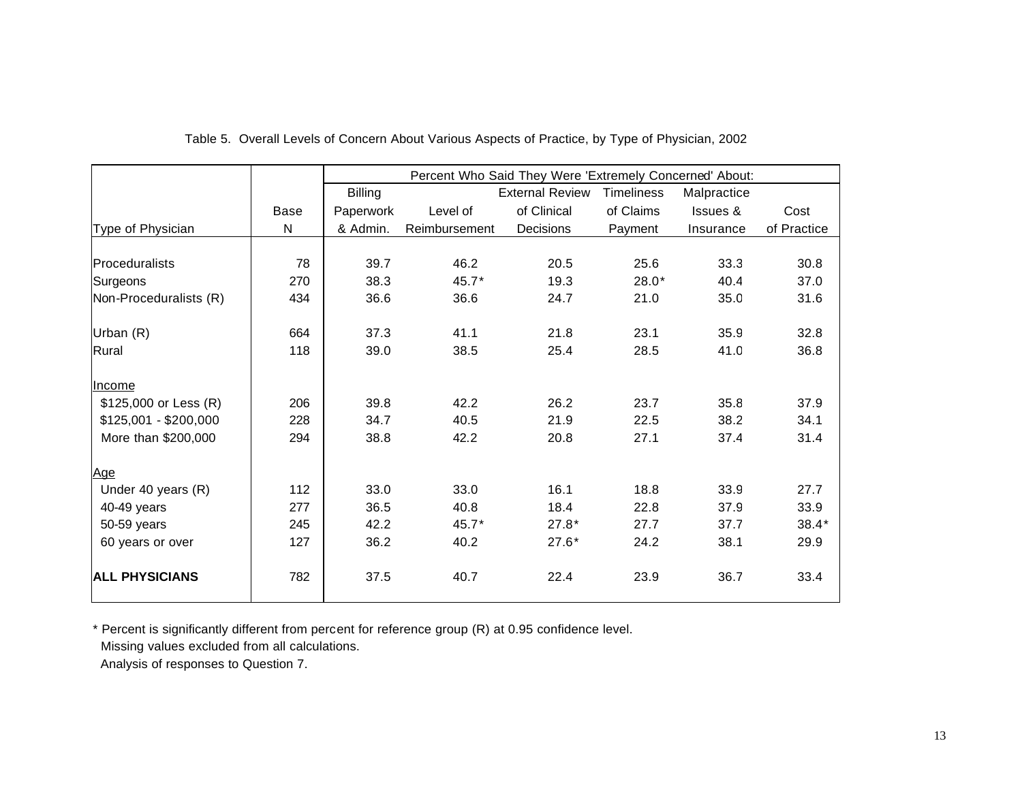|                        |             | Percent Who Said They Were 'Extremely Concerned' About: |               |                        |                   |             |             |
|------------------------|-------------|---------------------------------------------------------|---------------|------------------------|-------------------|-------------|-------------|
|                        |             | <b>Billing</b>                                          |               | <b>External Review</b> | <b>Timeliness</b> | Malpractice |             |
|                        | <b>Base</b> | Paperwork                                               | Level of      | of Clinical            | of Claims         | Issues &    | Cost        |
| Type of Physician      | N           | & Admin.                                                | Reimbursement | Decisions              | Payment           | Insurance   | of Practice |
| Proceduralists         | 78          | 39.7                                                    | 46.2          | 20.5                   | 25.6              | 33.3        | 30.8        |
| Surgeons               | 270         | 38.3                                                    | 45.7*         | 19.3                   | $28.0*$           | 40.4        | 37.0        |
| Non-Proceduralists (R) | 434         | 36.6                                                    | 36.6          | 24.7                   | 21.0              | 35.0        | 31.6        |
| Urban (R)              | 664         | 37.3                                                    | 41.1          | 21.8                   | 23.1              | 35.9        | 32.8        |
| Rural                  | 118         | 39.0                                                    | 38.5          | 25.4                   | 28.5              | 41.0        | 36.8        |
| Income                 |             |                                                         |               |                        |                   |             |             |
| \$125,000 or Less (R)  | 206         | 39.8                                                    | 42.2          | 26.2                   | 23.7              | 35.8        | 37.9        |
| $$125,001 - $200,000$  | 228         | 34.7                                                    | 40.5          | 21.9                   | 22.5              | 38.2        | 34.1        |
| More than \$200,000    | 294         | 38.8                                                    | 42.2          | 20.8                   | 27.1              | 37.4        | 31.4        |
| <u>Age</u>             |             |                                                         |               |                        |                   |             |             |
| Under 40 years (R)     | 112         | 33.0                                                    | 33.0          | 16.1                   | 18.8              | 33.9        | 27.7        |
| 40-49 years            | 277         | 36.5                                                    | 40.8          | 18.4                   | 22.8              | 37.9        | 33.9        |
| 50-59 years            | 245         | 42.2                                                    | 45.7*         | $27.8*$                | 27.7              | 37.7        | $38.4*$     |
| 60 years or over       | 127         | 36.2                                                    | 40.2          | $27.6*$                | 24.2              | 38.1        | 29.9        |
| <b>ALL PHYSICIANS</b>  | 782         | 37.5                                                    | 40.7          | 22.4                   | 23.9              | 36.7        | 33.4        |

#### Table 5. Overall Levels of Concern About Various Aspects of Practice, by Type of Physician, 2002

\* Percent is significantly different from percent for reference group (R) at 0.95 confidence level.

Missing values excluded from all calculations.

Analysis of responses to Question 7.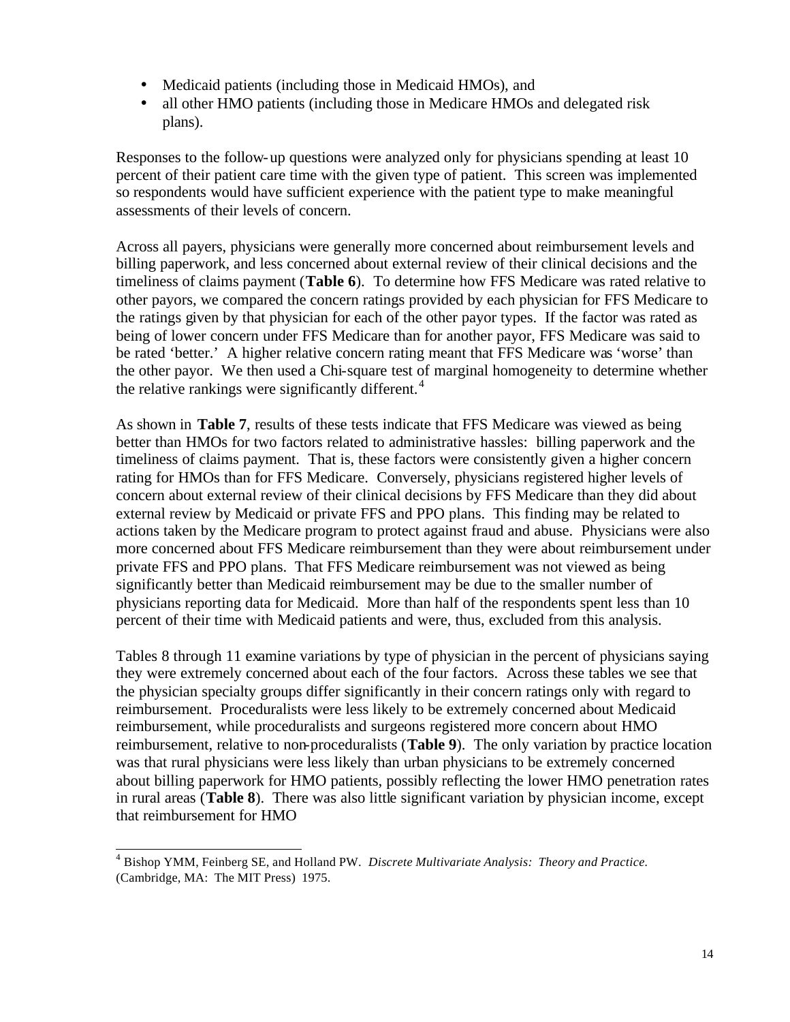- Medicaid patients (including those in Medicaid HMOs), and
- all other HMO patients (including those in Medicare HMOs and delegated risk plans).

Responses to the follow-up questions were analyzed only for physicians spending at least 10 percent of their patient care time with the given type of patient. This screen was implemented so respondents would have sufficient experience with the patient type to make meaningful assessments of their levels of concern.

Across all payers, physicians were generally more concerned about reimbursement levels and billing paperwork, and less concerned about external review of their clinical decisions and the timeliness of claims payment (**Table 6**). To determine how FFS Medicare was rated relative to other payors, we compared the concern ratings provided by each physician for FFS Medicare to the ratings given by that physician for each of the other payor types. If the factor was rated as being of lower concern under FFS Medicare than for another payor, FFS Medicare was said to be rated 'better.' A higher relative concern rating meant that FFS Medicare was 'worse' than the other payor. We then used a Chi-square test of marginal homogeneity to determine whether the relative rankings were significantly different.<sup>4</sup>

As shown in **Table 7**, results of these tests indicate that FFS Medicare was viewed as being better than HMOs for two factors related to administrative hassles: billing paperwork and the timeliness of claims payment. That is, these factors were consistently given a higher concern rating for HMOs than for FFS Medicare. Conversely, physicians registered higher levels of concern about external review of their clinical decisions by FFS Medicare than they did about external review by Medicaid or private FFS and PPO plans. This finding may be related to actions taken by the Medicare program to protect against fraud and abuse. Physicians were also more concerned about FFS Medicare reimbursement than they were about reimbursement under private FFS and PPO plans. That FFS Medicare reimbursement was not viewed as being significantly better than Medicaid reimbursement may be due to the smaller number of physicians reporting data for Medicaid. More than half of the respondents spent less than 10 percent of their time with Medicaid patients and were, thus, excluded from this analysis.

Tables 8 through 11 examine variations by type of physician in the percent of physicians saying they were extremely concerned about each of the four factors. Across these tables we see that the physician specialty groups differ significantly in their concern ratings only with regard to reimbursement. Proceduralists were less likely to be extremely concerned about Medicaid reimbursement, while proceduralists and surgeons registered more concern about HMO reimbursement, relative to non-proceduralists (**Table 9**). The only variation by practice location was that rural physicians were less likely than urban physicians to be extremely concerned about billing paperwork for HMO patients, possibly reflecting the lower HMO penetration rates in rural areas (**Table 8**). There was also little significant variation by physician income, except that reimbursement for HMO

 4 Bishop YMM, Feinberg SE, and Holland PW. *Discrete Multivariate Analysis: Theory and Practice.* (Cambridge, MA: The MIT Press) 1975.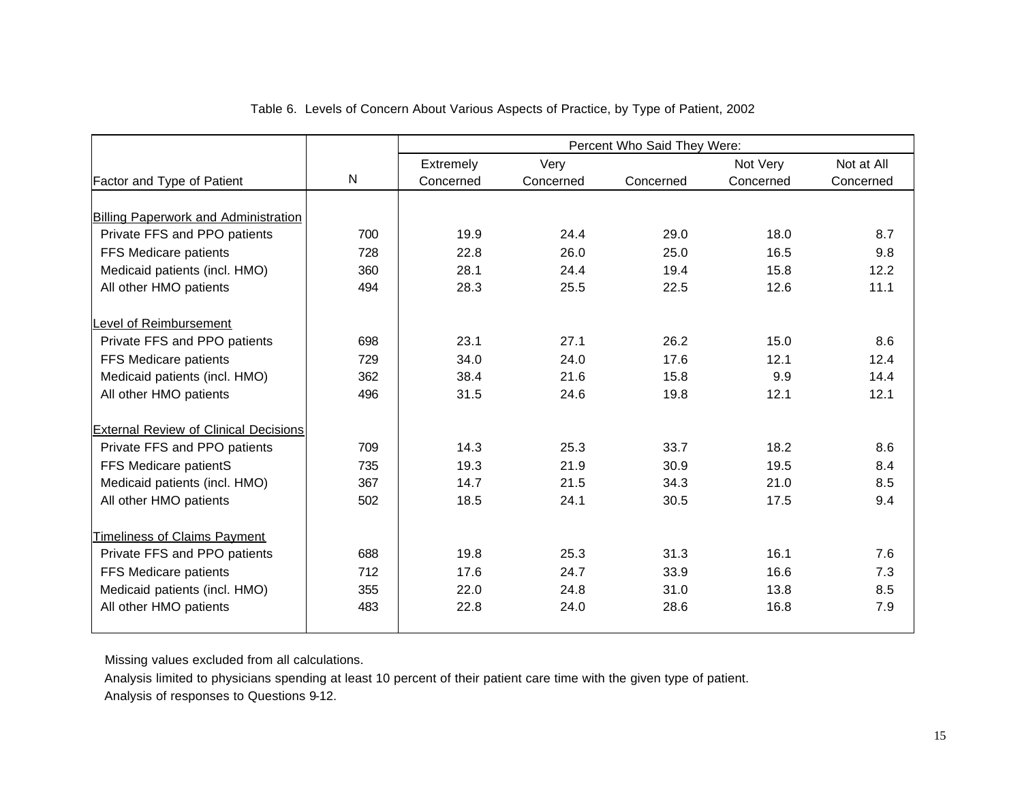|                                              |     | Percent Who Said They Were: |           |           |           |            |
|----------------------------------------------|-----|-----------------------------|-----------|-----------|-----------|------------|
|                                              |     | Extremely                   | Very      |           | Not Very  | Not at All |
| Factor and Type of Patient                   | N   | Concerned                   | Concerned | Concerned | Concerned | Concerned  |
|                                              |     |                             |           |           |           |            |
| <b>Billing Paperwork and Administration</b>  |     |                             |           |           |           |            |
| Private FFS and PPO patients                 | 700 | 19.9                        | 24.4      | 29.0      | 18.0      | 8.7        |
| FFS Medicare patients                        | 728 | 22.8                        | 26.0      | 25.0      | 16.5      | 9.8        |
| Medicaid patients (incl. HMO)                | 360 | 28.1                        | 24.4      | 19.4      | 15.8      | 12.2       |
| All other HMO patients                       | 494 | 28.3                        | 25.5      | 22.5      | 12.6      | 11.1       |
|                                              |     |                             |           |           |           |            |
| Level of Reimbursement                       |     |                             |           |           |           |            |
| Private FFS and PPO patients                 | 698 | 23.1                        | 27.1      | 26.2      | 15.0      | 8.6        |
| FFS Medicare patients                        | 729 | 34.0                        | 24.0      | 17.6      | 12.1      | 12.4       |
| Medicaid patients (incl. HMO)                | 362 | 38.4                        | 21.6      | 15.8      | 9.9       | 14.4       |
| All other HMO patients                       | 496 | 31.5                        | 24.6      | 19.8      | 12.1      | 12.1       |
|                                              |     |                             |           |           |           |            |
| <b>External Review of Clinical Decisions</b> |     |                             |           |           |           |            |
| Private FFS and PPO patients                 | 709 | 14.3                        | 25.3      | 33.7      | 18.2      | 8.6        |
| FFS Medicare patientS                        | 735 | 19.3                        | 21.9      | 30.9      | 19.5      | 8.4        |
| Medicaid patients (incl. HMO)                | 367 | 14.7                        | 21.5      | 34.3      | 21.0      | 8.5        |
| All other HMO patients                       | 502 | 18.5                        | 24.1      | 30.5      | 17.5      | 9.4        |
|                                              |     |                             |           |           |           |            |
| <b>Timeliness of Claims Payment</b>          |     |                             |           |           |           |            |
| Private FFS and PPO patients                 | 688 | 19.8                        | 25.3      | 31.3      | 16.1      | 7.6        |
| FFS Medicare patients                        | 712 | 17.6                        | 24.7      | 33.9      | 16.6      | 7.3        |
| Medicaid patients (incl. HMO)                | 355 | 22.0                        | 24.8      | 31.0      | 13.8      | 8.5        |
| All other HMO patients                       | 483 | 22.8                        | 24.0      | 28.6      | 16.8      | 7.9        |
|                                              |     |                             |           |           |           |            |

#### Table 6. Levels of Concern About Various Aspects of Practice, by Type of Patient, 2002

Missing values excluded from all calculations.

 Analysis limited to physicians spending at least 10 percent of their patient care time with the given type of patient. Analysis of responses to Questions 9-12.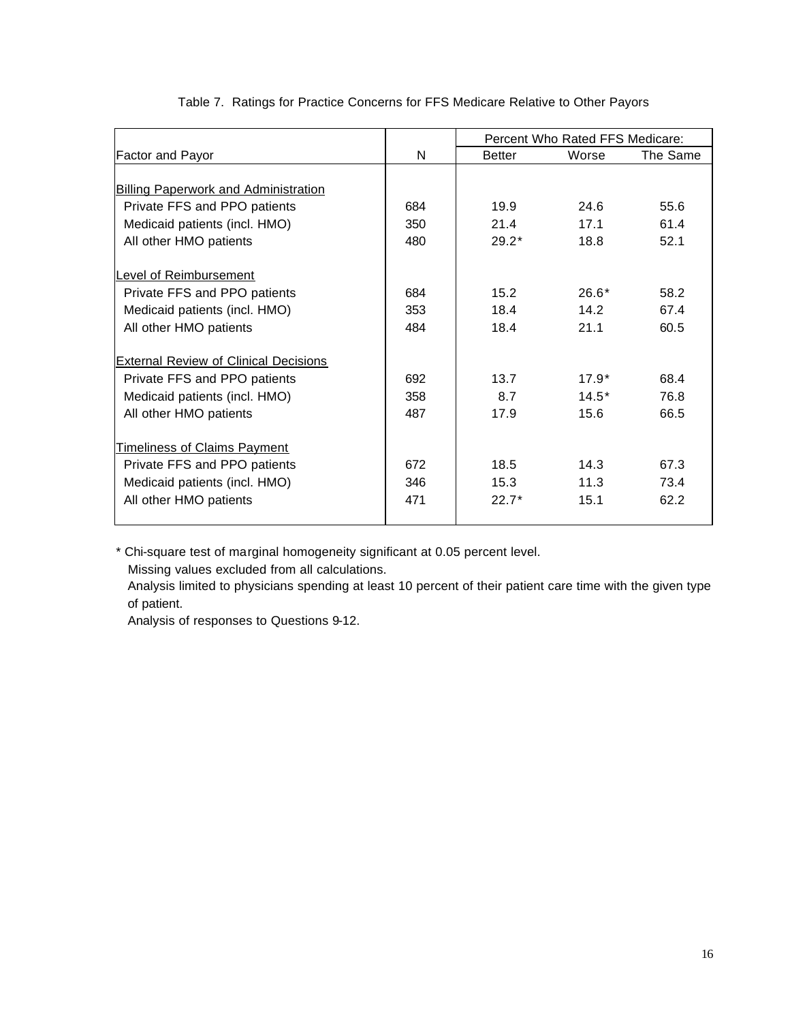|                                              |     | Percent Who Rated FFS Medicare: |         |          |
|----------------------------------------------|-----|---------------------------------|---------|----------|
| Factor and Payor                             | N   | <b>Better</b>                   | Worse   | The Same |
|                                              |     |                                 |         |          |
| <b>Billing Paperwork and Administration</b>  |     |                                 |         |          |
| Private FFS and PPO patients                 | 684 | 19.9 <sub>1</sub>               | 24.6    | 55.6     |
| Medicaid patients (incl. HMO)                | 350 | 21.4                            | 17.1    | 61.4     |
| All other HMO patients                       | 480 | $29.2*$                         | 18.8    | 52.1     |
|                                              |     |                                 |         |          |
| <b>Level of Reimbursement</b>                |     |                                 |         |          |
| Private FFS and PPO patients                 | 684 | 15.2                            | $26.6*$ | 58.2     |
| Medicaid patients (incl. HMO)                | 353 | 18.4                            | 14.2    | 67.4     |
| All other HMO patients                       | 484 | 18.4                            | 21.1    | 60.5     |
| <b>External Review of Clinical Decisions</b> |     |                                 |         |          |
| Private FFS and PPO patients                 | 692 | 13.7                            | $17.9*$ | 68.4     |
| Medicaid patients (incl. HMO)                | 358 | 8.7                             | $14.5*$ | 76.8     |
| All other HMO patients                       | 487 | 17.9                            | 15.6    | 66.5     |
|                                              |     |                                 |         |          |
| <b>Timeliness of Claims Payment</b>          |     |                                 |         |          |
| Private FFS and PPO patients                 | 672 | 18.5                            | 14.3    | 67.3     |
| Medicaid patients (incl. HMO)                | 346 | 15.3                            | 11.3    | 73.4     |
| All other HMO patients                       | 471 | $22.7*$                         | 15.1    | 62.2     |
|                                              |     |                                 |         |          |

#### Table 7. Ratings for Practice Concerns for FFS Medicare Relative to Other Payors

\* Chi-square test of marginal homogeneity significant at 0.05 percent level.

Missing values excluded from all calculations.

 Analysis limited to physicians spending at least 10 percent of their patient care time with the given type of patient.

Analysis of responses to Questions 9-12.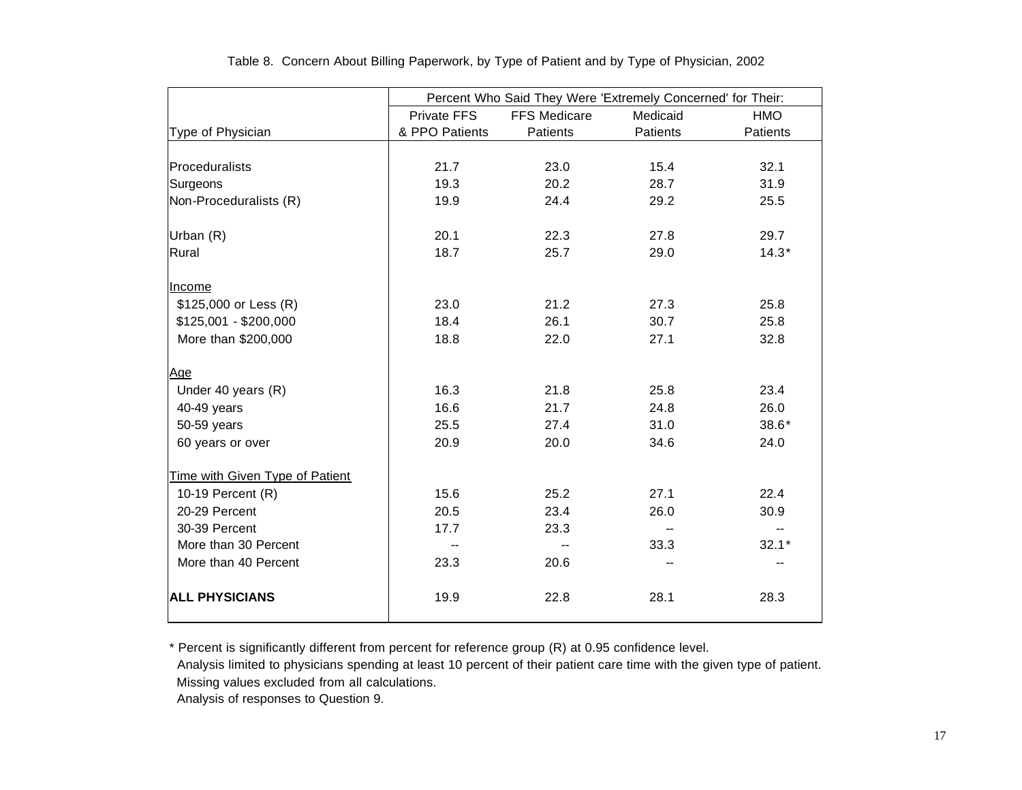|                                 | Percent Who Said They Were 'Extremely Concerned' for Their: |                     |          |                 |  |  |  |
|---------------------------------|-------------------------------------------------------------|---------------------|----------|-----------------|--|--|--|
|                                 | <b>Private FFS</b>                                          | <b>FFS Medicare</b> | Medicaid | <b>HMO</b>      |  |  |  |
| Type of Physician               | & PPO Patients                                              | Patients            | Patients | <b>Patients</b> |  |  |  |
|                                 |                                                             |                     |          |                 |  |  |  |
| Proceduralists                  | 21.7                                                        | 23.0                | 15.4     | 32.1            |  |  |  |
| Surgeons                        | 19.3                                                        | 20.2                | 28.7     | 31.9            |  |  |  |
| Non-Proceduralists (R)          | 19.9                                                        | 24.4                | 29.2     | 25.5            |  |  |  |
|                                 |                                                             |                     |          |                 |  |  |  |
| Urban (R)                       | 20.1                                                        | 22.3                | 27.8     | 29.7            |  |  |  |
| Rural                           | 18.7                                                        | 25.7                | 29.0     | $14.3*$         |  |  |  |
|                                 |                                                             |                     |          |                 |  |  |  |
| Income                          |                                                             |                     |          |                 |  |  |  |
| \$125,000 or Less (R)           | 23.0                                                        | 21.2                | 27.3     | 25.8            |  |  |  |
| $$125,001 - $200,000$           | 18.4                                                        | 26.1                | 30.7     | 25.8            |  |  |  |
| More than \$200,000             | 18.8                                                        | 22.0                | 27.1     | 32.8            |  |  |  |
|                                 |                                                             |                     |          |                 |  |  |  |
| <u>Age</u>                      |                                                             |                     |          |                 |  |  |  |
| Under 40 years (R)              | 16.3                                                        | 21.8                | 25.8     | 23.4            |  |  |  |
| 40-49 years                     | 16.6                                                        | 21.7                | 24.8     | 26.0            |  |  |  |
| 50-59 years                     | 25.5                                                        | 27.4                | 31.0     | $38.6*$         |  |  |  |
| 60 years or over                | 20.9                                                        | 20.0                | 34.6     | 24.0            |  |  |  |
|                                 |                                                             |                     |          |                 |  |  |  |
| Time with Given Type of Patient |                                                             |                     |          |                 |  |  |  |
| 10-19 Percent (R)               | 15.6                                                        | 25.2                | 27.1     | 22.4            |  |  |  |
| 20-29 Percent                   | 20.5                                                        | 23.4                | 26.0     | 30.9            |  |  |  |
| 30-39 Percent                   | 17.7                                                        | 23.3                |          |                 |  |  |  |
| More than 30 Percent            | --                                                          | --                  | 33.3     | $32.1*$         |  |  |  |
| More than 40 Percent            | 23.3                                                        | 20.6                |          |                 |  |  |  |
|                                 |                                                             |                     |          |                 |  |  |  |
| <b>ALL PHYSICIANS</b>           | 19.9                                                        | 22.8                | 28.1     | 28.3            |  |  |  |
|                                 |                                                             |                     |          |                 |  |  |  |

Table 8. Concern About Billing Paperwork, by Type of Patient and by Type of Physician, 2002

\* Percent is significantly different from percent for reference group (R) at 0.95 confidence level.

Analysis limited to physicians spending at least 10 percent of their patient care time with the given type of patient.

Missing values excluded from all calculations.

Analysis of responses to Question 9.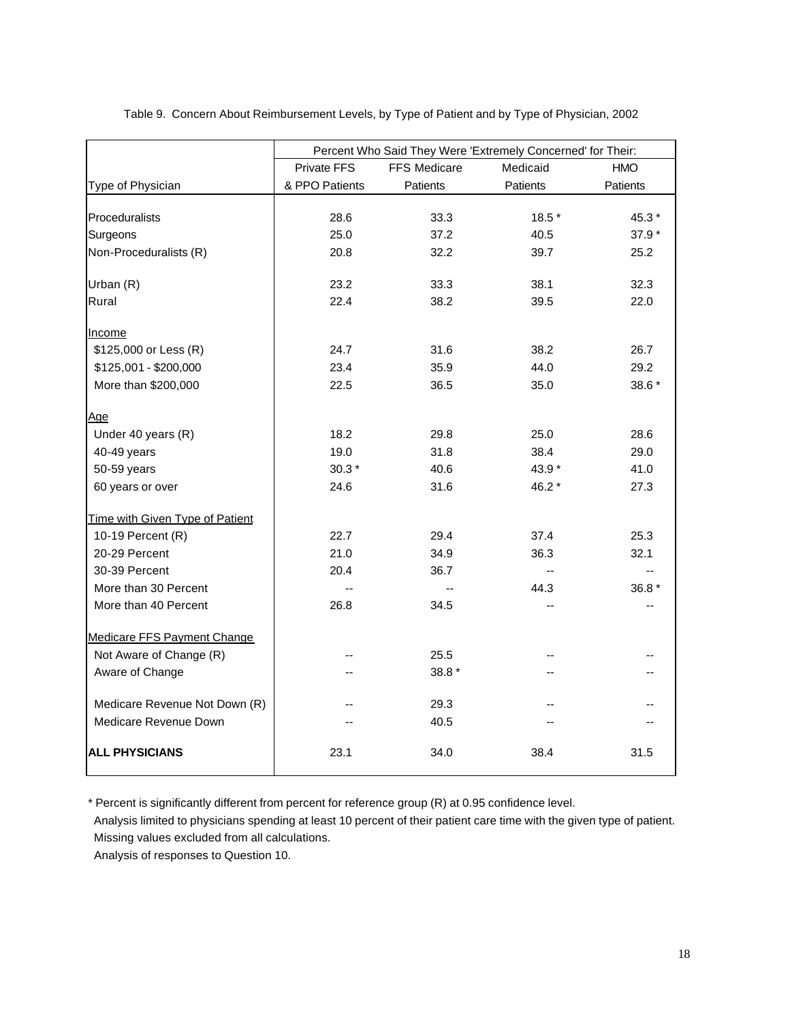|                                 |                    |                     | Percent Who Said They Were 'Extremely Concerned' for Their: |                 |  |  |
|---------------------------------|--------------------|---------------------|-------------------------------------------------------------|-----------------|--|--|
|                                 | <b>Private FFS</b> | <b>FFS Medicare</b> | Medicaid                                                    | <b>HMO</b>      |  |  |
| Type of Physician               | & PPO Patients     | Patients            | Patients                                                    | <b>Patients</b> |  |  |
|                                 |                    |                     |                                                             |                 |  |  |
| Proceduralists                  | 28.6               | 33.3                | 18.5 *                                                      | 45.3 *          |  |  |
| Surgeons                        | 25.0               | 37.2                | 40.5                                                        | 37.9 *          |  |  |
| Non-Proceduralists (R)          | 20.8               | 32.2<br>39.7        |                                                             | 25.2            |  |  |
| Urban (R)                       | 23.2               | 33.3                | 38.1                                                        | 32.3            |  |  |
| Rural                           | 22.4               | 38.2                | 39.5                                                        | 22.0            |  |  |
| Income                          |                    |                     |                                                             |                 |  |  |
| \$125,000 or Less (R)           | 24.7               | 31.6                | 38.2                                                        | 26.7            |  |  |
| \$125,001 - \$200,000           | 23.4               | 35.9                | 44.0                                                        | 29.2            |  |  |
| More than \$200,000             | 22.5               | 36.5                | 35.0                                                        | 38.6 *          |  |  |
| Age                             |                    |                     |                                                             |                 |  |  |
| Under 40 years (R)              | 18.2               | 29.8                | 25.0                                                        | 28.6            |  |  |
| 40-49 years                     | 19.0               | 31.8                | 38.4                                                        | 29.0            |  |  |
| 50-59 years                     | $30.3*$            | 40.6                | 43.9 *                                                      | 41.0            |  |  |
| 60 years or over                | 24.6               | 31.6                | 46.2 *                                                      | 27.3            |  |  |
| Time with Given Type of Patient |                    |                     |                                                             |                 |  |  |
| 10-19 Percent (R)               | 22.7               | 29.4                | 37.4                                                        | 25.3            |  |  |
| 20-29 Percent                   | 21.0               | 34.9                | 36.3                                                        | 32.1            |  |  |
| 30-39 Percent                   | 20.4               | 36.7                | $\sim$                                                      |                 |  |  |
| More than 30 Percent            | $\sim$             |                     | 44.3                                                        | 36.8 *          |  |  |
| More than 40 Percent            | 26.8               | 34.5                |                                                             |                 |  |  |
| Medicare FFS Payment Change     |                    |                     |                                                             |                 |  |  |
| Not Aware of Change (R)         | --                 | 25.5                |                                                             |                 |  |  |
| Aware of Change                 | --                 | 38.8 *              |                                                             |                 |  |  |
| Medicare Revenue Not Down (R)   |                    | 29.3                |                                                             |                 |  |  |
| Medicare Revenue Down           |                    | 40.5                |                                                             |                 |  |  |
| <b>ALL PHYSICIANS</b>           | 23.1               | 34.0                | 38.4                                                        | 31.5            |  |  |

Table 9. Concern About Reimbursement Levels, by Type of Patient and by Type of Physician, 2002

\* Percent is significantly different from percent for reference group (R) at 0.95 confidence level.

 Analysis limited to physicians spending at least 10 percent of their patient care time with the given type of patient. Missing values excluded from all calculations.

Analysis of responses to Question 10.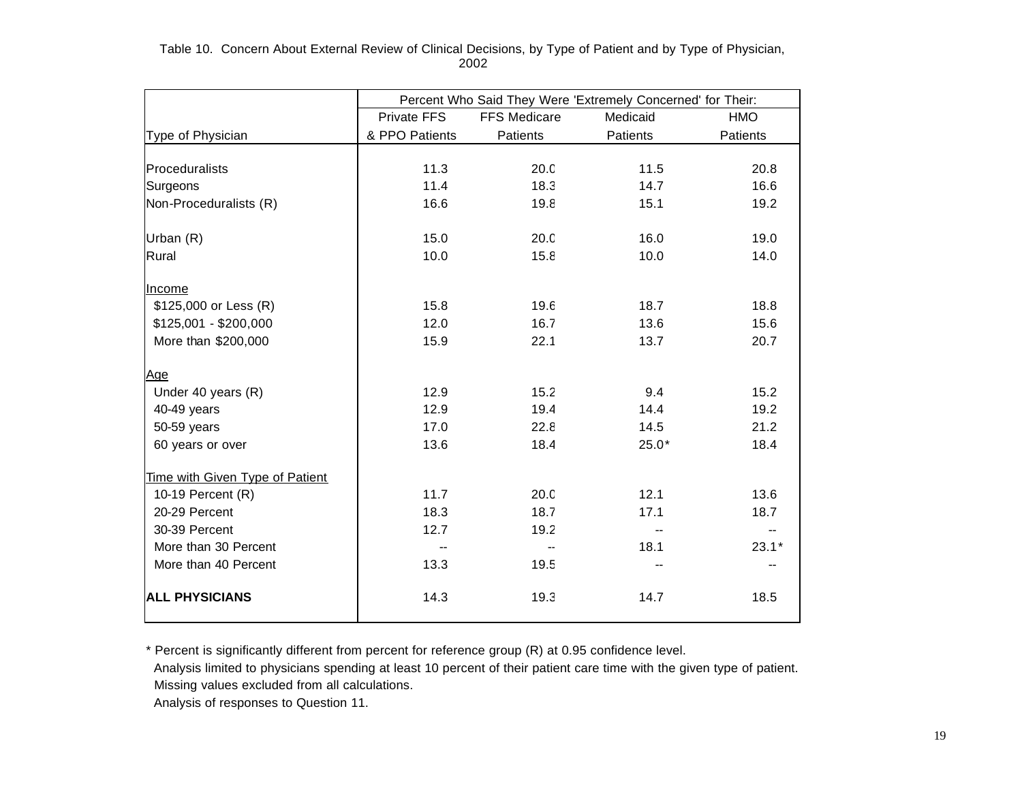Table 10. Concern About External Review of Clinical Decisions, by Type of Patient and by Type of Physician, 2002

|                                 | Percent Who Said They Were 'Extremely Concerned' for Their: |                                 |                          |          |  |
|---------------------------------|-------------------------------------------------------------|---------------------------------|--------------------------|----------|--|
|                                 | Private FFS                                                 | <b>FFS Medicare</b><br>Medicaid |                          | HMO      |  |
| Type of Physician               | & PPO Patients                                              | Patients                        | Patients                 | Patients |  |
|                                 |                                                             |                                 |                          |          |  |
| Proceduralists                  | 11.3                                                        | 20.0                            | 11.5                     | 20.8     |  |
| Surgeons                        | 11.4                                                        | 18.3                            | 14.7                     | 16.6     |  |
| Non-Proceduralists (R)          | 16.6                                                        | 19.8                            | 15.1                     | 19.2     |  |
|                                 |                                                             |                                 |                          |          |  |
| Urban (R)                       | 15.0                                                        | 20.0                            | 16.0                     | 19.0     |  |
| Rural                           | 10.0                                                        | 15.8                            | 10.0                     | 14.0     |  |
|                                 |                                                             |                                 |                          |          |  |
| Income                          |                                                             |                                 |                          |          |  |
| \$125,000 or Less (R)           | 15.8                                                        | 19.6                            | 18.7                     | 18.8     |  |
| $$125,001 - $200,000$           | 12.0                                                        | 16.7                            | 13.6                     | 15.6     |  |
| More than \$200,000             | 15.9                                                        | 22.1                            | 13.7                     | 20.7     |  |
|                                 |                                                             |                                 |                          |          |  |
| Age                             |                                                             |                                 |                          |          |  |
| Under 40 years (R)              | 12.9                                                        | 15.2                            | 9.4                      | 15.2     |  |
| 40-49 years                     | 12.9                                                        | 19.4                            | 14.4                     | 19.2     |  |
| 50-59 years                     | 17.0                                                        | 22.8                            | 14.5                     | 21.2     |  |
| 60 years or over                | 13.6                                                        | 18.4                            | $25.0*$                  | 18.4     |  |
| Time with Given Type of Patient |                                                             |                                 |                          |          |  |
| 10-19 Percent (R)               | 11.7                                                        | 20.0                            | 12.1                     | 13.6     |  |
| 20-29 Percent                   | 18.3                                                        | 18.7                            | 17.1                     | 18.7     |  |
| 30-39 Percent                   | 12.7                                                        | 19.2                            | $\overline{\phantom{a}}$ | --       |  |
| More than 30 Percent            | --                                                          | $\overline{\phantom{a}}$        | 18.1                     | $23.1*$  |  |
| More than 40 Percent            | 13.3                                                        | 19.5                            |                          |          |  |
|                                 |                                                             |                                 |                          |          |  |
| <b>ALL PHYSICIANS</b>           | 14.3                                                        | 19.3                            | 14.7                     | 18.5     |  |
|                                 |                                                             |                                 |                          |          |  |

\* Percent is significantly different from percent for reference group (R) at 0.95 confidence level.

 Analysis limited to physicians spending at least 10 percent of their patient care time with the given type of patient. Missing values excluded from all calculations.

Analysis of responses to Question 11.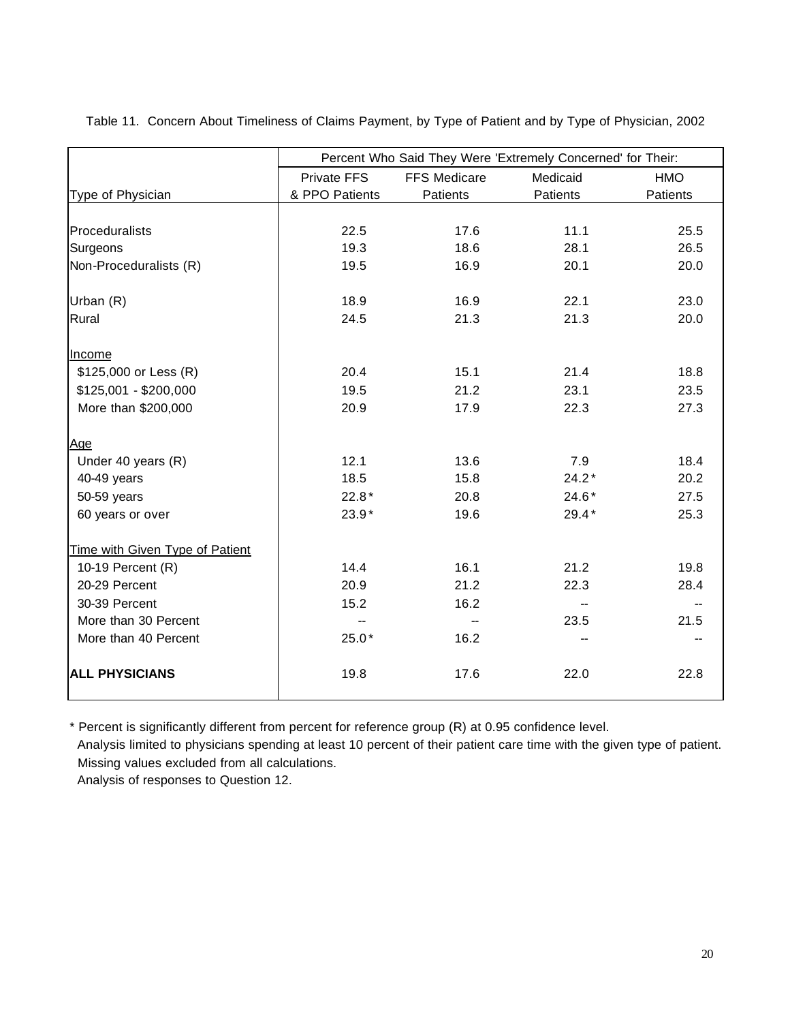|                                 | Percent Who Said They Were 'Extremely Concerned' for Their: |                     |          |            |  |  |
|---------------------------------|-------------------------------------------------------------|---------------------|----------|------------|--|--|
|                                 | <b>Private FFS</b>                                          | <b>FFS Medicare</b> | Medicaid | <b>HMO</b> |  |  |
| Type of Physician               | & PPO Patients                                              | Patients            | Patients | Patients   |  |  |
|                                 |                                                             |                     |          |            |  |  |
| Proceduralists                  | 22.5                                                        | 17.6                | 11.1     | 25.5       |  |  |
| Surgeons                        | 19.3                                                        | 18.6                | 28.1     | 26.5       |  |  |
| Non-Proceduralists (R)          | 19.5                                                        | 16.9                | 20.1     | 20.0       |  |  |
| Urban (R)                       | 18.9                                                        | 16.9                | 22.1     | 23.0       |  |  |
| Rural                           | 24.5                                                        | 21.3                | 21.3     | 20.0       |  |  |
| Income                          |                                                             |                     |          |            |  |  |
| \$125,000 or Less (R)           | 20.4                                                        | 15.1                | 21.4     | 18.8       |  |  |
| $$125,001 - $200,000$           | 19.5                                                        | 21.2                | 23.1     | 23.5       |  |  |
| More than \$200,000             | 20.9                                                        | 17.9                | 22.3     | 27.3       |  |  |
| Age                             |                                                             |                     |          |            |  |  |
| Under 40 years (R)              | 12.1                                                        | 13.6                | 7.9      | 18.4       |  |  |
| 40-49 years                     | 18.5                                                        | 15.8                | $24.2*$  | 20.2       |  |  |
| 50-59 years                     | $22.8*$                                                     | 20.8                | $24.6*$  | 27.5       |  |  |
| 60 years or over                | 23.9*                                                       | 19.6                | $29.4*$  | 25.3       |  |  |
| Time with Given Type of Patient |                                                             |                     |          |            |  |  |
| 10-19 Percent (R)               | 14.4                                                        | 16.1                | 21.2     | 19.8       |  |  |
| 20-29 Percent                   | 20.9                                                        | 21.2                | 22.3     | 28.4       |  |  |
| 30-39 Percent                   | 15.2                                                        | 16.2                |          |            |  |  |
| More than 30 Percent            |                                                             |                     | 23.5     | 21.5       |  |  |
| More than 40 Percent            | $25.0*$                                                     | 16.2                |          |            |  |  |
| <b>ALL PHYSICIANS</b>           | 19.8                                                        | 17.6                | 22.0     | 22.8       |  |  |

Table 11. Concern About Timeliness of Claims Payment, by Type of Patient and by Type of Physician, 2002

\* Percent is significantly different from percent for reference group (R) at 0.95 confidence level.

 Analysis limited to physicians spending at least 10 percent of their patient care time with the given type of patient. Missing values excluded from all calculations.

Analysis of responses to Question 12.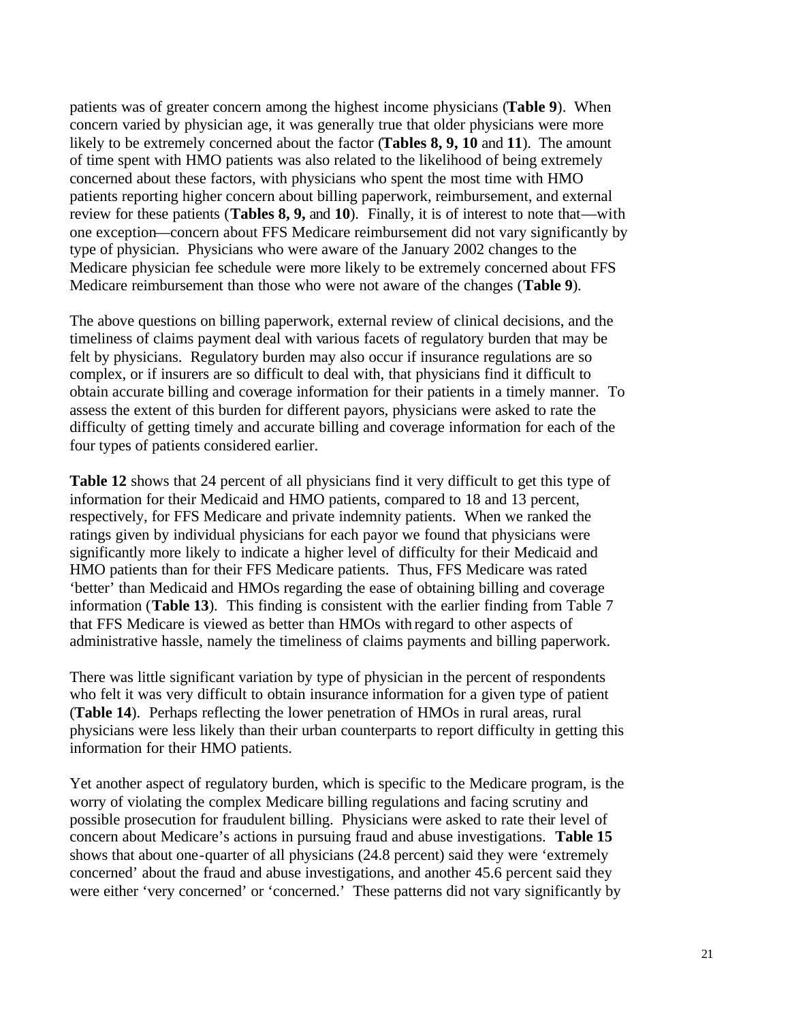patients was of greater concern among the highest income physicians (**Table 9**). When concern varied by physician age, it was generally true that older physicians were more likely to be extremely concerned about the factor (**Tables 8, 9, 10** and **11**). The amount of time spent with HMO patients was also related to the likelihood of being extremely concerned about these factors, with physicians who spent the most time with HMO patients reporting higher concern about billing paperwork, reimbursement, and external review for these patients (**Tables 8, 9,** and **10**). Finally, it is of interest to note that—with one exception—concern about FFS Medicare reimbursement did not vary significantly by type of physician. Physicians who were aware of the January 2002 changes to the Medicare physician fee schedule were more likely to be extremely concerned about FFS Medicare reimbursement than those who were not aware of the changes (**Table 9**).

The above questions on billing paperwork, external review of clinical decisions, and the timeliness of claims payment deal with various facets of regulatory burden that may be felt by physicians. Regulatory burden may also occur if insurance regulations are so complex, or if insurers are so difficult to deal with, that physicians find it difficult to obtain accurate billing and coverage information for their patients in a timely manner. To assess the extent of this burden for different payors, physicians were asked to rate the difficulty of getting timely and accurate billing and coverage information for each of the four types of patients considered earlier.

**Table 12** shows that 24 percent of all physicians find it very difficult to get this type of information for their Medicaid and HMO patients, compared to 18 and 13 percent, respectively, for FFS Medicare and private indemnity patients. When we ranked the ratings given by individual physicians for each payor we found that physicians were significantly more likely to indicate a higher level of difficulty for their Medicaid and HMO patients than for their FFS Medicare patients. Thus, FFS Medicare was rated 'better' than Medicaid and HMOs regarding the ease of obtaining billing and coverage information (**Table 13**). This finding is consistent with the earlier finding from Table 7 that FFS Medicare is viewed as better than HMOs with regard to other aspects of administrative hassle, namely the timeliness of claims payments and billing paperwork.

There was little significant variation by type of physician in the percent of respondents who felt it was very difficult to obtain insurance information for a given type of patient (**Table 14**). Perhaps reflecting the lower penetration of HMOs in rural areas, rural physicians were less likely than their urban counterparts to report difficulty in getting this information for their HMO patients.

Yet another aspect of regulatory burden, which is specific to the Medicare program, is the worry of violating the complex Medicare billing regulations and facing scrutiny and possible prosecution for fraudulent billing. Physicians were asked to rate their level of concern about Medicare's actions in pursuing fraud and abuse investigations. **Table 15** shows that about one-quarter of all physicians (24.8 percent) said they were 'extremely concerned' about the fraud and abuse investigations, and another 45.6 percent said they were either 'very concerned' or 'concerned.' These patterns did not vary significantly by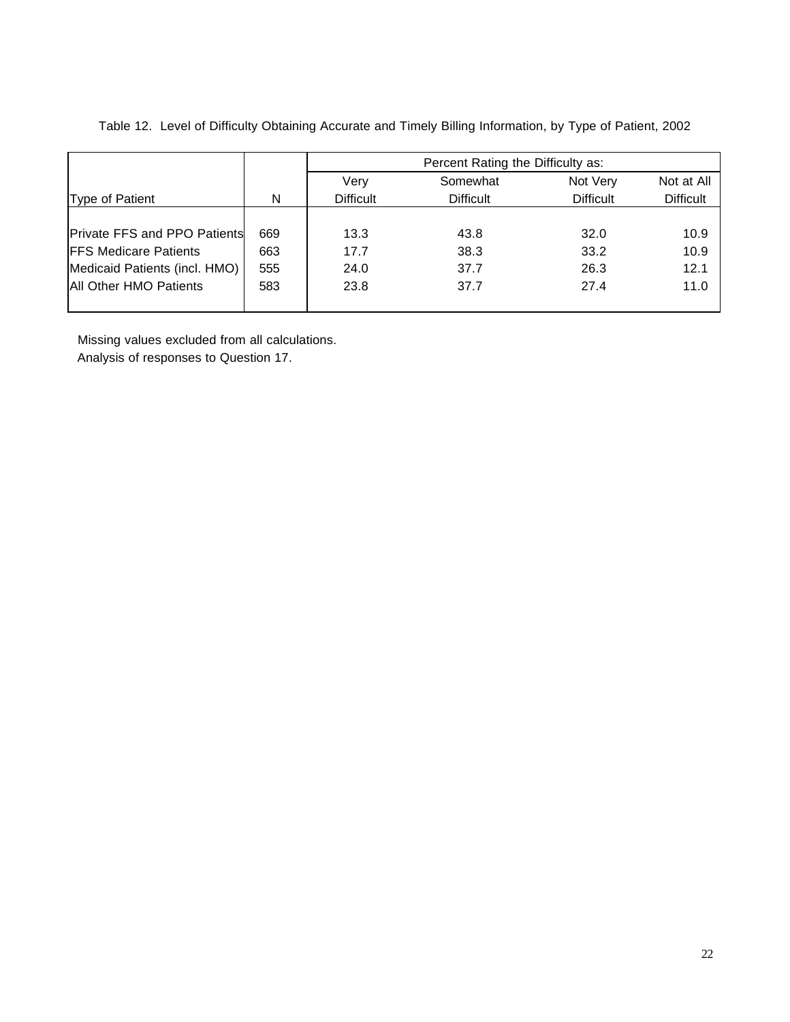|                                     |     | Percent Rating the Difficulty as: |                  |                  |                  |  |
|-------------------------------------|-----|-----------------------------------|------------------|------------------|------------------|--|
|                                     |     | Verv                              | Somewhat         | Not Very         | Not at All       |  |
| Type of Patient                     | N   | <b>Difficult</b>                  | <b>Difficult</b> | <b>Difficult</b> | <b>Difficult</b> |  |
|                                     |     |                                   |                  |                  |                  |  |
| <b>Private FFS and PPO Patients</b> | 669 | 13.3                              | 43.8             | 32.0             | 10.9             |  |
| <b>FFS Medicare Patients</b>        | 663 | 17.7                              | 38.3             | 33.2             | 10.9             |  |
| Medicaid Patients (incl. HMO)       | 555 | 24.0                              | 37.7             | 26.3             | 12.1             |  |
| All Other HMO Patients              | 583 | 23.8                              | 37.7             | 27.4             | 11.0             |  |
|                                     |     |                                   |                  |                  |                  |  |

Table 12. Level of Difficulty Obtaining Accurate and Timely Billing Information, by Type of Patient, 2002

Missing values excluded from all calculations.

Analysis of responses to Question 17.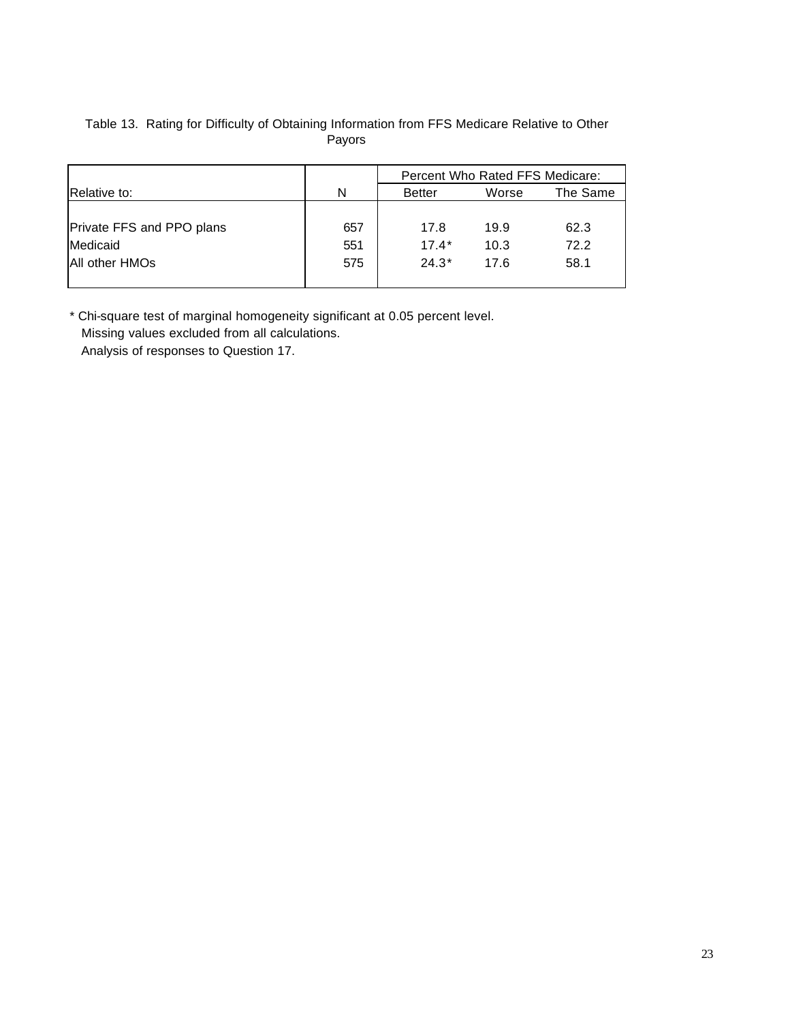| Table 13. Rating for Difficulty of Obtaining Information from FFS Medicare Relative to Other |
|----------------------------------------------------------------------------------------------|
| Pavors                                                                                       |

|                           |     | Percent Who Rated FFS Medicare: |       |          |  |
|---------------------------|-----|---------------------------------|-------|----------|--|
| Relative to:              | N   | <b>Better</b>                   | Worse | The Same |  |
|                           |     |                                 |       |          |  |
| Private FFS and PPO plans | 657 | 17.8                            | 19.9  | 62.3     |  |
| Medicaid                  | 551 | $17.4*$                         | 10.3  | 72.2     |  |
| All other HMOs            | 575 | $24.3*$                         | 17.6  | 58.1     |  |
|                           |     |                                 |       |          |  |

\* Chi-square test of marginal homogeneity significant at 0.05 percent level. Missing values excluded from all calculations.

Analysis of responses to Question 17.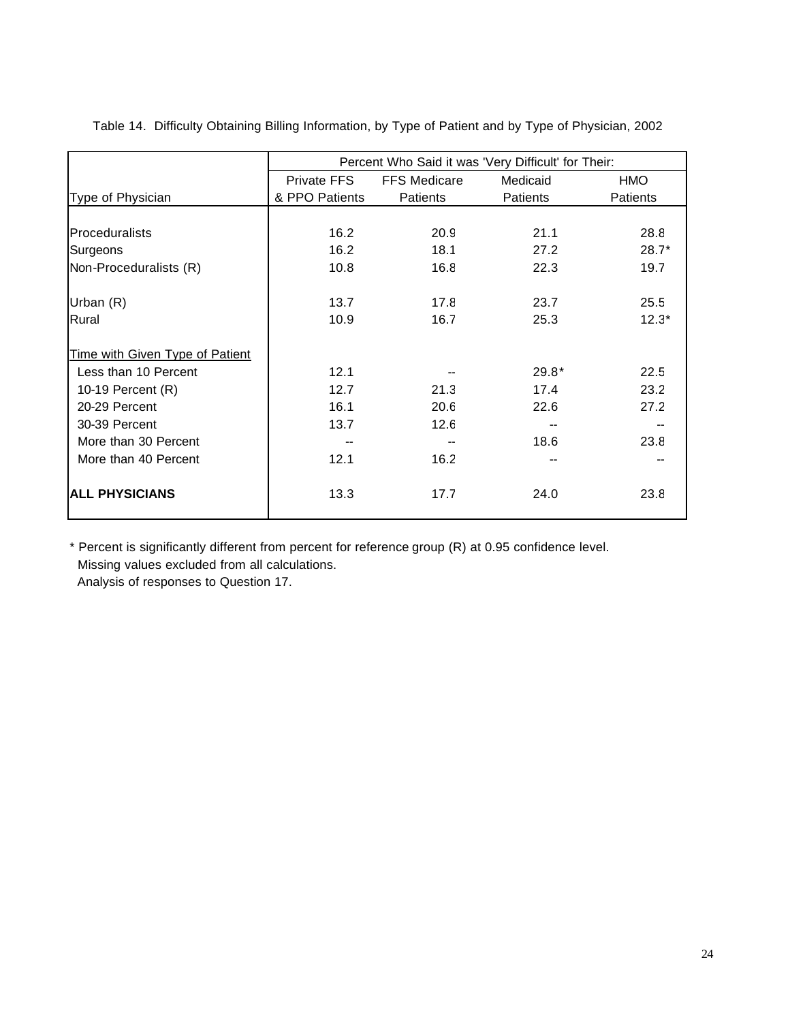|                                 | Percent Who Said it was 'Very Difficult' for Their: |                     |                 |                 |  |
|---------------------------------|-----------------------------------------------------|---------------------|-----------------|-----------------|--|
|                                 | Private FFS                                         | <b>FFS Medicare</b> | Medicaid        | <b>HMO</b>      |  |
| Type of Physician               | & PPO Patients                                      | <b>Patients</b>     | <b>Patients</b> | <b>Patients</b> |  |
|                                 |                                                     |                     |                 |                 |  |
| Proceduralists                  | 16.2                                                | 20.9                | 21.1            | 28.8            |  |
| Surgeons                        | 16.2                                                | 18.1                | 27.2            | $28.7*$         |  |
| Non-Proceduralists (R)          | 10.8                                                | 16.8                | 22.3            | 19.7            |  |
| Urban (R)                       | 13.7                                                | 17.8                | 23.7            | 25.5            |  |
| Rural                           | 10.9                                                | 16.7                | 25.3            | $12.3*$         |  |
| Time with Given Type of Patient |                                                     |                     |                 |                 |  |
| Less than 10 Percent            | 12.1                                                |                     | $29.8*$         | 22.5            |  |
| 10-19 Percent (R)               | 12.7                                                | 21.3                | 17.4            | 23.2            |  |
| 20-29 Percent                   | 16.1                                                | 20.6                | 22.6            | 27.2            |  |
| 30-39 Percent                   | 13.7                                                | 12.6                |                 |                 |  |
| More than 30 Percent            |                                                     |                     | 18.6            | 23.8            |  |
| More than 40 Percent            | 12.1                                                | 16.2                |                 |                 |  |
| <b>ALL PHYSICIANS</b>           | 13.3                                                | 17.7                | 24.0            | 23.8            |  |

Table 14. Difficulty Obtaining Billing Information, by Type of Patient and by Type of Physician, 2002

\* Percent is significantly different from percent for reference group (R) at 0.95 confidence level. Missing values excluded from all calculations.

Analysis of responses to Question 17.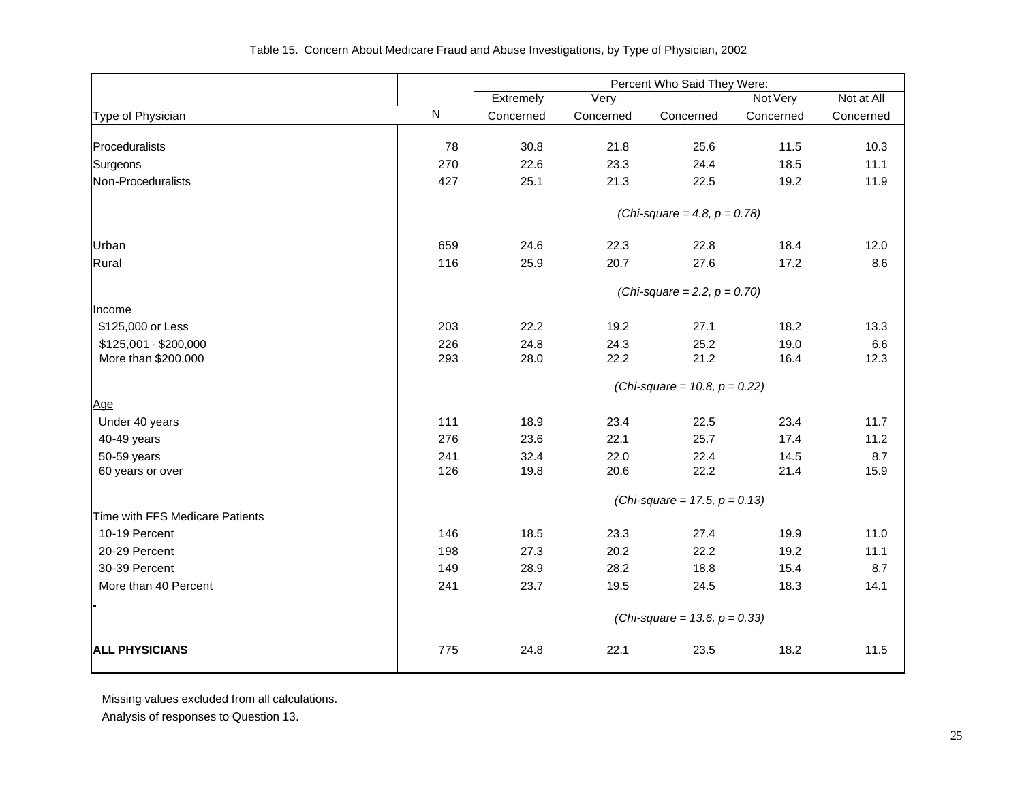|                                 |     | Percent Who Said They Were:      |           |                                  |           |            |
|---------------------------------|-----|----------------------------------|-----------|----------------------------------|-----------|------------|
|                                 |     | Extremely                        | Very      |                                  | Not Very  | Not at All |
| Type of Physician               | N   | Concerned                        | Concerned | Concerned                        | Concerned | Concerned  |
| Proceduralists                  | 78  | 30.8                             | 21.8      | 25.6                             | 11.5      | 10.3       |
| Surgeons                        | 270 | 22.6                             | 23.3      | 24.4                             | 18.5      | 11.1       |
| Non-Proceduralists              | 427 | 25.1                             | 21.3      | 22.5                             | 19.2      | 11.9       |
|                                 |     |                                  |           | (Chi-square = 4.8, $p = 0.78$ )  |           |            |
| Urban                           | 659 | 24.6                             | 22.3      | 22.8                             | 18.4      | 12.0       |
| Rural                           | 116 | 25.9                             | 20.7      | 27.6                             | 17.2      | 8.6        |
|                                 |     |                                  |           | (Chi-square = 2.2, $p = 0.70$ )  |           |            |
| Income                          |     |                                  |           |                                  |           |            |
| \$125,000 or Less               | 203 | 22.2                             | 19.2      | 27.1                             | 18.2      | 13.3       |
| \$125,001 - \$200,000           | 226 | 24.8                             | 24.3      | 25.2                             | 19.0      | 6.6        |
| More than \$200,000             | 293 | 28.0                             | 22.2      | 21.2                             | 16.4      | 12.3       |
|                                 |     |                                  |           | (Chi-square = 10.8, $p = 0.22$ ) |           |            |
| Age                             |     |                                  |           |                                  |           |            |
| Under 40 years                  | 111 | 18.9                             | 23.4      | 22.5                             | 23.4      | 11.7       |
| 40-49 years                     | 276 | 23.6                             | 22.1      | 25.7                             | 17.4      | 11.2       |
| 50-59 years                     | 241 | 32.4                             | 22.0      | 22.4                             | 14.5      | 8.7        |
| 60 years or over                | 126 | 19.8                             | 20.6      | 22.2                             | 21.4      | 15.9       |
|                                 |     |                                  |           | (Chi-square = 17.5, $p = 0.13$ ) |           |            |
| Time with FFS Medicare Patients |     |                                  |           |                                  |           |            |
| 10-19 Percent                   | 146 | 18.5                             | 23.3      | 27.4                             | 19.9      | 11.0       |
| 20-29 Percent                   | 198 | 27.3                             | 20.2      | 22.2                             | 19.2      | 11.1       |
| 30-39 Percent                   | 149 | 28.9                             | 28.2      | 18.8                             | 15.4      | 8.7        |
| More than 40 Percent            | 241 | 23.7                             | 19.5      | 24.5                             | 18.3      | 14.1       |
|                                 |     | (Chi-square = 13.6, $p = 0.33$ ) |           |                                  |           |            |
| <b>ALL PHYSICIANS</b>           | 775 | 24.8                             | 22.1      | 23.5                             | 18.2      | 11.5       |

Missing values excluded from all calculations.

Analysis of responses to Question 13.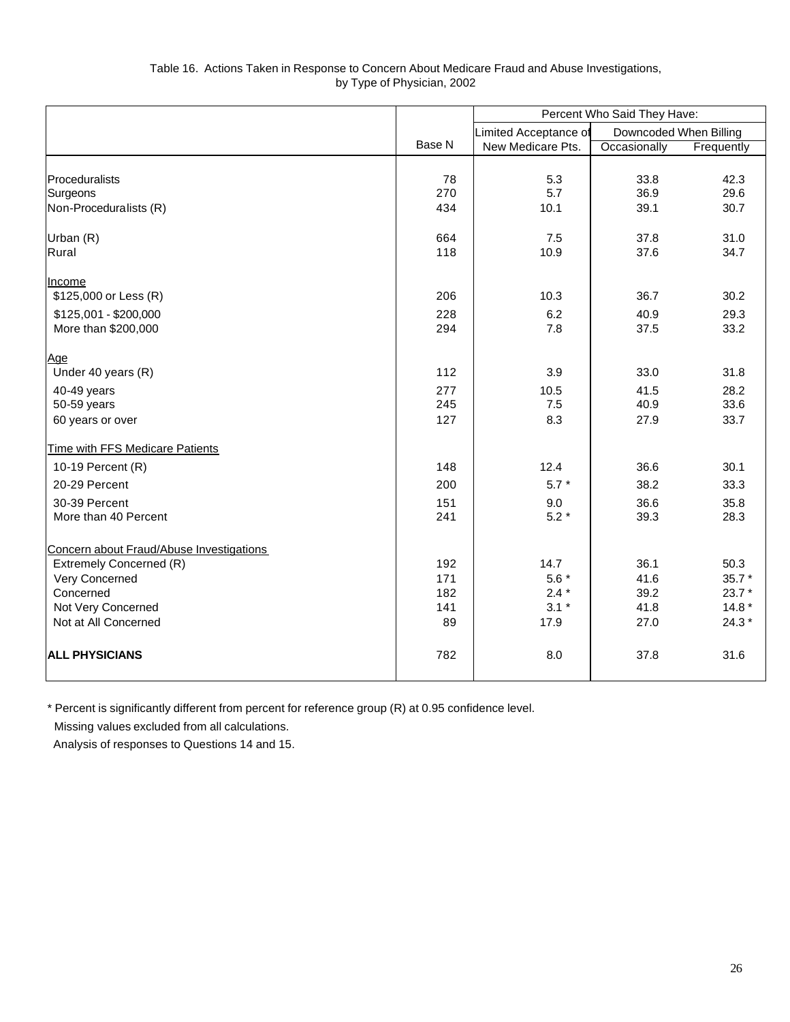| Table 16. Actions Taken in Response to Concern About Medicare Fraud and Abuse Investigations, |  |
|-----------------------------------------------------------------------------------------------|--|
| by Type of Physician, 2002                                                                    |  |

|                                          |                       | Percent Who Said They Have: |                        |            |
|------------------------------------------|-----------------------|-----------------------------|------------------------|------------|
|                                          | Limited Acceptance of |                             | Downcoded When Billing |            |
|                                          | Base N                | New Medicare Pts.           | Occasionally           | Frequently |
|                                          |                       |                             |                        |            |
| Proceduralists                           | 78                    | 5.3                         | 33.8                   | 42.3       |
| Surgeons                                 | 270                   | 5.7                         | 36.9                   | 29.6       |
| Non-Proceduralists (R)                   | 434                   | 10.1                        | 39.1                   | 30.7       |
| Urban (R)                                | 664                   | 7.5                         | 37.8                   | 31.0       |
| Rural                                    | 118                   | 10.9                        | 37.6                   | 34.7       |
| <b>Income</b>                            |                       |                             |                        |            |
| \$125,000 or Less (R)                    | 206                   | 10.3                        | 36.7                   | 30.2       |
| \$125,001 - \$200,000                    | 228                   | 6.2                         | 40.9                   | 29.3       |
| More than \$200,000                      | 294                   | 7.8                         | 37.5                   | 33.2       |
| Age                                      |                       |                             |                        |            |
| Under 40 years (R)                       | 112                   | 3.9                         | 33.0                   | 31.8       |
| 40-49 years                              | 277                   | 10.5                        | 41.5                   | 28.2       |
| 50-59 years                              | 245                   | 7.5                         | 40.9                   | 33.6       |
| 60 years or over                         | 127                   | 8.3                         | 27.9                   | 33.7       |
| Time with FFS Medicare Patients          |                       |                             |                        |            |
| 10-19 Percent (R)                        | 148                   | 12.4                        | 36.6                   | 30.1       |
| 20-29 Percent                            | 200                   | $5.7 *$                     | 38.2                   | 33.3       |
| 30-39 Percent                            | 151                   | 9.0                         | 36.6                   | 35.8       |
| More than 40 Percent                     | 241                   | $5.2*$                      | 39.3                   | 28.3       |
| Concern about Fraud/Abuse Investigations |                       |                             |                        |            |
| Extremely Concerned (R)                  | 192                   | 14.7                        | 36.1                   | 50.3       |
| Very Concerned                           | 171                   | $5.6*$                      | 41.6                   | 35.7 *     |
| Concerned                                | 182                   | $2.4 *$                     | 39.2                   | $23.7*$    |
| Not Very Concerned                       | 141                   | $3.1 *$                     | 41.8                   | $14.8*$    |
| Not at All Concerned                     | 89                    | 17.9                        | 27.0                   | $24.3*$    |
| <b>ALL PHYSICIANS</b>                    | 782                   | 8.0                         | 37.8                   | 31.6       |

\* Percent is significantly different from percent for reference group (R) at 0.95 confidence level.

Missing values excluded from all calculations.

Analysis of responses to Questions 14 and 15.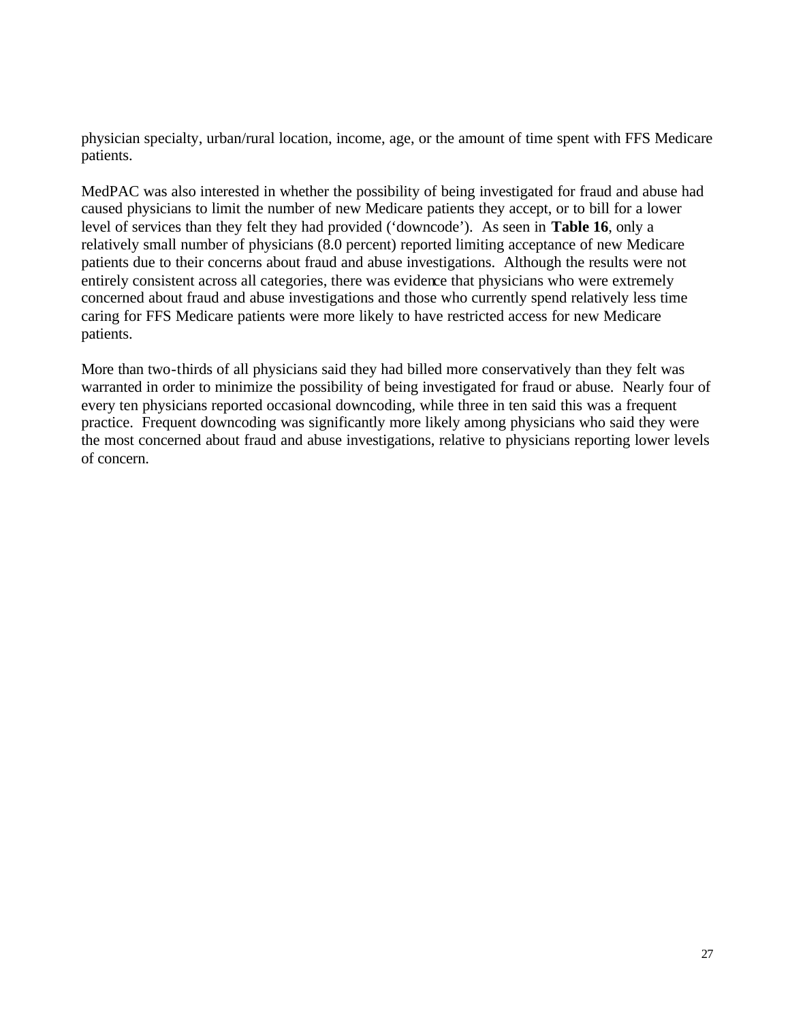physician specialty, urban/rural location, income, age, or the amount of time spent with FFS Medicare patients.

MedPAC was also interested in whether the possibility of being investigated for fraud and abuse had caused physicians to limit the number of new Medicare patients they accept, or to bill for a lower level of services than they felt they had provided ('downcode'). As seen in **Table 16**, only a relatively small number of physicians (8.0 percent) reported limiting acceptance of new Medicare patients due to their concerns about fraud and abuse investigations. Although the results were not entirely consistent across all categories, there was evidence that physicians who were extremely concerned about fraud and abuse investigations and those who currently spend relatively less time caring for FFS Medicare patients were more likely to have restricted access for new Medicare patients.

More than two-thirds of all physicians said they had billed more conservatively than they felt was warranted in order to minimize the possibility of being investigated for fraud or abuse. Nearly four of every ten physicians reported occasional downcoding, while three in ten said this was a frequent practice. Frequent downcoding was significantly more likely among physicians who said they were the most concerned about fraud and abuse investigations, relative to physicians reporting lower levels of concern.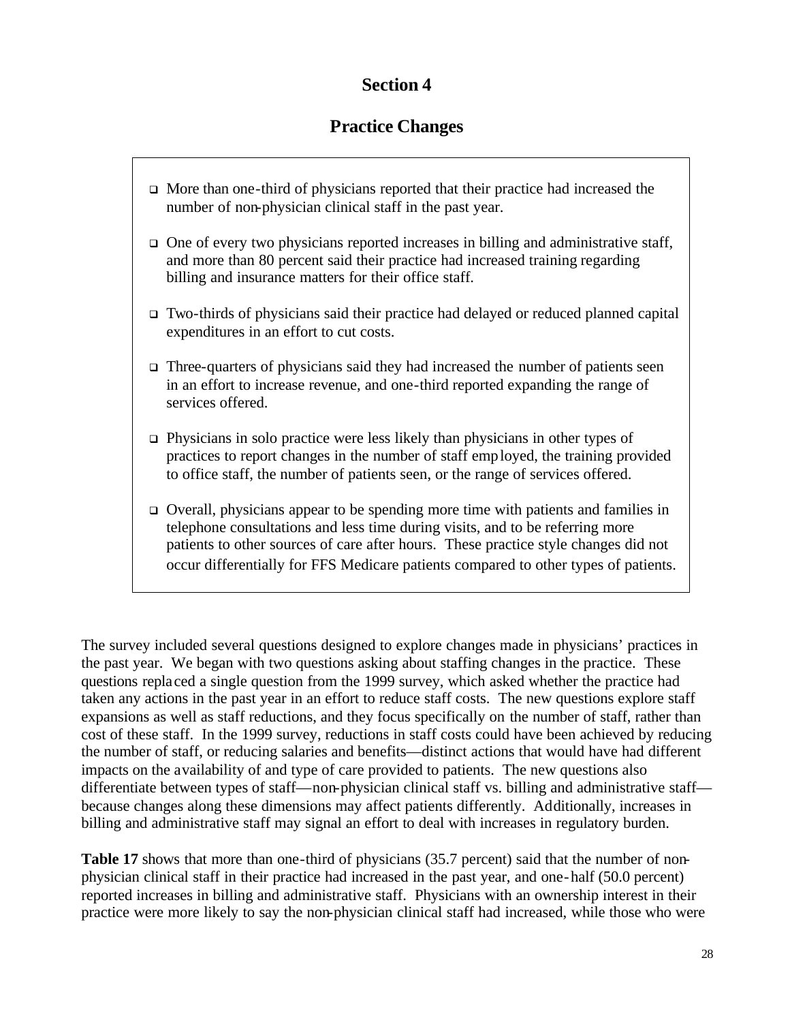## **Section 4**

# **Practice Changes**

- $\Box$  More than one-third of physicians reported that their practice had increased the number of non-physician clinical staff in the past year.
- $\Box$  One of every two physicians reported increases in billing and administrative staff, and more than 80 percent said their practice had increased training regarding billing and insurance matters for their office staff.
- $\Box$  Two-thirds of physicians said their practice had delayed or reduced planned capital expenditures in an effort to cut costs.
- $\Box$  Three-quarters of physicians said they had increased the number of patients seen in an effort to increase revenue, and one-third reported expanding the range of services offered.
- $\Box$  Physicians in solo practice were less likely than physicians in other types of practices to report changes in the number of staff employed, the training provided to office staff, the number of patients seen, or the range of services offered.
- $\Box$  Overall, physicians appear to be spending more time with patients and families in telephone consultations and less time during visits, and to be referring more patients to other sources of care after hours. These practice style changes did not occur differentially for FFS Medicare patients compared to other types of patients.

The survey included several questions designed to explore changes made in physicians' practices in the past year. We began with two questions asking about staffing changes in the practice. These questions replaced a single question from the 1999 survey, which asked whether the practice had taken any actions in the past year in an effort to reduce staff costs. The new questions explore staff expansions as well as staff reductions, and they focus specifically on the number of staff, rather than cost of these staff. In the 1999 survey, reductions in staff costs could have been achieved by reducing the number of staff, or reducing salaries and benefits—distinct actions that would have had different impacts on the availability of and type of care provided to patients. The new questions also differentiate between types of staff—non-physician clinical staff vs. billing and administrative staff because changes along these dimensions may affect patients differently. Additionally, increases in billing and administrative staff may signal an effort to deal with increases in regulatory burden.

**Table 17** shows that more than one-third of physicians (35.7 percent) said that the number of nonphysician clinical staff in their practice had increased in the past year, and one-half (50.0 percent) reported increases in billing and administrative staff. Physicians with an ownership interest in their practice were more likely to say the non-physician clinical staff had increased, while those who were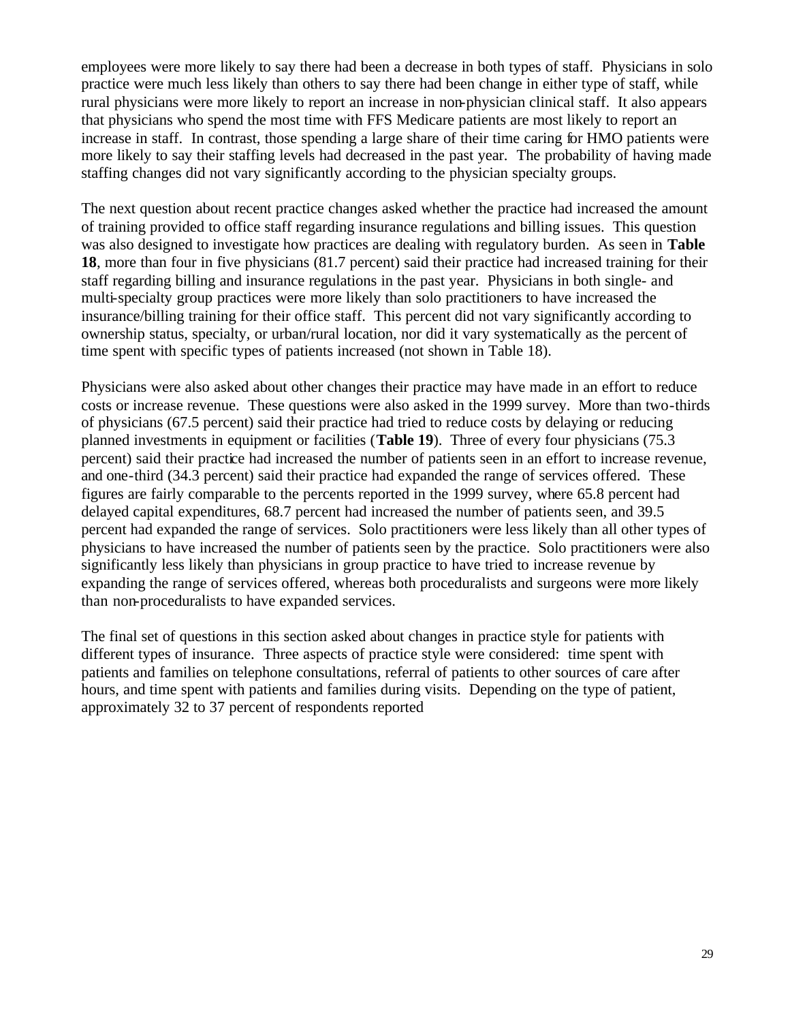employees were more likely to say there had been a decrease in both types of staff. Physicians in solo practice were much less likely than others to say there had been change in either type of staff, while rural physicians were more likely to report an increase in non-physician clinical staff. It also appears that physicians who spend the most time with FFS Medicare patients are most likely to report an increase in staff. In contrast, those spending a large share of their time caring for HMO patients were more likely to say their staffing levels had decreased in the past year. The probability of having made staffing changes did not vary significantly according to the physician specialty groups.

The next question about recent practice changes asked whether the practice had increased the amount of training provided to office staff regarding insurance regulations and billing issues. This question was also designed to investigate how practices are dealing with regulatory burden. As seen in **Table 18**, more than four in five physicians (81.7 percent) said their practice had increased training for their staff regarding billing and insurance regulations in the past year. Physicians in both single- and multi-specialty group practices were more likely than solo practitioners to have increased the insurance/billing training for their office staff. This percent did not vary significantly according to ownership status, specialty, or urban/rural location, nor did it vary systematically as the percent of time spent with specific types of patients increased (not shown in Table 18).

Physicians were also asked about other changes their practice may have made in an effort to reduce costs or increase revenue. These questions were also asked in the 1999 survey. More than two-thirds of physicians (67.5 percent) said their practice had tried to reduce costs by delaying or reducing planned investments in equipment or facilities (**Table 19**). Three of every four physicians (75.3 percent) said their practice had increased the number of patients seen in an effort to increase revenue, and one-third (34.3 percent) said their practice had expanded the range of services offered. These figures are fairly comparable to the percents reported in the 1999 survey, where 65.8 percent had delayed capital expenditures, 68.7 percent had increased the number of patients seen, and 39.5 percent had expanded the range of services. Solo practitioners were less likely than all other types of physicians to have increased the number of patients seen by the practice. Solo practitioners were also significantly less likely than physicians in group practice to have tried to increase revenue by expanding the range of services offered, whereas both proceduralists and surgeons were more likely than non-proceduralists to have expanded services.

The final set of questions in this section asked about changes in practice style for patients with different types of insurance. Three aspects of practice style were considered: time spent with patients and families on telephone consultations, referral of patients to other sources of care after hours, and time spent with patients and families during visits. Depending on the type of patient, approximately 32 to 37 percent of respondents reported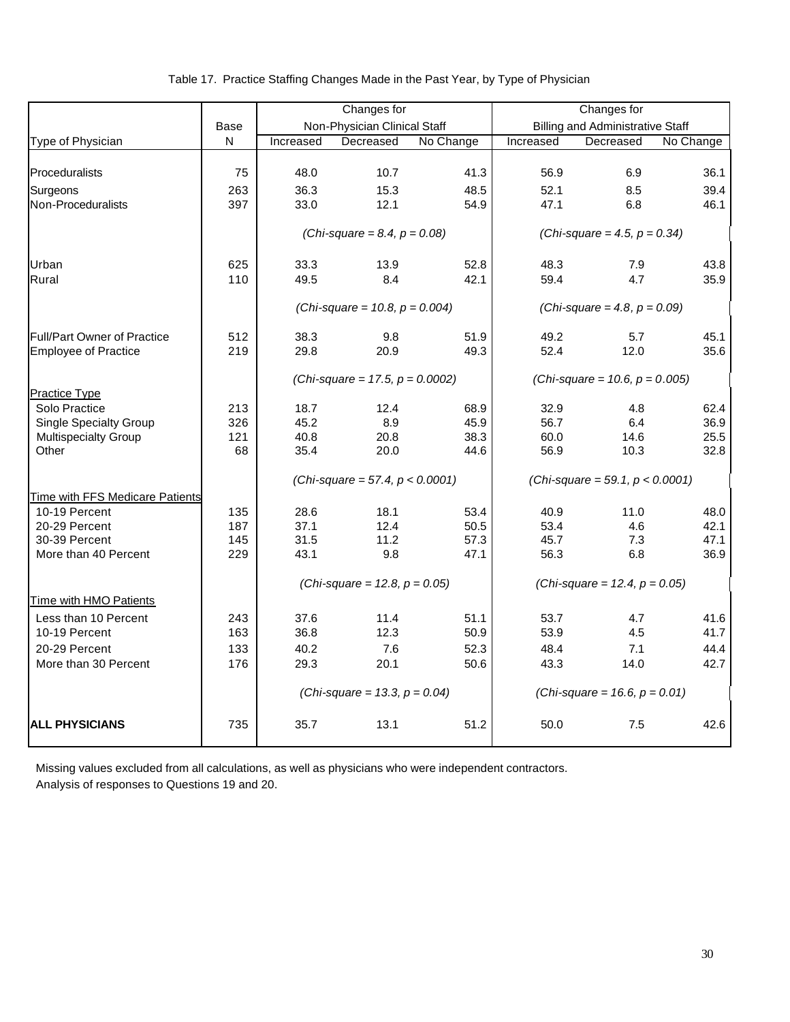|  | Table 17. Practice Staffing Changes Made in the Past Year, by Type of Physician |  |
|--|---------------------------------------------------------------------------------|--|
|  |                                                                                 |  |

|                                        |              | Changes for  |                                    |              | Changes for  |                                         |              |
|----------------------------------------|--------------|--------------|------------------------------------|--------------|--------------|-----------------------------------------|--------------|
|                                        | Base         |              | Non-Physician Clinical Staff       |              |              | <b>Billing and Administrative Staff</b> |              |
| Type of Physician                      | $\mathsf{N}$ | Increased    | Decreased                          | No Change    | Increased    | Decreased                               | No Change    |
|                                        |              |              |                                    |              |              |                                         |              |
| Proceduralists                         | 75           | 48.0         | 10.7                               | 41.3         | 56.9         | 6.9                                     | 36.1         |
| Surgeons                               | 263          | 36.3         | 15.3                               | 48.5         | 52.1         | 8.5                                     | 39.4         |
| Non-Proceduralists                     | 397          | 33.0         | 12.1                               | 54.9         | 47.1         | 6.8                                     | 46.1         |
|                                        |              |              | (Chi-square = 8.4, $p = 0.08$ )    |              |              | (Chi-square = 4.5, $p = 0.34$ )         |              |
| Urban                                  | 625          | 33.3         | 13.9                               | 52.8         | 48.3         | 7.9                                     | 43.8         |
| Rural                                  | 110          | 49.5         | 8.4                                | 42.1         | 59.4         | 4.7                                     | 35.9         |
|                                        |              |              | (Chi-square = 10.8, $p = 0.004$ )  |              |              | (Chi-square = 4.8, $p = 0.09$ )         |              |
| <b>Full/Part Owner of Practice</b>     | 512          | 38.3         | 9.8                                | 51.9         | 49.2         | 5.7                                     | 45.1         |
| <b>Employee of Practice</b>            | 219          | 29.8         | 20.9                               | 49.3         | 52.4         | 12.0                                    | 35.6         |
|                                        |              |              | (Chi-square = 17.5, $p = 0.0002$ ) |              |              | (Chi-square = 10.6, $p = 0.005$ )       |              |
| Practice Type                          |              |              |                                    |              |              |                                         |              |
| Solo Practice                          | 213          | 18.7         | 12.4                               | 68.9         | 32.9         | 4.8                                     | 62.4         |
| <b>Single Specialty Group</b>          | 326          | 45.2         | 8.9                                | 45.9         | 56.7         | 6.4                                     | 36.9         |
| Multispecialty Group<br>Other          | 121<br>68    | 40.8<br>35.4 | 20.8<br>20.0                       | 38.3<br>44.6 | 60.0<br>56.9 | 14.6<br>10.3                            | 25.5<br>32.8 |
|                                        |              |              |                                    |              |              |                                         |              |
|                                        |              |              | (Chi-square = 57.4, $p < 0.0001$ ) |              |              | (Chi-square = 59.1, $p < 0.0001$ )      |              |
| <b>Time with FFS Medicare Patients</b> |              |              |                                    |              |              |                                         |              |
| 10-19 Percent                          | 135          | 28.6         | 18.1                               | 53.4         | 40.9         | 11.0                                    | 48.0         |
| 20-29 Percent                          | 187          | 37.1<br>31.5 | 12.4                               | 50.5<br>57.3 | 53.4         | 4.6                                     | 42.1         |
| 30-39 Percent<br>More than 40 Percent  | 145<br>229   | 43.1         | 11.2<br>9.8                        | 47.1         | 45.7<br>56.3 | 7.3<br>6.8                              | 47.1<br>36.9 |
|                                        |              |              |                                    |              |              |                                         |              |
|                                        |              |              | (Chi-square = 12.8, $p = 0.05$ )   |              |              | (Chi-square = 12.4, $p = 0.05$ )        |              |
| Time with HMO Patients                 |              |              |                                    |              |              |                                         |              |
| Less than 10 Percent                   | 243          | 37.6         | 11.4                               | 51.1         | 53.7         | 4.7                                     | 41.6         |
| 10-19 Percent                          | 163          | 36.8         | 12.3                               | 50.9         | 53.9         | 4.5                                     | 41.7         |
| 20-29 Percent                          | 133          | 40.2         | 7.6                                | 52.3         | 48.4         | 7.1                                     | 44.4         |
| More than 30 Percent                   | 176          | 29.3         | 20.1                               | 50.6         | 43.3         | 14.0                                    | 42.7         |
|                                        |              |              | (Chi-square = 13.3, $p = 0.04$ )   |              |              | (Chi-square = 16.6, $p = 0.01$ )        |              |
| <b>ALL PHYSICIANS</b>                  | 735          | 35.7         | 13.1                               | 51.2         | 50.0         | 7.5                                     | 42.6         |

 Missing values excluded from all calculations, as well as physicians who were independent contractors. Analysis of responses to Questions 19 and 20.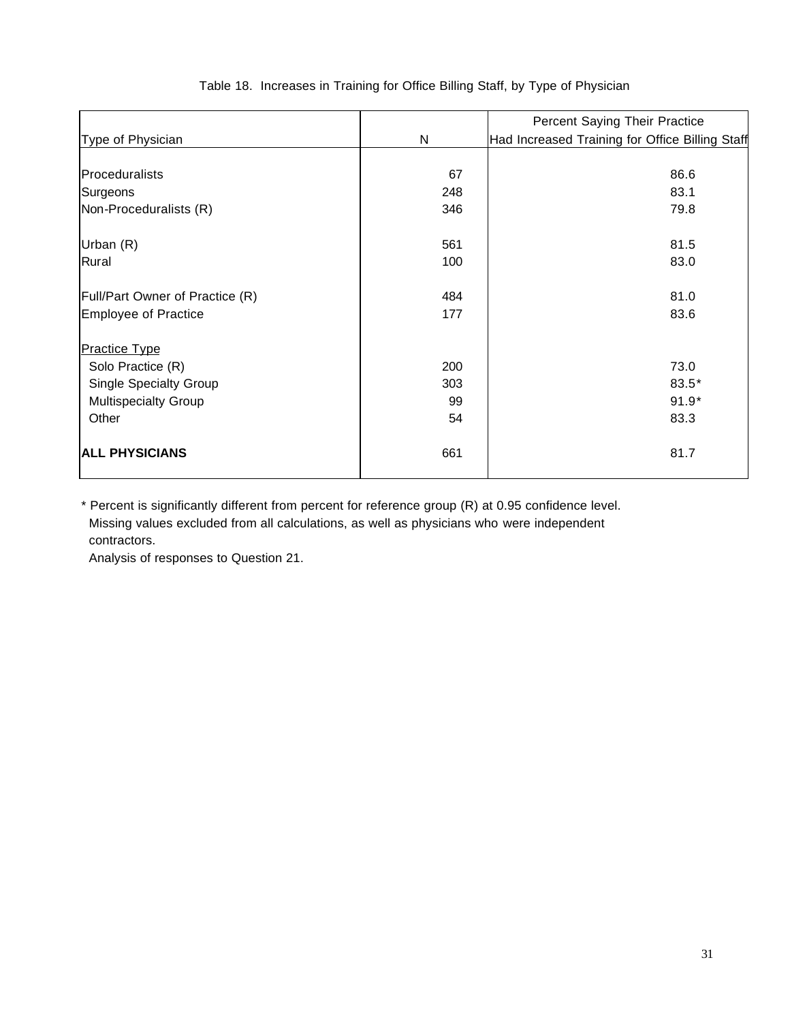|                                 |     | Percent Saying Their Practice                   |
|---------------------------------|-----|-------------------------------------------------|
| Type of Physician               | N   | Had Increased Training for Office Billing Staff |
|                                 |     |                                                 |
| Proceduralists                  | 67  | 86.6                                            |
| Surgeons                        | 248 | 83.1                                            |
| Non-Proceduralists (R)          | 346 | 79.8                                            |
|                                 |     |                                                 |
| Urban (R)                       | 561 | 81.5                                            |
| Rural                           | 100 | 83.0                                            |
|                                 |     |                                                 |
| Full/Part Owner of Practice (R) | 484 | 81.0                                            |
| Employee of Practice            | 177 | 83.6                                            |
|                                 |     |                                                 |
| <b>Practice Type</b>            |     |                                                 |
| Solo Practice (R)               | 200 | 73.0                                            |
| Single Specialty Group          | 303 | 83.5*                                           |
| Multispecialty Group            | 99  | $91.9*$                                         |
| Other                           | 54  | 83.3                                            |
| <b>ALL PHYSICIANS</b>           | 661 | 81.7                                            |

#### Table 18. Increases in Training for Office Billing Staff, by Type of Physician

\* Percent is significantly different from percent for reference group (R) at 0.95 confidence level. Missing values excluded from all calculations, as well as physicians who were independent contractors.

Analysis of responses to Question 21.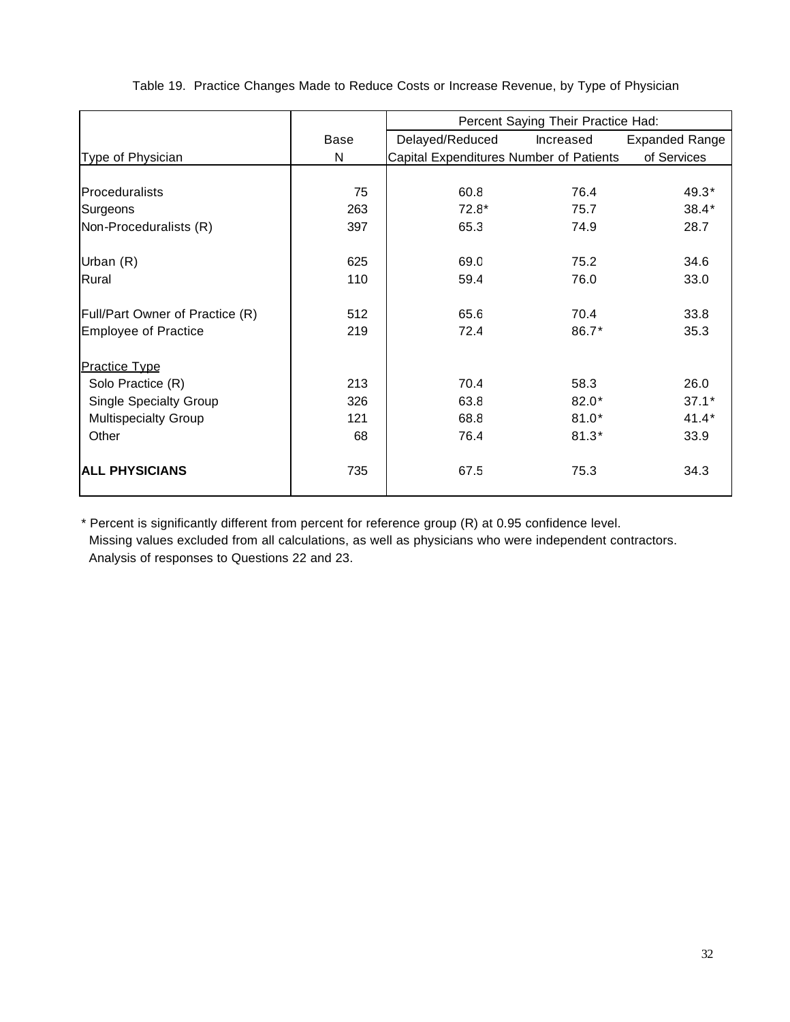|                                 |      | Percent Saying Their Practice Had:      |           |                       |  |
|---------------------------------|------|-----------------------------------------|-----------|-----------------------|--|
|                                 | Base | Delayed/Reduced                         | Increased | <b>Expanded Range</b> |  |
| Type of Physician               | N    | Capital Expenditures Number of Patients |           | of Services           |  |
|                                 |      |                                         |           |                       |  |
| <b>Proceduralists</b>           | 75   | 60.8                                    | 76.4      | 49.3*                 |  |
| Surgeons                        | 263  | $72.8*$                                 | 75.7      | $38.4*$               |  |
| Non-Proceduralists (R)          | 397  | 65.3                                    | 74.9      | 28.7                  |  |
|                                 |      |                                         |           |                       |  |
| Urban (R)                       | 625  | 69.0                                    | 75.2      | 34.6                  |  |
| Rural                           | 110  | 59.4                                    | 76.0      | 33.0                  |  |
|                                 |      |                                         |           |                       |  |
| Full/Part Owner of Practice (R) | 512  | 65.6                                    | 70.4      | 33.8                  |  |
| <b>Employee of Practice</b>     | 219  | 72.4                                    | 86.7*     | 35.3                  |  |
|                                 |      |                                         |           |                       |  |
| <b>Practice Type</b>            |      |                                         |           |                       |  |
| Solo Practice (R)               | 213  | 70.4                                    | 58.3      | 26.0                  |  |
| <b>Single Specialty Group</b>   | 326  | 63.8                                    | $82.0*$   | $37.1*$               |  |
| <b>Multispecialty Group</b>     | 121  | 68.8                                    | $81.0*$   | $41.4*$               |  |
| Other                           | 68   | 76.4                                    | $81.3*$   | 33.9                  |  |
|                                 |      |                                         |           |                       |  |
| <b>ALL PHYSICIANS</b>           | 735  | 67.5                                    | 75.3      | 34.3                  |  |
|                                 |      |                                         |           |                       |  |

Table 19. Practice Changes Made to Reduce Costs or Increase Revenue, by Type of Physician

\* Percent is significantly different from percent for reference group (R) at 0.95 confidence level. Missing values excluded from all calculations, as well as physicians who were independent contractors. Analysis of responses to Questions 22 and 23.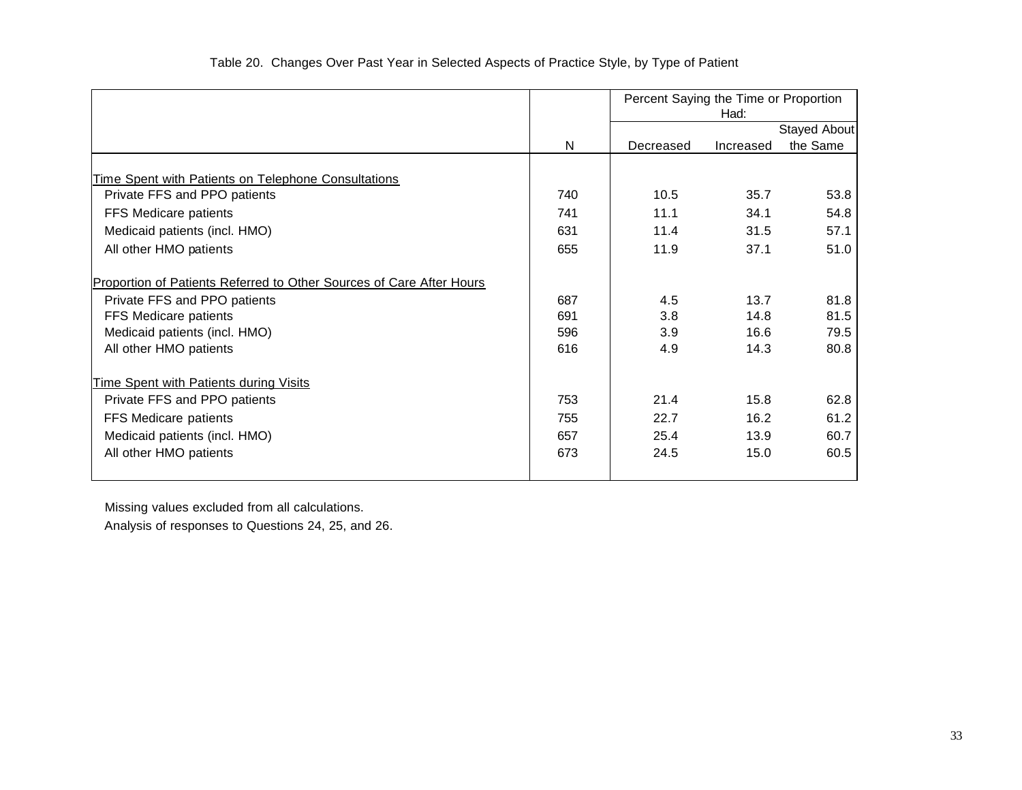|                                                                      |     | Percent Saying the Time or Proportion | Had:      |              |
|----------------------------------------------------------------------|-----|---------------------------------------|-----------|--------------|
|                                                                      |     |                                       |           | Stayed About |
|                                                                      | N   | Decreased                             | Increased | the Same     |
|                                                                      |     |                                       |           |              |
| Time Spent with Patients on Telephone Consultations                  |     |                                       |           |              |
| Private FFS and PPO patients                                         | 740 | 10.5                                  | 35.7      | 53.8         |
| FFS Medicare patients                                                | 741 | 11.1                                  | 34.1      | 54.8         |
| Medicaid patients (incl. HMO)                                        | 631 | 11.4                                  | 31.5      | 57.1         |
| All other HMO patients                                               | 655 | 11.9                                  | 37.1      | 51.0         |
| Proportion of Patients Referred to Other Sources of Care After Hours |     |                                       |           |              |
| Private FFS and PPO patients                                         | 687 | 4.5                                   | 13.7      | 81.8         |
| FFS Medicare patients                                                | 691 | 3.8                                   | 14.8      | 81.5         |
| Medicaid patients (incl. HMO)                                        | 596 | 3.9                                   | 16.6      | 79.5         |
| All other HMO patients                                               | 616 | 4.9                                   | 14.3      | 80.8         |
| <b>Time Spent with Patients during Visits</b>                        |     |                                       |           |              |
| Private FFS and PPO patients                                         | 753 | 21.4                                  | 15.8      | 62.8         |
| FFS Medicare patients                                                | 755 | 22.7                                  | 16.2      | 61.2         |
| Medicaid patients (incl. HMO)                                        | 657 | 25.4                                  | 13.9      | 60.7         |
| All other HMO patients                                               | 673 | 24.5                                  | 15.0      | 60.5         |
|                                                                      |     |                                       |           |              |

 Missing values excluded from all calculations. Analysis of responses to Questions 24, 25, and 26.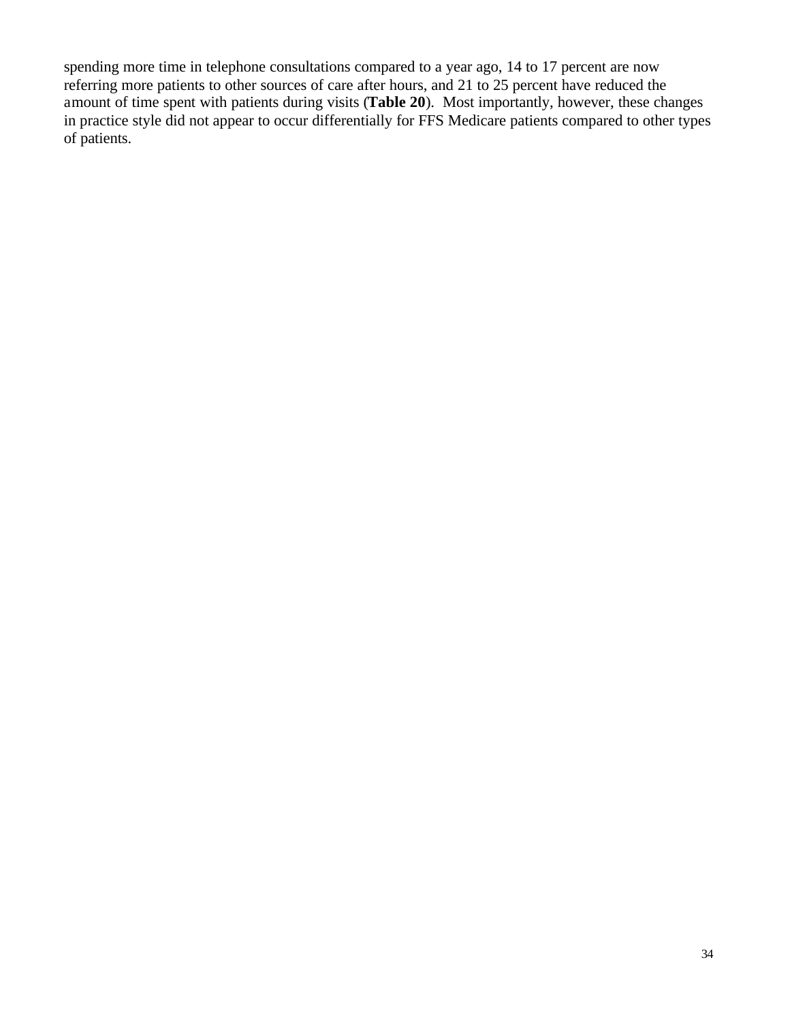spending more time in telephone consultations compared to a year ago, 14 to 17 percent are now referring more patients to other sources of care after hours, and 21 to 25 percent have reduced the amount of time spent with patients during visits (**Table 20**). Most importantly, however, these changes in practice style did not appear to occur differentially for FFS Medicare patients compared to other types of patients.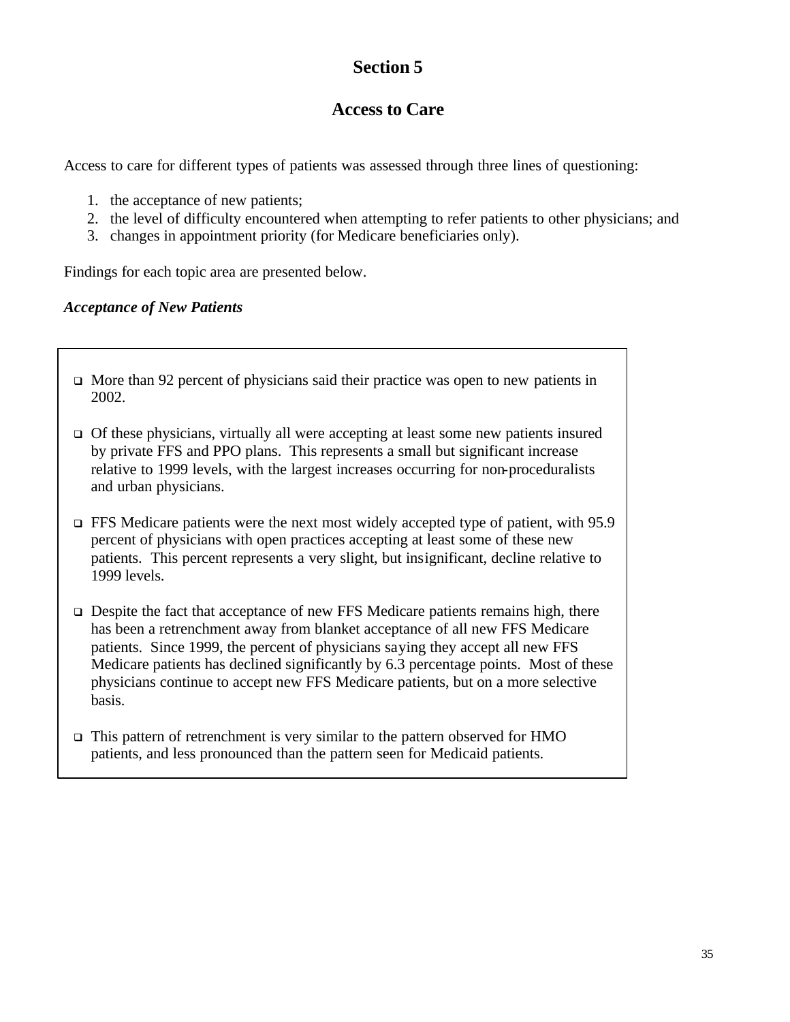# **Section 5**

## **Access to Care**

Access to care for different types of patients was assessed through three lines of questioning:

- 1. the acceptance of new patients;
- 2. the level of difficulty encountered when attempting to refer patients to other physicians; and
- 3. changes in appointment priority (for Medicare beneficiaries only).

Findings for each topic area are presented below.

#### *Acceptance of New Patients*

- $\Box$  More than 92 percent of physicians said their practice was open to new patients in 2002.
- $\Box$  Of these physicians, virtually all were accepting at least some new patients insured by private FFS and PPO plans. This represents a small but significant increase relative to 1999 levels, with the largest increases occurring for non-proceduralists and urban physicians.
- $\Box$  FFS Medicare patients were the next most widely accepted type of patient, with 95.9 percent of physicians with open practices accepting at least some of these new patients. This percent represents a very slight, but insignificant, decline relative to 1999 levels.
- $\Box$  Despite the fact that acceptance of new FFS Medicare patients remains high, there has been a retrenchment away from blanket acceptance of all new FFS Medicare patients. Since 1999, the percent of physicians saying they accept all new FFS Medicare patients has declined significantly by 6.3 percentage points. Most of these physicians continue to accept new FFS Medicare patients, but on a more selective basis.
- $\Box$  This pattern of retrenchment is very similar to the pattern observed for HMO patients, and less pronounced than the pattern seen for Medicaid patients.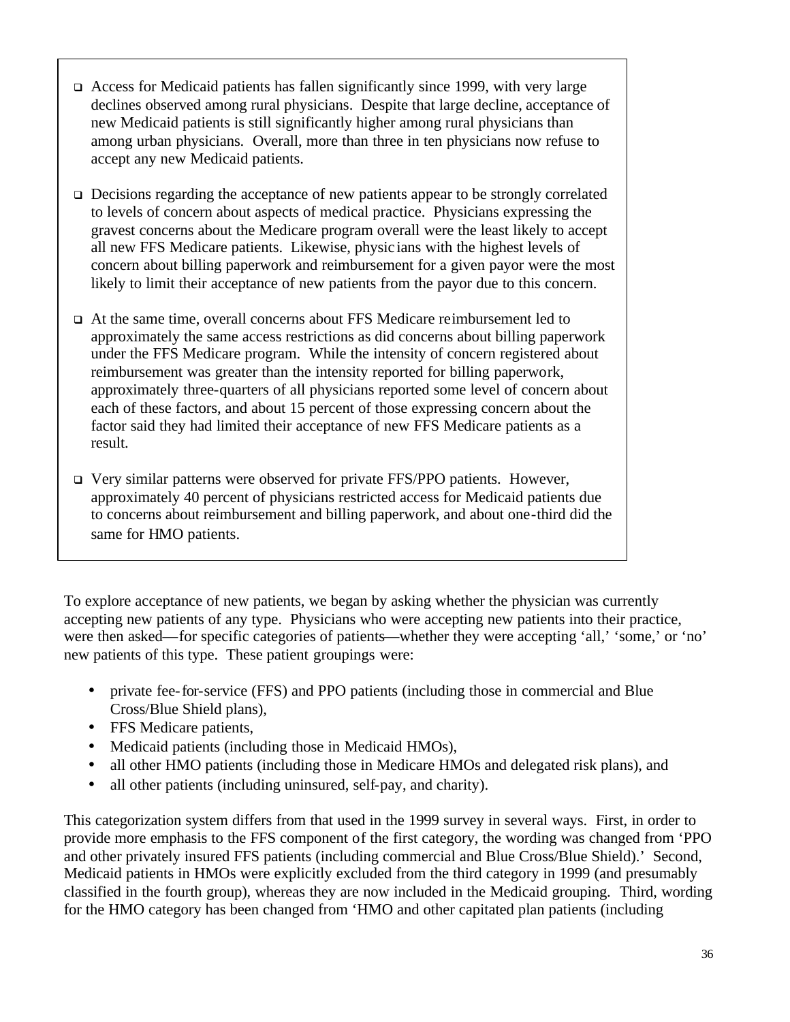- $\Box$  Access for Medicaid patients has fallen significantly since 1999, with very large declines observed among rural physicians. Despite that large decline, acceptance of new Medicaid patients is still significantly higher among rural physicians than among urban physicians. Overall, more than three in ten physicians now refuse to accept any new Medicaid patients.
- $\Box$  Decisions regarding the acceptance of new patients appear to be strongly correlated to levels of concern about aspects of medical practice. Physicians expressing the gravest concerns about the Medicare program overall were the least likely to accept all new FFS Medicare patients. Likewise, physic ians with the highest levels of concern about billing paperwork and reimbursement for a given payor were the most likely to limit their acceptance of new patients from the payor due to this concern.
- <sup>q</sup> At the same time, overall concerns about FFS Medicare reimbursement led to approximately the same access restrictions as did concerns about billing paperwork under the FFS Medicare program. While the intensity of concern registered about reimbursement was greater than the intensity reported for billing paperwork, approximately three-quarters of all physicians reported some level of concern about each of these factors, and about 15 percent of those expressing concern about the factor said they had limited their acceptance of new FFS Medicare patients as a result.
- □ Very similar patterns were observed for private FFS/PPO patients. However, approximately 40 percent of physicians restricted access for Medicaid patients due to concerns about reimbursement and billing paperwork, and about one-third did the same for HMO patients.

To explore acceptance of new patients, we began by asking whether the physician was currently accepting new patients of any type. Physicians who were accepting new patients into their practice, were then asked—for specific categories of patients—whether they were accepting 'all,' 'some,' or 'no' new patients of this type. These patient groupings were:

- private fee-for-service (FFS) and PPO patients (including those in commercial and Blue Cross/Blue Shield plans),
- FFS Medicare patients,
- Medicaid patients (including those in Medicaid HMOs),
- all other HMO patients (including those in Medicare HMOs and delegated risk plans), and
- all other patients (including uninsured, self-pay, and charity).

This categorization system differs from that used in the 1999 survey in several ways. First, in order to provide more emphasis to the FFS component of the first category, the wording was changed from 'PPO and other privately insured FFS patients (including commercial and Blue Cross/Blue Shield).' Second, Medicaid patients in HMOs were explicitly excluded from the third category in 1999 (and presumably classified in the fourth group), whereas they are now included in the Medicaid grouping. Third, wording for the HMO category has been changed from 'HMO and other capitated plan patients (including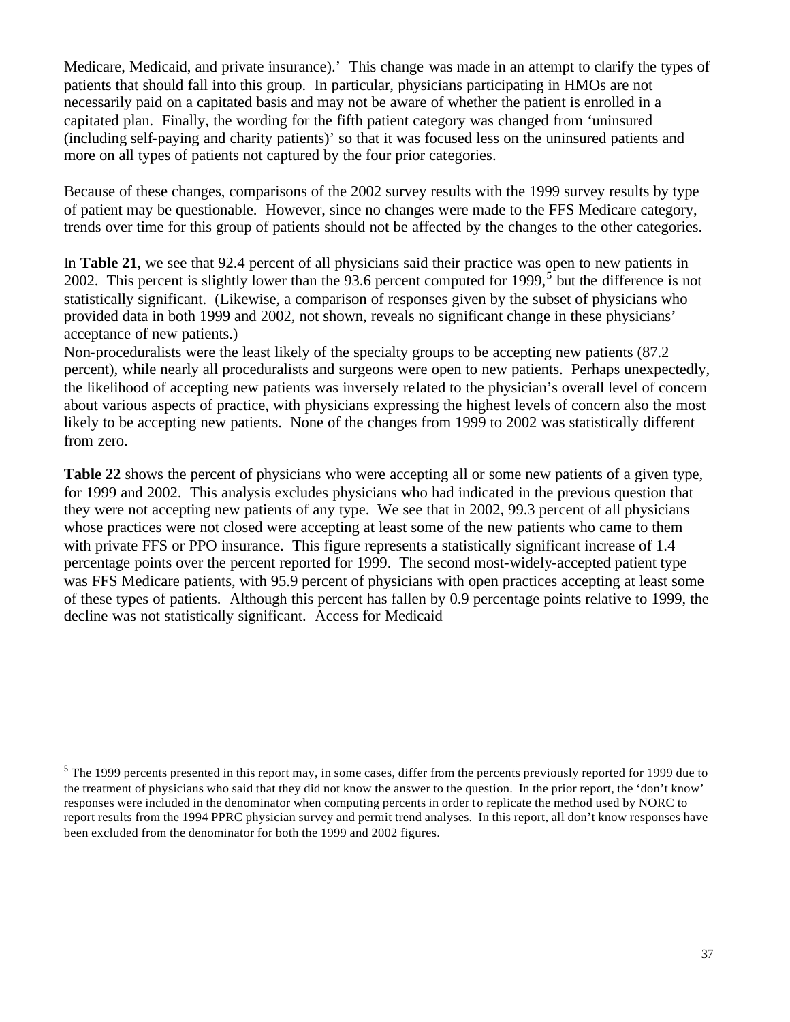Medicare, Medicaid, and private insurance).' This change was made in an attempt to clarify the types of patients that should fall into this group. In particular, physicians participating in HMOs are not necessarily paid on a capitated basis and may not be aware of whether the patient is enrolled in a capitated plan. Finally, the wording for the fifth patient category was changed from 'uninsured (including self-paying and charity patients)' so that it was focused less on the uninsured patients and more on all types of patients not captured by the four prior categories.

Because of these changes, comparisons of the 2002 survey results with the 1999 survey results by type of patient may be questionable. However, since no changes were made to the FFS Medicare category, trends over time for this group of patients should not be affected by the changes to the other categories.

In **Table 21**, we see that 92.4 percent of all physicians said their practice was open to new patients in 2002. This percent is slightly lower than the  $93.6$  percent computed for 1999,<sup>5</sup> but the difference is not statistically significant. (Likewise, a comparison of responses given by the subset of physicians who provided data in both 1999 and 2002, not shown, reveals no significant change in these physicians' acceptance of new patients.)

Non-proceduralists were the least likely of the specialty groups to be accepting new patients (87.2 percent), while nearly all proceduralists and surgeons were open to new patients. Perhaps unexpectedly, the likelihood of accepting new patients was inversely related to the physician's overall level of concern about various aspects of practice, with physicians expressing the highest levels of concern also the most likely to be accepting new patients. None of the changes from 1999 to 2002 was statistically different from zero.

**Table 22** shows the percent of physicians who were accepting all or some new patients of a given type, for 1999 and 2002. This analysis excludes physicians who had indicated in the previous question that they were not accepting new patients of any type. We see that in 2002, 99.3 percent of all physicians whose practices were not closed were accepting at least some of the new patients who came to them with private FFS or PPO insurance. This figure represents a statistically significant increase of 1.4 percentage points over the percent reported for 1999. The second most-widely-accepted patient type was FFS Medicare patients, with 95.9 percent of physicians with open practices accepting at least some of these types of patients. Although this percent has fallen by 0.9 percentage points relative to 1999, the decline was not statistically significant. Access for Medicaid

l

 $<sup>5</sup>$  The 1999 percents presented in this report may, in some cases, differ from the percents previously reported for 1999 due to</sup> the treatment of physicians who said that they did not know the answer to the question. In the prior report, the 'don't know' responses were included in the denominator when computing percents in order to replicate the method used by NORC to report results from the 1994 PPRC physician survey and permit trend analyses. In this report, all don't know responses have been excluded from the denominator for both the 1999 and 2002 figures.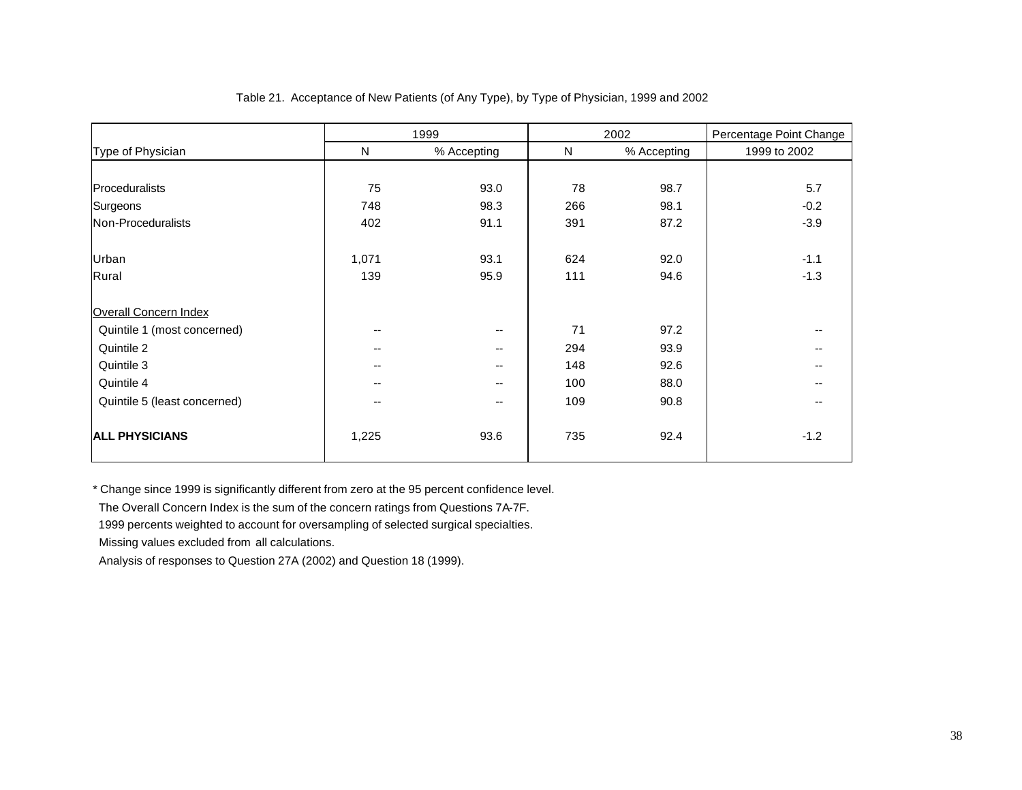|                              | 1999   |             |     | 2002        | Percentage Point Change |
|------------------------------|--------|-------------|-----|-------------|-------------------------|
| Type of Physician            | N      | % Accepting | N   | % Accepting | 1999 to 2002            |
|                              |        |             |     |             |                         |
| Proceduralists               | 75     | 93.0        | 78  | 98.7        | 5.7                     |
| Surgeons                     | 748    | 98.3        | 266 | 98.1        | $-0.2$                  |
| Non-Proceduralists           | 402    | 91.1        | 391 | 87.2        | $-3.9$                  |
| Urban                        | 1,071  | 93.1        | 624 | 92.0        | $-1.1$                  |
| Rural                        | 139    | 95.9        | 111 | 94.6        | $-1.3$                  |
| <b>Overall Concern Index</b> |        |             |     |             |                         |
| Quintile 1 (most concerned)  | $\sim$ | --          | 71  | 97.2        |                         |
| Quintile 2                   | $- -$  | $- -$       | 294 | 93.9        | $- -$                   |
| Quintile 3                   | $\sim$ | $- -$       | 148 | 92.6        |                         |
| Quintile 4                   | --     | $- -$       | 100 | 88.0        |                         |
| Quintile 5 (least concerned) | $- -$  | $- -$       | 109 | 90.8        |                         |
| <b>ALL PHYSICIANS</b>        | 1,225  | 93.6        | 735 | 92.4        | $-1.2$                  |

#### Table 21. Acceptance of New Patients (of Any Type), by Type of Physician, 1999 and 2002

\* Change since 1999 is significantly different from zero at the 95 percent confidence level.

The Overall Concern Index is the sum of the concern ratings from Questions 7A-7F.

1999 percents weighted to account for oversampling of selected surgical specialties.

Missing values excluded from all calculations.

Analysis of responses to Question 27A (2002) and Question 18 (1999).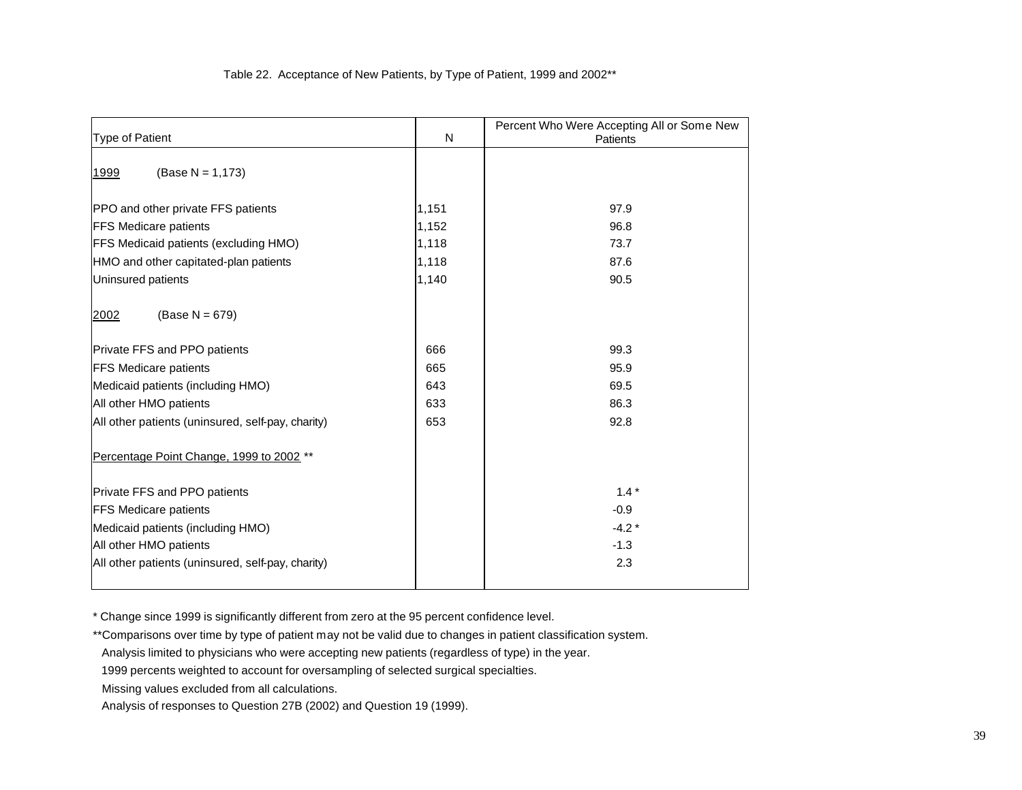#### Table 22. Acceptance of New Patients, by Type of Patient, 1999 and 2002\*\*

| Type of Patient                                   | N     | Percent Who Were Accepting All or Some New<br>Patients |
|---------------------------------------------------|-------|--------------------------------------------------------|
| $(Base N = 1,173)$<br>1999                        |       |                                                        |
| PPO and other private FFS patients                | 1,151 | 97.9                                                   |
| <b>FFS Medicare patients</b>                      | 1,152 | 96.8                                                   |
| FFS Medicaid patients (excluding HMO)             | 1,118 | 73.7                                                   |
| HMO and other capitated-plan patients             | 1,118 | 87.6                                                   |
| Uninsured patients                                | 1,140 | 90.5                                                   |
| (Base $N = 679$ )<br>2002                         |       |                                                        |
| <b>Private FFS and PPO patients</b>               | 666   | 99.3                                                   |
| <b>FFS Medicare patients</b>                      | 665   | 95.9                                                   |
| Medicaid patients (including HMO)                 | 643   | 69.5                                                   |
| All other HMO patients                            | 633   | 86.3                                                   |
| All other patients (uninsured, self-pay, charity) | 653   | 92.8                                                   |
| Percentage Point Change, 1999 to 2002 **          |       |                                                        |
| Private FFS and PPO patients                      |       | $1.4*$                                                 |
| <b>FFS Medicare patients</b>                      |       | $-0.9$                                                 |
| Medicaid patients (including HMO)                 |       | $-4.2*$                                                |
| All other HMO patients                            |       | $-1.3$                                                 |
| All other patients (uninsured, self-pay, charity) |       | 2.3                                                    |
|                                                   |       |                                                        |

\* Change since 1999 is significantly different from zero at the 95 percent confidence level.

\*\*Comparisons over time by type of patient may not be valid due to changes in patient classification system.

Missing values excluded from all calculations.

Analysis limited to physicians who were accepting new patients (regardless of type) in the year.

 <sup>1999</sup> percents weighted to account for oversampling of selected surgical specialties.

Analysis of responses to Question 27B (2002) and Question 19 (1999).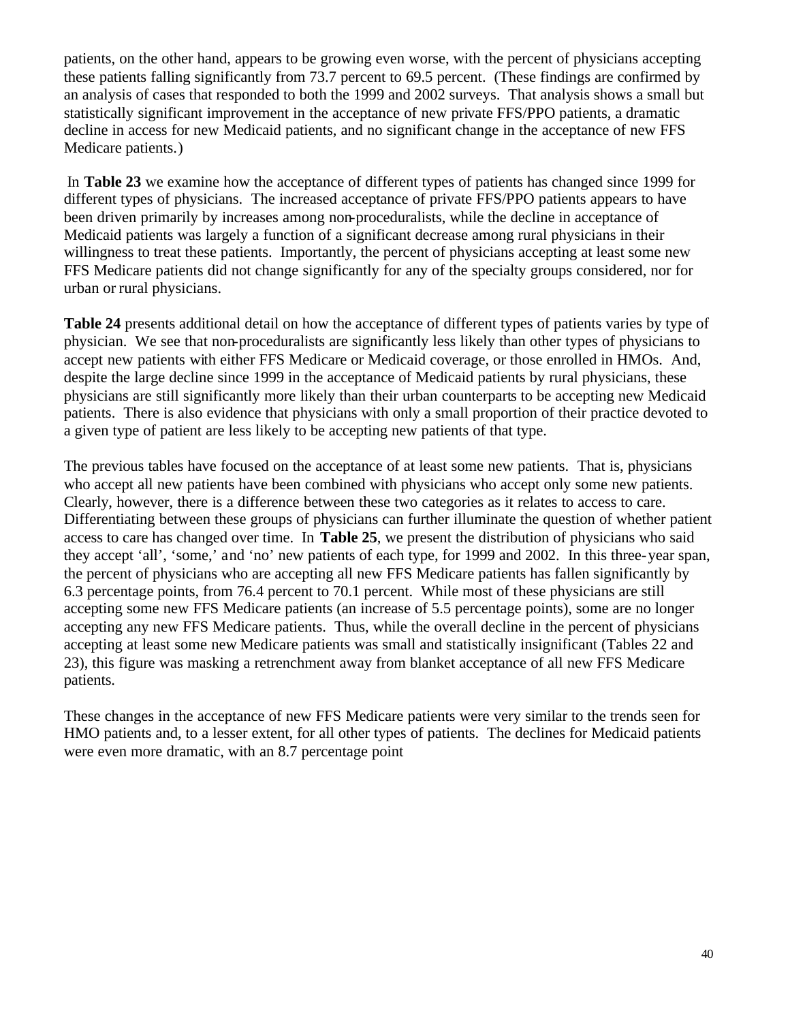patients, on the other hand, appears to be growing even worse, with the percent of physicians accepting these patients falling significantly from 73.7 percent to 69.5 percent. (These findings are confirmed by an analysis of cases that responded to both the 1999 and 2002 surveys. That analysis shows a small but statistically significant improvement in the acceptance of new private FFS/PPO patients, a dramatic decline in access for new Medicaid patients, and no significant change in the acceptance of new FFS Medicare patients.)

 In **Table 23** we examine how the acceptance of different types of patients has changed since 1999 for different types of physicians. The increased acceptance of private FFS/PPO patients appears to have been driven primarily by increases among non-proceduralists, while the decline in acceptance of Medicaid patients was largely a function of a significant decrease among rural physicians in their willingness to treat these patients. Importantly, the percent of physicians accepting at least some new FFS Medicare patients did not change significantly for any of the specialty groups considered, nor for urban or rural physicians.

**Table 24** presents additional detail on how the acceptance of different types of patients varies by type of physician. We see that non-proceduralists are significantly less likely than other types of physicians to accept new patients with either FFS Medicare or Medicaid coverage, or those enrolled in HMOs. And, despite the large decline since 1999 in the acceptance of Medicaid patients by rural physicians, these physicians are still significantly more likely than their urban counterparts to be accepting new Medicaid patients. There is also evidence that physicians with only a small proportion of their practice devoted to a given type of patient are less likely to be accepting new patients of that type.

The previous tables have focused on the acceptance of at least some new patients. That is, physicians who accept all new patients have been combined with physicians who accept only some new patients. Clearly, however, there is a difference between these two categories as it relates to access to care. Differentiating between these groups of physicians can further illuminate the question of whether patient access to care has changed over time. In **Table 25**, we present the distribution of physicians who said they accept 'all', 'some,' and 'no' new patients of each type, for 1999 and 2002. In this three-year span, the percent of physicians who are accepting all new FFS Medicare patients has fallen significantly by 6.3 percentage points, from 76.4 percent to 70.1 percent. While most of these physicians are still accepting some new FFS Medicare patients (an increase of 5.5 percentage points), some are no longer accepting any new FFS Medicare patients. Thus, while the overall decline in the percent of physicians accepting at least some new Medicare patients was small and statistically insignificant (Tables 22 and 23), this figure was masking a retrenchment away from blanket acceptance of all new FFS Medicare patients.

These changes in the acceptance of new FFS Medicare patients were very similar to the trends seen for HMO patients and, to a lesser extent, for all other types of patients. The declines for Medicaid patients were even more dramatic, with an 8.7 percentage point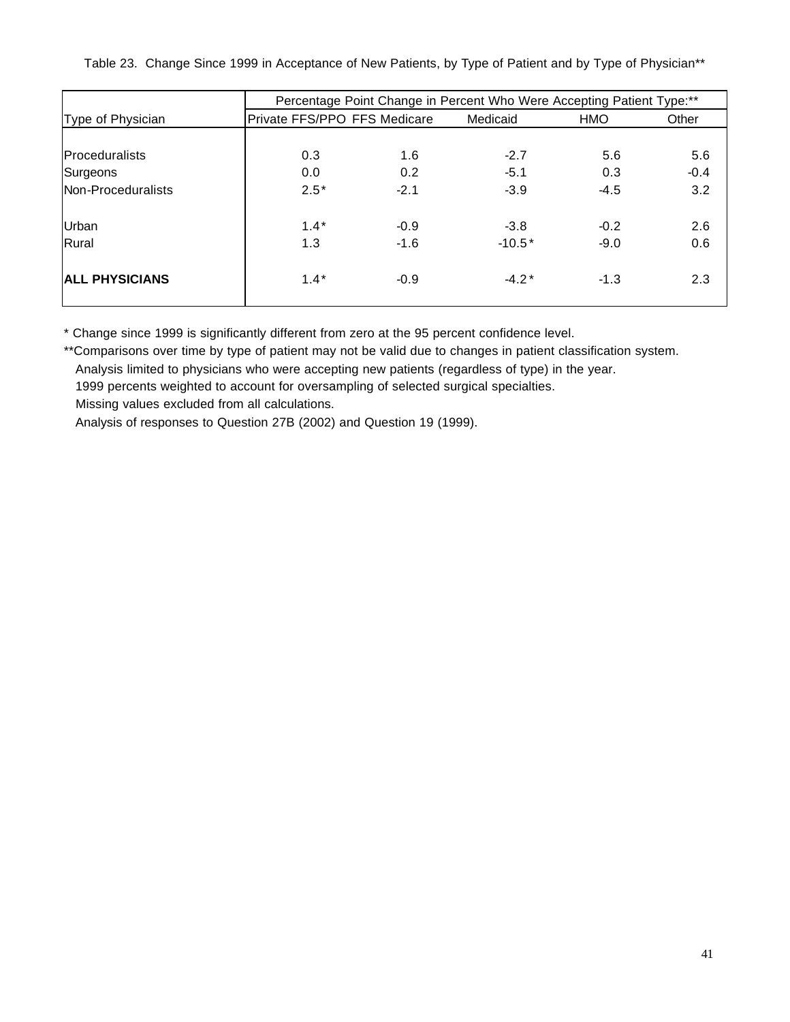Table 23. Change Since 1999 in Acceptance of New Patients, by Type of Patient and by Type of Physician\*\*

|                       | Percentage Point Change in Percent Who Were Accepting Patient Type:** |        |          |            |        |  |
|-----------------------|-----------------------------------------------------------------------|--------|----------|------------|--------|--|
| Type of Physician     | Private FFS/PPO FFS Medicare                                          |        | Medicaid | <b>HMO</b> | Other  |  |
|                       |                                                                       |        |          |            |        |  |
| <b>Proceduralists</b> | 0.3                                                                   | 1.6    | $-2.7$   | 5.6        | 5.6    |  |
| Surgeons              | 0.0                                                                   | 0.2    | $-5.1$   | 0.3        | $-0.4$ |  |
| Non-Proceduralists    | $2.5*$                                                                | $-2.1$ | $-3.9$   | $-4.5$     | 3.2    |  |
|                       |                                                                       |        |          |            |        |  |
| Urban                 | $1.4*$                                                                | $-0.9$ | $-3.8$   | $-0.2$     | 2.6    |  |
| Rural                 | 1.3                                                                   | $-1.6$ | $-10.5*$ | $-9.0$     | 0.6    |  |
|                       |                                                                       |        |          |            |        |  |
| <b>ALL PHYSICIANS</b> | $1.4*$                                                                | $-0.9$ | $-4.2*$  | $-1.3$     | 2.3    |  |
|                       |                                                                       |        |          |            |        |  |

\* Change since 1999 is significantly different from zero at the 95 percent confidence level.

\*\*Comparisons over time by type of patient may not be valid due to changes in patient classification system.

Analysis limited to physicians who were accepting new patients (regardless of type) in the year.

1999 percents weighted to account for oversampling of selected surgical specialties.

Missing values excluded from all calculations.

Analysis of responses to Question 27B (2002) and Question 19 (1999).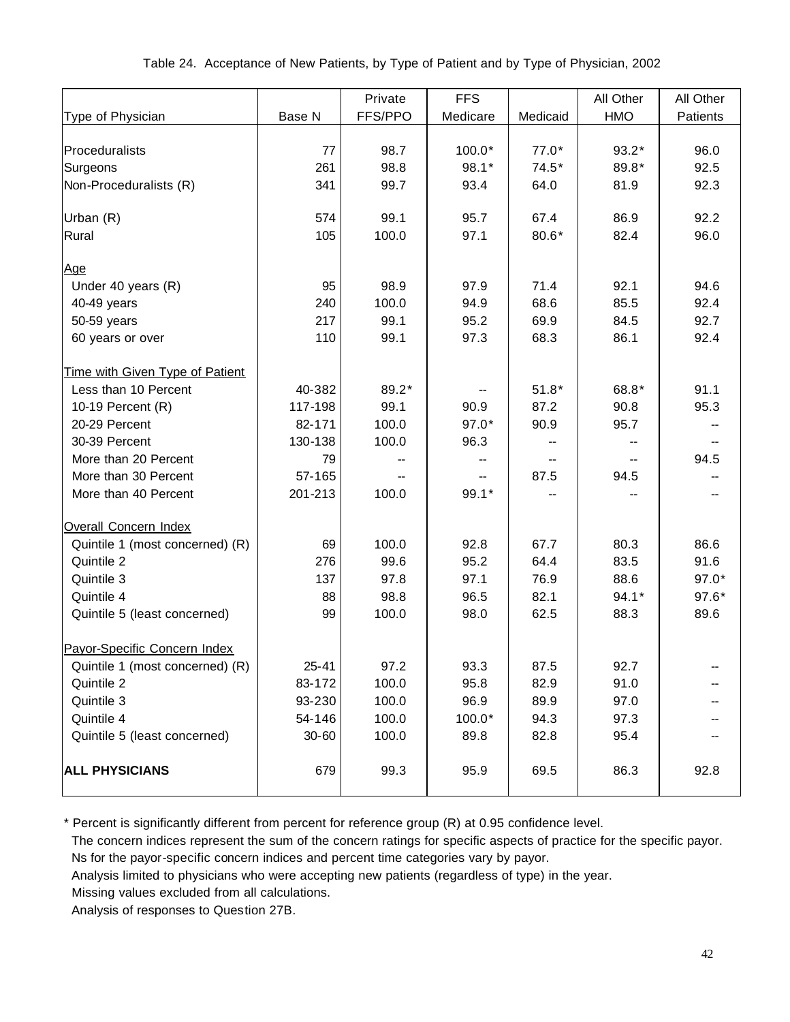|                                 |         | Private | <b>FFS</b> |          | All Other | All Other                |
|---------------------------------|---------|---------|------------|----------|-----------|--------------------------|
| Type of Physician               | Base N  | FFS/PPO | Medicare   | Medicaid | HMO       | Patients                 |
|                                 |         |         |            |          |           |                          |
| Proceduralists                  | 77      | 98.7    | $100.0*$   | $77.0*$  | $93.2*$   | 96.0                     |
| Surgeons                        | 261     | 98.8    | $98.1*$    | $74.5*$  | 89.8*     | 92.5                     |
| Non-Proceduralists (R)          | 341     | 99.7    | 93.4       | 64.0     | 81.9      | 92.3                     |
|                                 |         |         |            |          |           |                          |
| Urban (R)                       | 574     | 99.1    | 95.7       | 67.4     | 86.9      | 92.2                     |
| Rural                           | 105     | 100.0   | 97.1       | 80.6*    | 82.4      | 96.0                     |
|                                 |         |         |            |          |           |                          |
| <u>Age</u>                      |         |         |            |          |           |                          |
| Under 40 years (R)              | 95      | 98.9    | 97.9       | 71.4     | 92.1      | 94.6                     |
| 40-49 years                     | 240     | 100.0   | 94.9       | 68.6     | 85.5      | 92.4                     |
| 50-59 years                     | 217     | 99.1    | 95.2       | 69.9     | 84.5      | 92.7                     |
| 60 years or over                | 110     | 99.1    | 97.3       | 68.3     | 86.1      | 92.4                     |
|                                 |         |         |            |          |           |                          |
| Time with Given Type of Patient |         |         |            |          |           |                          |
| Less than 10 Percent            | 40-382  | 89.2*   |            | $51.8*$  | 68.8*     | 91.1                     |
| 10-19 Percent (R)               | 117-198 | 99.1    | 90.9       | 87.2     | 90.8      | 95.3                     |
| 20-29 Percent                   | 82-171  | 100.0   | $97.0*$    | 90.9     | 95.7      |                          |
| 30-39 Percent                   | 130-138 | 100.0   | 96.3       |          |           |                          |
| More than 20 Percent            | 79      | --      |            |          |           | 94.5                     |
| More than 30 Percent            | 57-165  |         |            | 87.5     | 94.5      |                          |
| More than 40 Percent            | 201-213 | 100.0   | 99.1*      |          |           |                          |
|                                 |         |         |            |          |           |                          |
| Overall Concern Index           |         |         |            |          |           |                          |
| Quintile 1 (most concerned) (R) | 69      | 100.0   | 92.8       | 67.7     | 80.3      | 86.6                     |
| Quintile 2                      | 276     | 99.6    | 95.2       | 64.4     | 83.5      | 91.6                     |
| Quintile 3                      | 137     | 97.8    | 97.1       | 76.9     | 88.6      | $97.0*$                  |
| Quintile 4                      | 88      | 98.8    | 96.5       | 82.1     | $94.1*$   | $97.6*$                  |
| Quintile 5 (least concerned)    | 99      | 100.0   | 98.0       | 62.5     | 88.3      | 89.6                     |
|                                 |         |         |            |          |           |                          |
| Payor-Specific Concern Index    |         |         |            |          |           |                          |
| Quintile 1 (most concerned) (R) | 25-41   | 97.2    | 93.3       | 87.5     | 92.7      | $\overline{\phantom{a}}$ |
| Quintile 2                      | 83-172  | 100.0   | 95.8       | 82.9     | 91.0      |                          |
| Quintile 3                      | 93-230  | 100.0   | 96.9       | 89.9     | 97.0      |                          |
| Quintile 4                      | 54-146  | 100.0   | 100.0*     | 94.3     | 97.3      |                          |
| Quintile 5 (least concerned)    | 30-60   | 100.0   | 89.8       | 82.8     | 95.4      |                          |
|                                 |         |         |            |          |           |                          |
| <b>ALL PHYSICIANS</b>           | 679     | 99.3    | 95.9       | 69.5     | 86.3      | 92.8                     |
|                                 |         |         |            |          |           |                          |

\* Percent is significantly different from percent for reference group (R) at 0.95 confidence level.

 The concern indices represent the sum of the concern ratings for specific aspects of practice for the specific payor. Ns for the payor-specific concern indices and percent time categories vary by payor.

Analysis limited to physicians who were accepting new patients (regardless of type) in the year.

Missing values excluded from all calculations.

Analysis of responses to Question 27B.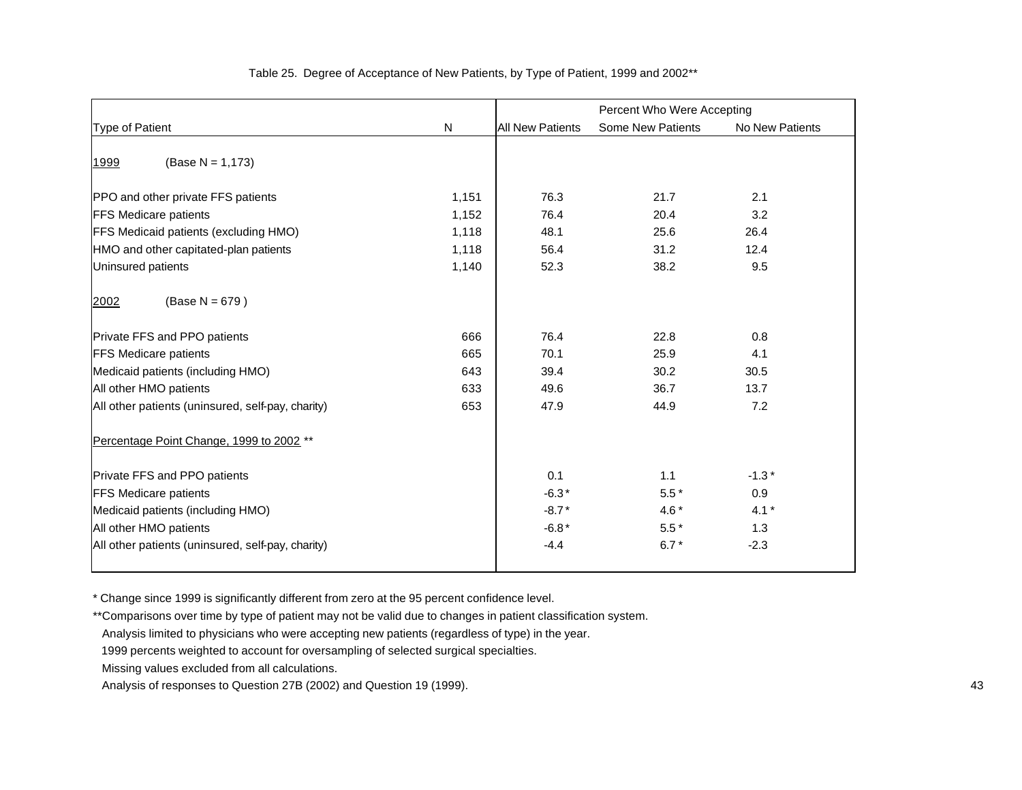|                                                   |       | Percent Who Were Accepting |                          |                 |
|---------------------------------------------------|-------|----------------------------|--------------------------|-----------------|
| Type of Patient                                   | N     | <b>All New Patients</b>    | <b>Some New Patients</b> | No New Patients |
| $(Base N = 1,173)$<br>1999                        |       |                            |                          |                 |
| PPO and other private FFS patients                | 1,151 | 76.3                       | 21.7                     | 2.1             |
| <b>FFS Medicare patients</b>                      | 1,152 | 76.4                       | 20.4                     | 3.2             |
| <b>FFS Medicaid patients (excluding HMO)</b>      | 1,118 | 48.1                       | 25.6                     | 26.4            |
| HMO and other capitated-plan patients             | 1,118 | 56.4                       | 31.2                     | 12.4            |
| Uninsured patients                                | 1,140 | 52.3                       | 38.2                     | 9.5             |
| $(Base N = 679)$<br>2002                          |       |                            |                          |                 |
| Private FFS and PPO patients                      | 666   | 76.4                       | 22.8                     | 0.8             |
| <b>FFS Medicare patients</b>                      | 665   | 70.1                       | 25.9                     | 4.1             |
| Medicaid patients (including HMO)                 | 643   | 39.4                       | 30.2                     | 30.5            |
| All other HMO patients                            | 633   | 49.6                       | 36.7                     | 13.7            |
| All other patients (uninsured, self-pay, charity) | 653   | 47.9                       | 44.9                     | 7.2             |
| Percentage Point Change, 1999 to 2002 **          |       |                            |                          |                 |
| Private FFS and PPO patients                      |       | 0.1                        | 1.1                      | $-1.3*$         |
| <b>FFS Medicare patients</b>                      |       | $-6.3*$                    | $5.5*$                   | 0.9             |
| Medicaid patients (including HMO)                 |       | $-8.7*$                    | 4.6 $*$                  | $4.1*$          |
| All other HMO patients                            |       | $-6.8*$                    | $5.5*$                   | 1.3             |
| All other patients (uninsured, self-pay, charity) |       | $-4.4$                     | $6.7*$                   | $-2.3$          |
|                                                   |       |                            |                          |                 |

#### Table 25. Degree of Acceptance of New Patients, by Type of Patient, 1999 and 2002\*\*

\* Change since 1999 is significantly different from zero at the 95 percent confidence level.

\*\*Comparisons over time by type of patient may not be valid due to changes in patient classification system.

Analysis limited to physicians who were accepting new patients (regardless of type) in the year.

Analysis of responses to Question 27B (2002) and Question 19 (1999). 43

 <sup>1999</sup> percents weighted to account for oversampling of selected surgical specialties.

Missing values excluded from all calculations.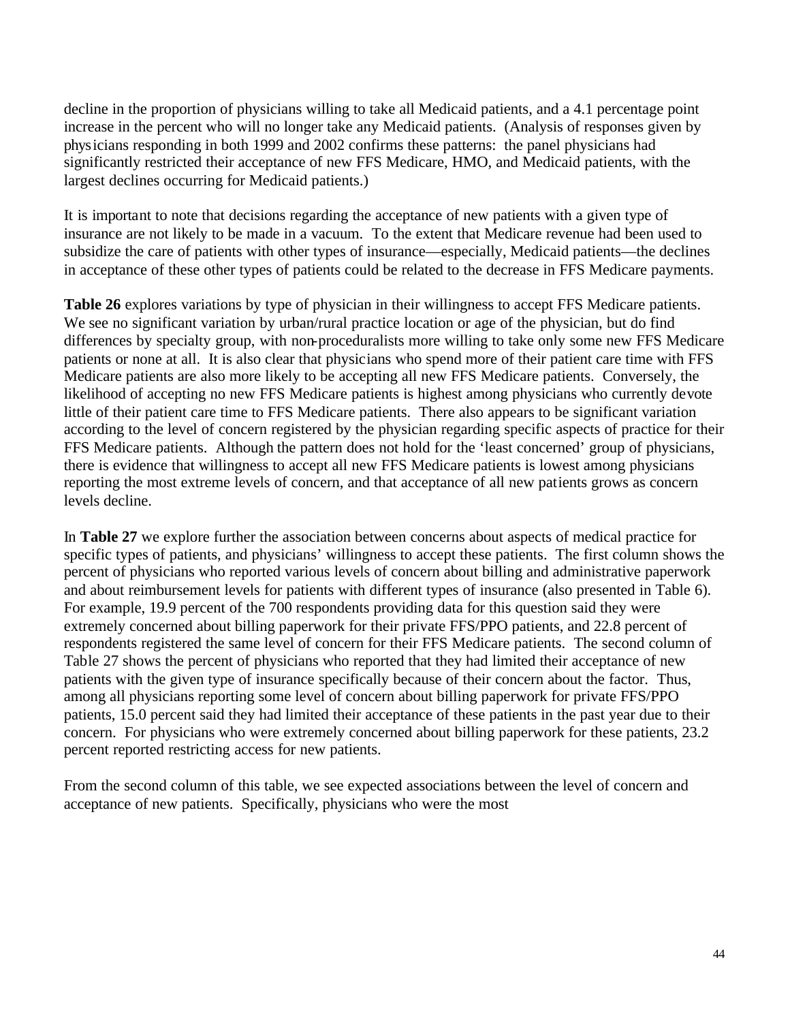decline in the proportion of physicians willing to take all Medicaid patients, and a 4.1 percentage point increase in the percent who will no longer take any Medicaid patients. (Analysis of responses given by physicians responding in both 1999 and 2002 confirms these patterns: the panel physicians had significantly restricted their acceptance of new FFS Medicare, HMO, and Medicaid patients, with the largest declines occurring for Medicaid patients.)

It is important to note that decisions regarding the acceptance of new patients with a given type of insurance are not likely to be made in a vacuum. To the extent that Medicare revenue had been used to subsidize the care of patients with other types of insurance—especially, Medicaid patients—the declines in acceptance of these other types of patients could be related to the decrease in FFS Medicare payments.

**Table 26** explores variations by type of physician in their willingness to accept FFS Medicare patients. We see no significant variation by urban/rural practice location or age of the physician, but do find differences by specialty group, with non-proceduralists more willing to take only some new FFS Medicare patients or none at all. It is also clear that physicians who spend more of their patient care time with FFS Medicare patients are also more likely to be accepting all new FFS Medicare patients. Conversely, the likelihood of accepting no new FFS Medicare patients is highest among physicians who currently devote little of their patient care time to FFS Medicare patients. There also appears to be significant variation according to the level of concern registered by the physician regarding specific aspects of practice for their FFS Medicare patients. Although the pattern does not hold for the 'least concerned' group of physicians, there is evidence that willingness to accept all new FFS Medicare patients is lowest among physicians reporting the most extreme levels of concern, and that acceptance of all new patients grows as concern levels decline.

In **Table 27** we explore further the association between concerns about aspects of medical practice for specific types of patients, and physicians' willingness to accept these patients. The first column shows the percent of physicians who reported various levels of concern about billing and administrative paperwork and about reimbursement levels for patients with different types of insurance (also presented in Table 6). For example, 19.9 percent of the 700 respondents providing data for this question said they were extremely concerned about billing paperwork for their private FFS/PPO patients, and 22.8 percent of respondents registered the same level of concern for their FFS Medicare patients. The second column of Table 27 shows the percent of physicians who reported that they had limited their acceptance of new patients with the given type of insurance specifically because of their concern about the factor. Thus, among all physicians reporting some level of concern about billing paperwork for private FFS/PPO patients, 15.0 percent said they had limited their acceptance of these patients in the past year due to their concern. For physicians who were extremely concerned about billing paperwork for these patients, 23.2 percent reported restricting access for new patients.

From the second column of this table, we see expected associations between the level of concern and acceptance of new patients. Specifically, physicians who were the most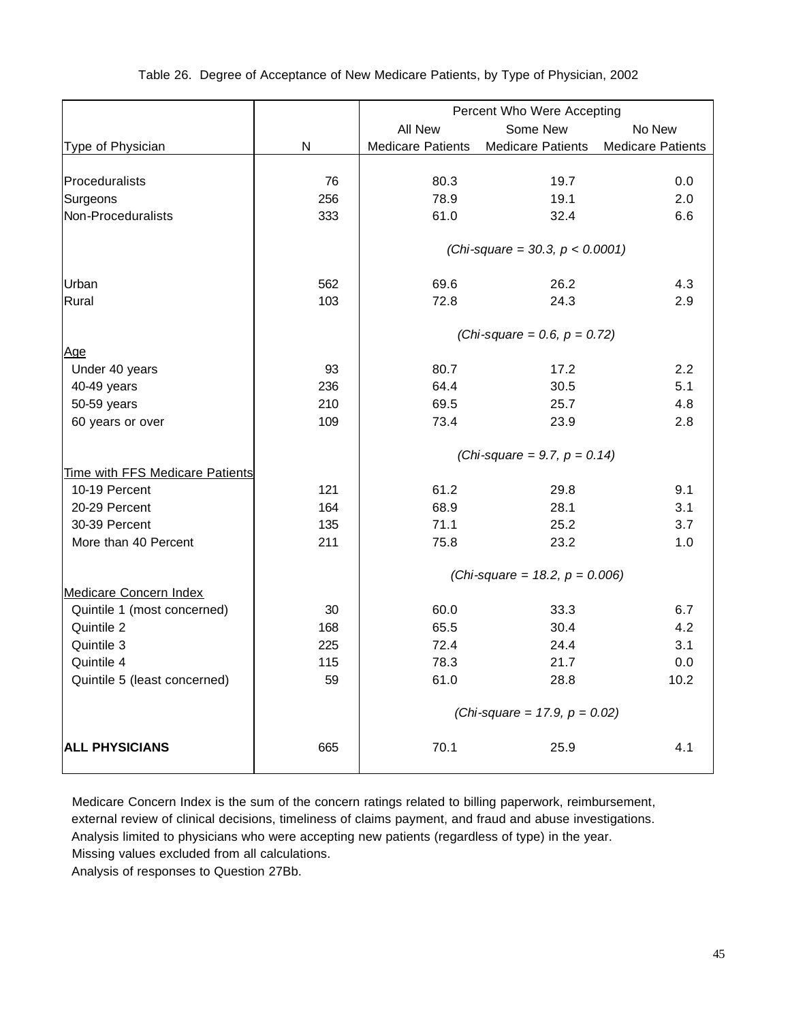|                                 |           | Percent Who Were Accepting       |                                    |                          |  |  |  |
|---------------------------------|-----------|----------------------------------|------------------------------------|--------------------------|--|--|--|
|                                 |           | All New                          | Some New                           | No New                   |  |  |  |
| Type of Physician               | ${\sf N}$ | <b>Medicare Patients</b>         | <b>Medicare Patients</b>           | <b>Medicare Patients</b> |  |  |  |
|                                 |           |                                  |                                    |                          |  |  |  |
| Proceduralists                  | 76        | 80.3                             | 19.7                               | 0.0                      |  |  |  |
| Surgeons                        | 256       | 78.9                             | 19.1                               | 2.0                      |  |  |  |
| Non-Proceduralists              | 333       | 61.0                             | 32.4                               | 6.6                      |  |  |  |
|                                 |           |                                  | (Chi-square = 30.3, $p < 0.0001$ ) |                          |  |  |  |
|                                 |           |                                  |                                    |                          |  |  |  |
| Urban                           | 562       | 69.6                             | 26.2                               | 4.3                      |  |  |  |
| Rural                           | 103       | 72.8                             | 24.3                               | 2.9                      |  |  |  |
|                                 |           |                                  | (Chi-square = 0.6, $p = 0.72$ )    |                          |  |  |  |
| Age                             |           |                                  |                                    |                          |  |  |  |
| Under 40 years                  | 93        | 80.7                             | 17.2                               | 2.2                      |  |  |  |
| 40-49 years                     | 236       | 64.4                             | 30.5                               | 5.1                      |  |  |  |
| 50-59 years                     | 210       | 69.5                             | 25.7                               | 4.8                      |  |  |  |
| 60 years or over                | 109       | 73.4                             | 23.9                               | 2.8                      |  |  |  |
|                                 |           | (Chi-square = 9.7, $p = 0.14$ )  |                                    |                          |  |  |  |
| Time with FFS Medicare Patients |           |                                  |                                    |                          |  |  |  |
| 10-19 Percent                   | 121       | 61.2                             | 29.8                               | 9.1                      |  |  |  |
| 20-29 Percent                   | 164       | 68.9                             | 28.1                               | 3.1                      |  |  |  |
| 30-39 Percent                   | 135       | 71.1                             | 25.2                               | 3.7                      |  |  |  |
| More than 40 Percent            | 211       | 75.8                             | 23.2                               | 1.0                      |  |  |  |
|                                 |           |                                  | (Chi-square = 18.2, $p = 0.006$ )  |                          |  |  |  |
| Medicare Concern Index          |           |                                  |                                    |                          |  |  |  |
| Quintile 1 (most concerned)     | 30        | 60.0                             | 33.3                               | 6.7                      |  |  |  |
| Quintile 2                      | 168       | 65.5                             | 30.4                               | 4.2                      |  |  |  |
| Quintile 3                      | 225       | 72.4                             | 24.4                               | 3.1                      |  |  |  |
| Quintile 4                      | 115       | 78.3                             | 21.7                               | 0.0                      |  |  |  |
| Quintile 5 (least concerned)    | 59        | 61.0                             | 28.8                               | 10.2                     |  |  |  |
|                                 |           | (Chi-square = 17.9, $p = 0.02$ ) |                                    |                          |  |  |  |
| <b>ALL PHYSICIANS</b>           | 665       | 70.1                             | 25.9                               | 4.1                      |  |  |  |
|                                 |           |                                  |                                    |                          |  |  |  |

#### Table 26. Degree of Acceptance of New Medicare Patients, by Type of Physician, 2002

 Medicare Concern Index is the sum of the concern ratings related to billing paperwork, reimbursement, external review of clinical decisions, timeliness of claims payment, and fraud and abuse investigations. Analysis limited to physicians who were accepting new patients (regardless of type) in the year. Missing values excluded from all calculations.

Analysis of responses to Question 27Bb.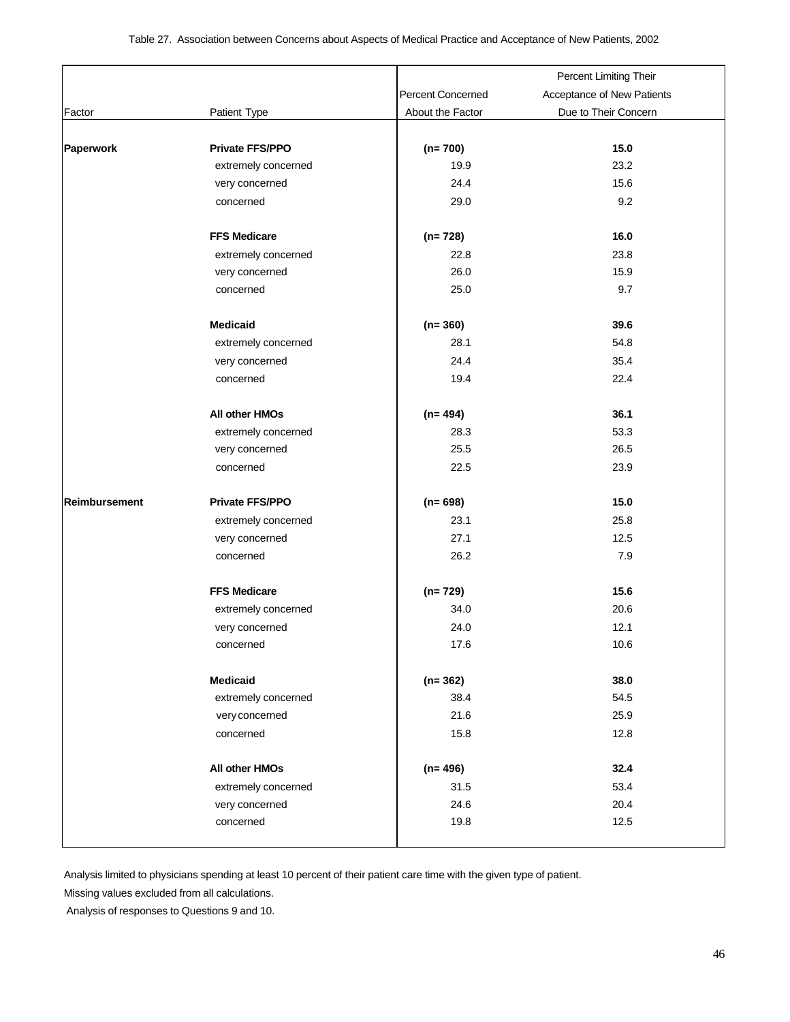|                      |                       |                          | Percent Limiting Their     |
|----------------------|-----------------------|--------------------------|----------------------------|
|                      |                       | <b>Percent Concerned</b> | Acceptance of New Patients |
| Factor               | Patient Type          | About the Factor         | Due to Their Concern       |
|                      |                       |                          |                            |
| Paperwork            | Private FFS/PPO       | $(n=700)$                | 15.0                       |
|                      | extremely concerned   | 19.9                     | 23.2                       |
|                      | very concerned        | 24.4                     | 15.6                       |
|                      | concerned             | 29.0                     | 9.2                        |
|                      |                       |                          |                            |
|                      | <b>FFS Medicare</b>   | $(n=728)$                | 16.0                       |
|                      | extremely concerned   | 22.8                     | 23.8                       |
|                      | very concerned        | 26.0                     | 15.9                       |
|                      | concerned             | 25.0                     | 9.7                        |
|                      |                       |                          |                            |
|                      | <b>Medicaid</b>       | $(n=360)$                | 39.6                       |
|                      | extremely concerned   | 28.1                     | 54.8                       |
|                      | very concerned        | 24.4                     | 35.4                       |
|                      | concerned             | 19.4                     | 22.4                       |
|                      | <b>All other HMOs</b> | $(n=494)$                | 36.1                       |
|                      | extremely concerned   | 28.3                     | 53.3                       |
|                      | very concerned        | 25.5                     | 26.5                       |
|                      | concerned             | 22.5                     | 23.9                       |
|                      |                       |                          |                            |
| <b>Reimbursement</b> | Private FFS/PPO       | $(n=698)$                | 15.0                       |
|                      | extremely concerned   | 23.1                     | 25.8                       |
|                      | very concerned        | 27.1                     | 12.5                       |
|                      | concerned             | 26.2                     | 7.9                        |
|                      | <b>FFS Medicare</b>   | $(n=729)$                | 15.6                       |
|                      | extremely concerned   | 34.0                     | 20.6                       |
|                      | very concerned        | 24.0                     | 12.1                       |
|                      | concerned             | 17.6                     | 10.6                       |
|                      |                       |                          |                            |
|                      | Medicaid              | $(n=362)$                | 38.0                       |
|                      | extremely concerned   | 38.4                     | 54.5                       |
|                      | very concerned        | 21.6                     | 25.9                       |
|                      | concerned             | 15.8                     | 12.8                       |
|                      | All other HMOs        | $(n=496)$                | 32.4                       |
|                      | extremely concerned   | 31.5                     | 53.4                       |
|                      | very concerned        | 24.6                     | 20.4                       |
|                      | concerned             | 19.8                     | 12.5                       |
|                      |                       |                          |                            |

Analysis limited to physicians spending at least 10 percent of their patient care time with the given type of patient.

Missing values excluded from all calculations.

Analysis of responses to Questions 9 and 10.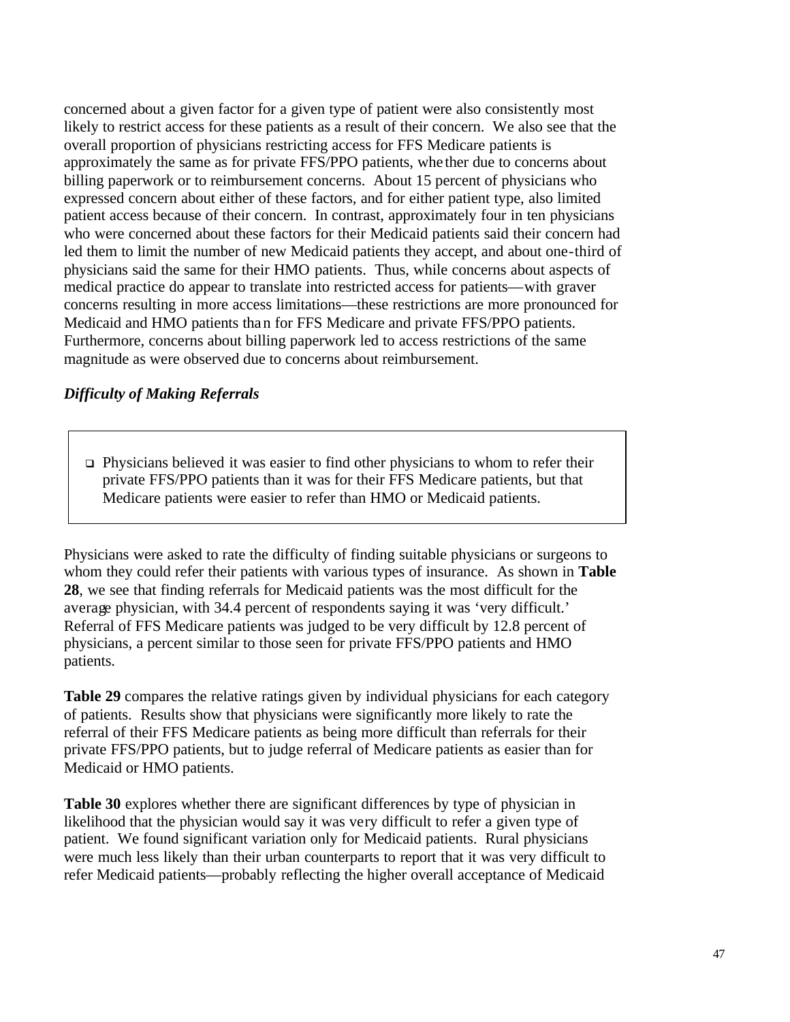concerned about a given factor for a given type of patient were also consistently most likely to restrict access for these patients as a result of their concern. We also see that the overall proportion of physicians restricting access for FFS Medicare patients is approximately the same as for private FFS/PPO patients, whe ther due to concerns about billing paperwork or to reimbursement concerns. About 15 percent of physicians who expressed concern about either of these factors, and for either patient type, also limited patient access because of their concern. In contrast, approximately four in ten physicians who were concerned about these factors for their Medicaid patients said their concern had led them to limit the number of new Medicaid patients they accept, and about one-third of physicians said the same for their HMO patients. Thus, while concerns about aspects of medical practice do appear to translate into restricted access for patients—with graver concerns resulting in more access limitations—these restrictions are more pronounced for Medicaid and HMO patients than for FFS Medicare and private FFS/PPO patients. Furthermore, concerns about billing paperwork led to access restrictions of the same magnitude as were observed due to concerns about reimbursement.

#### *Difficulty of Making Referrals*

 $\Box$  Physicians believed it was easier to find other physicians to whom to refer their private FFS/PPO patients than it was for their FFS Medicare patients, but that Medicare patients were easier to refer than HMO or Medicaid patients.

Physicians were asked to rate the difficulty of finding suitable physicians or surgeons to whom they could refer their patients with various types of insurance. As shown in **Table 28**, we see that finding referrals for Medicaid patients was the most difficult for the average physician, with 34.4 percent of respondents saying it was 'very difficult.' Referral of FFS Medicare patients was judged to be very difficult by 12.8 percent of physicians, a percent similar to those seen for private FFS/PPO patients and HMO patients.

**Table 29** compares the relative ratings given by individual physicians for each category of patients. Results show that physicians were significantly more likely to rate the referral of their FFS Medicare patients as being more difficult than referrals for their private FFS/PPO patients, but to judge referral of Medicare patients as easier than for Medicaid or HMO patients.

**Table 30** explores whether there are significant differences by type of physician in likelihood that the physician would say it was very difficult to refer a given type of patient. We found significant variation only for Medicaid patients. Rural physicians were much less likely than their urban counterparts to report that it was very difficult to refer Medicaid patients—probably reflecting the higher overall acceptance of Medicaid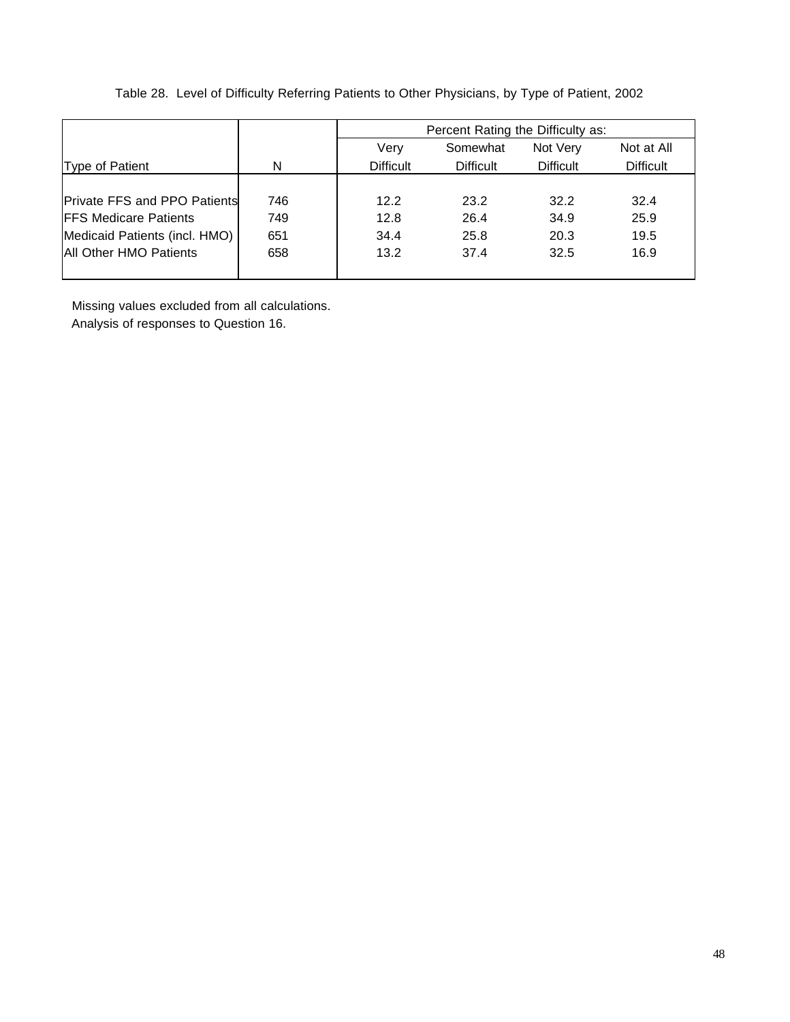|  |  | Table 28. Level of Difficulty Referring Patients to Other Physicians, by Type of Patient, 2002 |  |
|--|--|------------------------------------------------------------------------------------------------|--|
|  |  |                                                                                                |  |

|                                     |     |                  | Percent Rating the Difficulty as: |                  |                  |
|-------------------------------------|-----|------------------|-----------------------------------|------------------|------------------|
|                                     |     | Very             | Somewhat                          | Not Very         | Not at All       |
| Type of Patient                     | N   | <b>Difficult</b> | <b>Difficult</b>                  | <b>Difficult</b> | <b>Difficult</b> |
|                                     |     |                  |                                   |                  |                  |
| <b>Private FFS and PPO Patients</b> | 746 | 12.2             | 23.2                              | 32.2             | 32.4             |
| <b>FFS Medicare Patients</b>        | 749 | 12.8             | 26.4                              | 34.9             | 25.9             |
| Medicaid Patients (incl. HMO)       | 651 | 34.4             | 25.8                              | 20.3             | 19.5             |
| <b>All Other HMO Patients</b>       | 658 | 13.2             | 37.4                              | 32.5             | 16.9             |
|                                     |     |                  |                                   |                  |                  |

 Missing values excluded from all calculations. Analysis of responses to Question 16.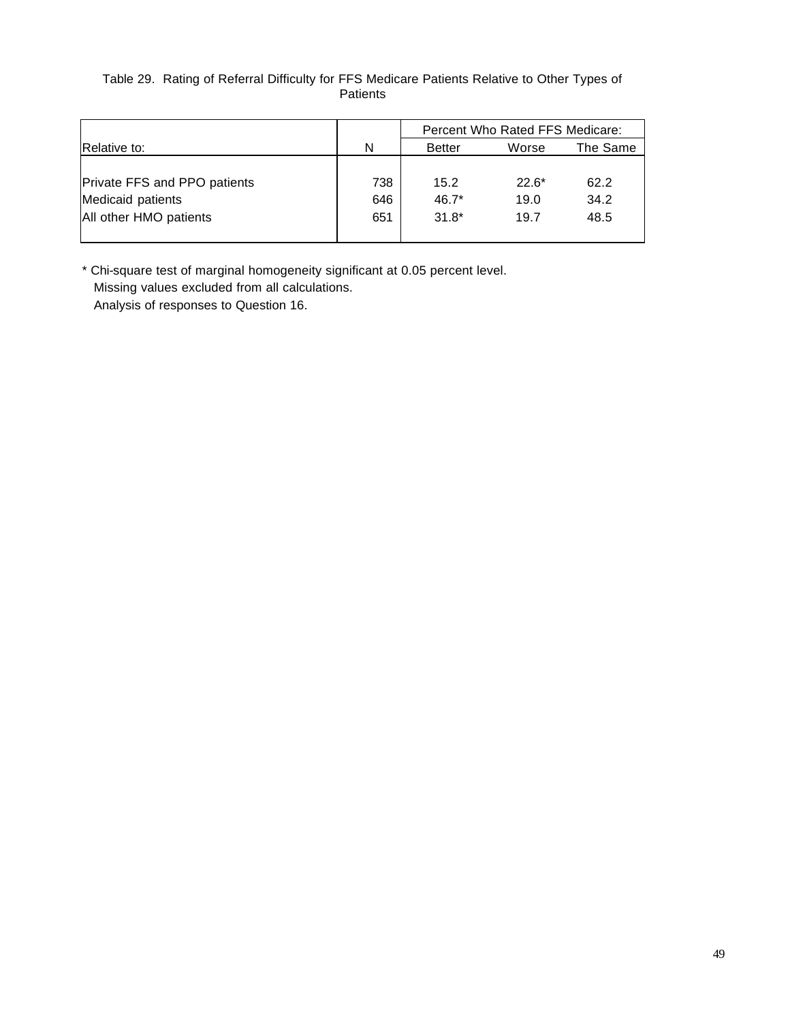#### Table 29. Rating of Referral Difficulty for FFS Medicare Patients Relative to Other Types of **Patients**

|                              |     | Percent Who Rated FFS Medicare: |         |          |  |
|------------------------------|-----|---------------------------------|---------|----------|--|
| Relative to:                 | N   | <b>Better</b>                   | Worse   | The Same |  |
|                              |     |                                 |         |          |  |
| Private FFS and PPO patients | 738 | 15.2                            | $22.6*$ | 62.2     |  |
| Medicaid patients            | 646 | $46.7*$                         | 19.0    | 34.2     |  |
| All other HMO patients       | 651 | $31.8*$                         | 19.7    | 48.5     |  |
|                              |     |                                 |         |          |  |

\* Chi-square test of marginal homogeneity significant at 0.05 percent level. Missing values excluded from all calculations.

Analysis of responses to Question 16.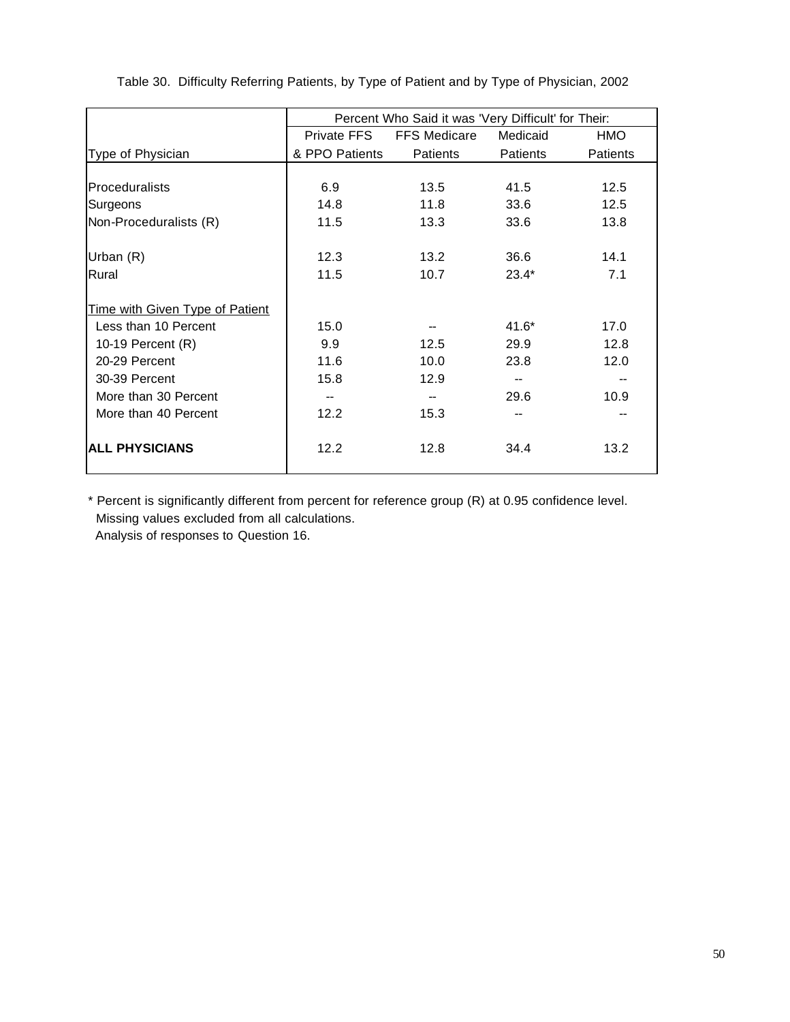|                                 |                | Percent Who Said it was 'Very Difficult' for Their: |                 |                 |
|---------------------------------|----------------|-----------------------------------------------------|-----------------|-----------------|
|                                 | Private FFS    | <b>FFS Medicare</b>                                 | Medicaid        | <b>HMO</b>      |
| Type of Physician               | & PPO Patients | <b>Patients</b>                                     | <b>Patients</b> | <b>Patients</b> |
|                                 |                |                                                     |                 |                 |
| <b>Proceduralists</b>           | 6.9            | 13.5                                                | 41.5            | 12.5            |
| Surgeons                        | 14.8           | 11.8                                                | 33.6            | 12.5            |
| Non-Proceduralists (R)          | 11.5           | 13.3                                                | 33.6            | 13.8            |
|                                 |                |                                                     |                 |                 |
| Urban (R)                       | 12.3           | 13.2                                                | 36.6            | 14.1            |
| Rural                           | 11.5           | 10.7                                                | $23.4*$         | 7.1             |
| Time with Given Type of Patient |                |                                                     |                 |                 |
| Less than 10 Percent            | 15.0           |                                                     | 41.6*           | 17.0            |
| 10-19 Percent $(R)$             | 9.9            | 12.5                                                | 29.9            | 12.8            |
| 20-29 Percent                   | 11.6           | 10.0                                                | 23.8            | 12.0            |
| 30-39 Percent                   | 15.8           | 12.9                                                |                 |                 |
| More than 30 Percent            |                |                                                     | 29.6            | 10.9            |
| More than 40 Percent            | 12.2           | 15.3                                                |                 |                 |
| <b>ALL PHYSICIANS</b>           | 12.2           | 12.8                                                | 34.4            | 13.2            |

Table 30. Difficulty Referring Patients, by Type of Patient and by Type of Physician, 2002

\* Percent is significantly different from percent for reference group (R) at 0.95 confidence level. Missing values excluded from all calculations.

Analysis of responses to Question 16.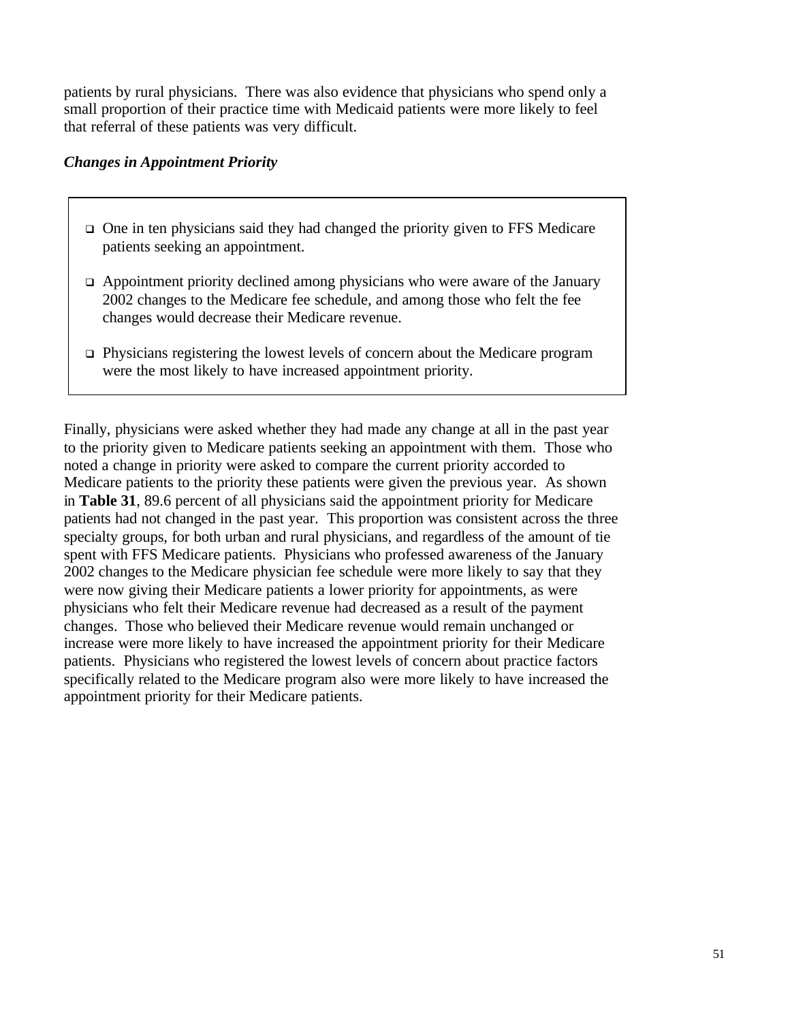patients by rural physicians. There was also evidence that physicians who spend only a small proportion of their practice time with Medicaid patients were more likely to feel that referral of these patients was very difficult.

#### *Changes in Appointment Priority*

- $\Box$  One in ten physicians said they had changed the priority given to FFS Medicare patients seeking an appointment.
- $\Box$  Appointment priority declined among physicians who were aware of the January 2002 changes to the Medicare fee schedule, and among those who felt the fee changes would decrease their Medicare revenue.
- $\Box$  Physicians registering the lowest levels of concern about the Medicare program were the most likely to have increased appointment priority.

Finally, physicians were asked whether they had made any change at all in the past year to the priority given to Medicare patients seeking an appointment with them. Those who noted a change in priority were asked to compare the current priority accorded to Medicare patients to the priority these patients were given the previous year. As shown in **Table 31**, 89.6 percent of all physicians said the appointment priority for Medicare patients had not changed in the past year. This proportion was consistent across the three specialty groups, for both urban and rural physicians, and regardless of the amount of tie spent with FFS Medicare patients. Physicians who professed awareness of the January 2002 changes to the Medicare physician fee schedule were more likely to say that they were now giving their Medicare patients a lower priority for appointments, as were physicians who felt their Medicare revenue had decreased as a result of the payment changes. Those who believed their Medicare revenue would remain unchanged or increase were more likely to have increased the appointment priority for their Medicare patients. Physicians who registered the lowest levels of concern about practice factors specifically related to the Medicare program also were more likely to have increased the appointment priority for their Medicare patients.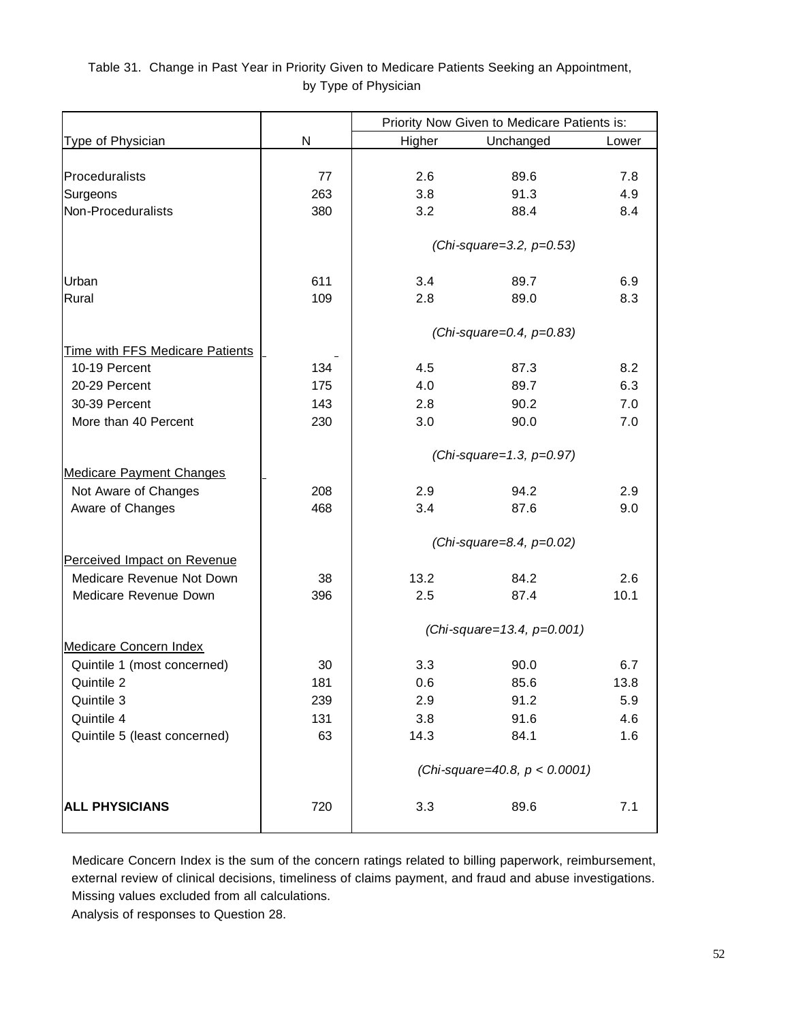#### Table 31. Change in Past Year in Priority Given to Medicare Patients Seeking an Appointment, by Type of Physician

|                                        |     | Priority Now Given to Medicare Patients is: |                             |       |  |  |
|----------------------------------------|-----|---------------------------------------------|-----------------------------|-------|--|--|
| Type of Physician                      | N   | Higher                                      | Unchanged                   | Lower |  |  |
|                                        |     |                                             |                             |       |  |  |
| Proceduralists                         | 77  | 2.6                                         | 89.6                        | 7.8   |  |  |
| Surgeons                               | 263 | 3.8                                         | 91.3                        | 4.9   |  |  |
| Non-Proceduralists                     | 380 | 3.2                                         | 88.4                        | 8.4   |  |  |
|                                        |     |                                             |                             |       |  |  |
|                                        |     | (Chi-square=3.2, p=0.53)                    |                             |       |  |  |
| Urban                                  | 611 | 3.4                                         | 89.7                        | 6.9   |  |  |
| Rural                                  | 109 | 2.8                                         | 89.0                        | 8.3   |  |  |
|                                        |     |                                             |                             |       |  |  |
|                                        |     |                                             | (Chi-square=0.4, p=0.83)    |       |  |  |
| <b>Time with FFS Medicare Patients</b> |     |                                             |                             |       |  |  |
| 10-19 Percent                          | 134 | 4.5                                         | 87.3                        | 8.2   |  |  |
| 20-29 Percent                          | 175 | 4.0                                         | 89.7                        | 6.3   |  |  |
| 30-39 Percent                          | 143 | 2.8                                         | 90.2                        | 7.0   |  |  |
| More than 40 Percent                   | 230 | 3.0                                         | 90.0                        | 7.0   |  |  |
|                                        |     |                                             | (Chi-square=1.3, $p=0.97$ ) |       |  |  |
| <b>Medicare Payment Changes</b>        |     |                                             |                             |       |  |  |
| Not Aware of Changes                   | 208 | 2.9                                         | 94.2                        | 2.9   |  |  |
| Aware of Changes                       | 468 | 3.4                                         | 87.6                        | 9.0   |  |  |
|                                        |     |                                             |                             |       |  |  |
| Perceived Impact on Revenue            |     |                                             | (Chi-square=8.4, p=0.02)    |       |  |  |
| Medicare Revenue Not Down              | 38  | 13.2                                        | 84.2                        | 2.6   |  |  |
| Medicare Revenue Down                  | 396 | 2.5                                         | 87.4                        | 10.1  |  |  |
|                                        |     |                                             |                             |       |  |  |
|                                        |     |                                             | (Chi-square=13.4, p=0.001)  |       |  |  |
| <b>Medicare Concern Index</b>          |     |                                             |                             |       |  |  |
| Quintile 1 (most concerned)            | 30  | 3.3                                         | 90.0                        | 6.7   |  |  |
| Quintile 2                             | 181 | 0.6                                         | 85.6                        | 13.8  |  |  |
| Quintile 3                             | 239 | 2.9                                         | 91.2                        | 5.9   |  |  |
| Quintile 4                             | 131 | 3.8                                         | 91.6                        | 4.6   |  |  |
| Quintile 5 (least concerned)           | 63  | 14.3                                        | 84.1                        | 1.6   |  |  |
|                                        |     | (Chi-square=40.8, $p < 0.0001$ )            |                             |       |  |  |
| <b>ALL PHYSICIANS</b>                  | 720 | 3.3                                         | 89.6                        | 7.1   |  |  |

 Medicare Concern Index is the sum of the concern ratings related to billing paperwork, reimbursement, external review of clinical decisions, timeliness of claims payment, and fraud and abuse investigations. Missing values excluded from all calculations.

Analysis of responses to Question 28.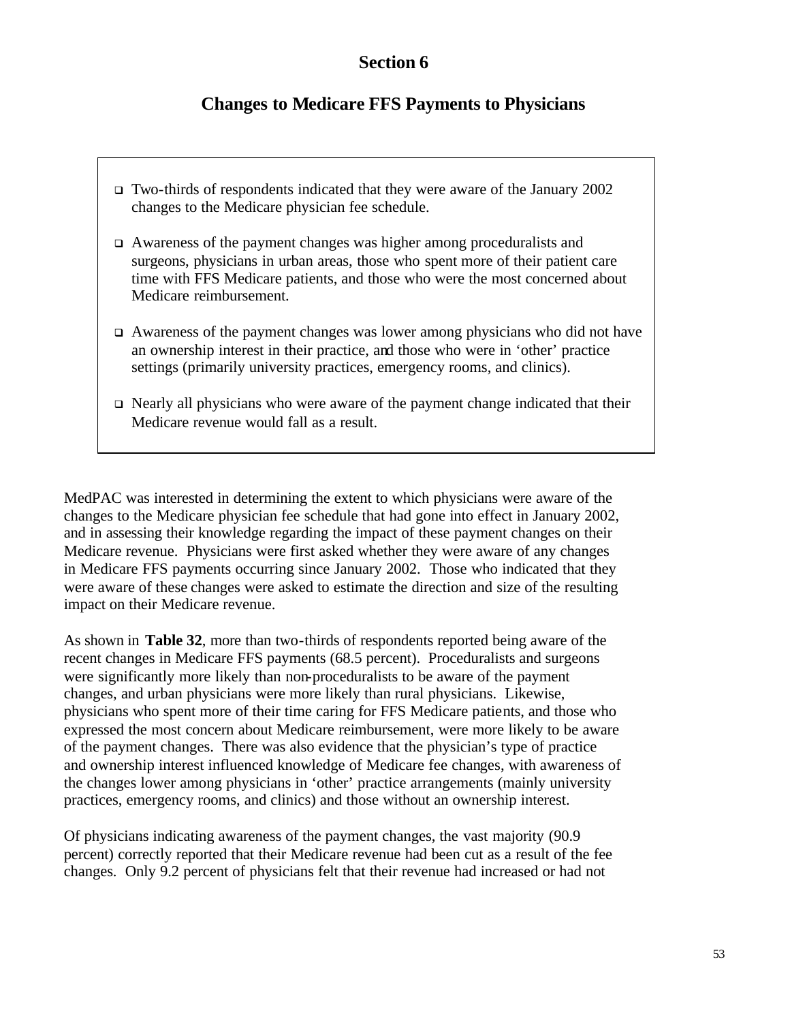## **Section 6**

# **Changes to Medicare FFS Payments to Physicians**

- <sup>q</sup> Two-thirds of respondents indicated that they were aware of the January 2002 changes to the Medicare physician fee schedule.
- $\Box$  Awareness of the payment changes was higher among proceduralists and surgeons, physicians in urban areas, those who spent more of their patient care time with FFS Medicare patients, and those who were the most concerned about Medicare reimbursement.
- $\Box$  Awareness of the payment changes was lower among physicians who did not have an ownership interest in their practice, and those who were in 'other' practice settings (primarily university practices, emergency rooms, and clinics).
- $\Box$  Nearly all physicians who were aware of the payment change indicated that their Medicare revenue would fall as a result.

MedPAC was interested in determining the extent to which physicians were aware of the changes to the Medicare physician fee schedule that had gone into effect in January 2002, and in assessing their knowledge regarding the impact of these payment changes on their Medicare revenue. Physicians were first asked whether they were aware of any changes in Medicare FFS payments occurring since January 2002. Those who indicated that they were aware of these changes were asked to estimate the direction and size of the resulting impact on their Medicare revenue.

As shown in **Table 32**, more than two-thirds of respondents reported being aware of the recent changes in Medicare FFS payments (68.5 percent). Proceduralists and surgeons were significantly more likely than non-proceduralists to be aware of the payment changes, and urban physicians were more likely than rural physicians. Likewise, physicians who spent more of their time caring for FFS Medicare patients, and those who expressed the most concern about Medicare reimbursement, were more likely to be aware of the payment changes. There was also evidence that the physician's type of practice and ownership interest influenced knowledge of Medicare fee changes, with awareness of the changes lower among physicians in 'other' practice arrangements (mainly university practices, emergency rooms, and clinics) and those without an ownership interest.

Of physicians indicating awareness of the payment changes, the vast majority (90.9 percent) correctly reported that their Medicare revenue had been cut as a result of the fee changes. Only 9.2 percent of physicians felt that their revenue had increased or had not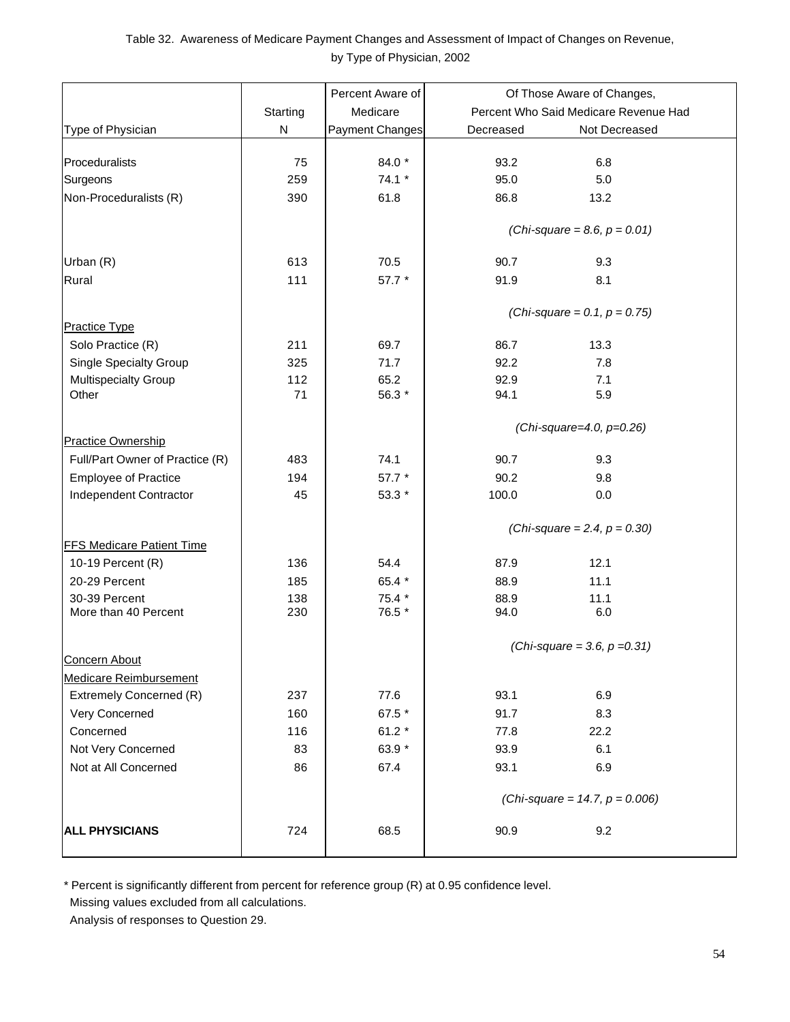#### Table 32. Awareness of Medicare Payment Changes and Assessment of Impact of Changes on Revenue, by Type of Physician, 2002

|                                  |           | Percent Aware of | Of Those Aware of Changes,            |
|----------------------------------|-----------|------------------|---------------------------------------|
|                                  | Starting  | Medicare         | Percent Who Said Medicare Revenue Had |
| Type of Physician                | ${\sf N}$ | Payment Changes  | Not Decreased<br>Decreased            |
|                                  |           |                  |                                       |
| Proceduralists                   | 75        | 84.0 *           | 6.8<br>93.2                           |
| Surgeons                         | 259       | $74.1 *$         | 95.0<br>5.0                           |
| Non-Proceduralists (R)           | 390       | 61.8             | 86.8<br>13.2                          |
|                                  |           |                  |                                       |
|                                  |           |                  | (Chi-square = 8.6, $p = 0.01$ )       |
| Urban (R)                        | 613       | 70.5             | 90.7<br>9.3                           |
| Rural                            | 111       | 57.7 *           | 91.9<br>8.1                           |
|                                  |           |                  |                                       |
|                                  |           |                  | (Chi-square = 0.1, $p = 0.75$ )       |
| <b>Practice Type</b>             |           |                  |                                       |
| Solo Practice (R)                | 211       | 69.7             | 13.3<br>86.7                          |
| <b>Single Specialty Group</b>    | 325       | 71.7             | 92.2<br>7.8                           |
| Multispecialty Group             | 112       | 65.2             | 92.9<br>7.1                           |
| Other                            | 71        | 56.3 *           | 94.1<br>5.9                           |
|                                  |           |                  | (Chi-square=4.0, $p=0.26$ )           |
| Practice Ownership               |           |                  |                                       |
| Full/Part Owner of Practice (R)  | 483       | 74.1             | 90.7<br>9.3                           |
| <b>Employee of Practice</b>      | 194       | 57.7 *           | 90.2<br>9.8                           |
| Independent Contractor           | 45        | 53.3 *           | 100.0<br>0.0                          |
|                                  |           |                  |                                       |
|                                  |           |                  | (Chi-square = 2.4, $p = 0.30$ )       |
| <b>FFS Medicare Patient Time</b> |           |                  |                                       |
| 10-19 Percent $(R)$              | 136       | 54.4             | 87.9<br>12.1                          |
| 20-29 Percent                    | 185       | 65.4 *           | 88.9<br>11.1                          |
| 30-39 Percent                    | 138       | 75.4 *           | 88.9<br>11.1                          |
| More than 40 Percent             | 230       | 76.5 *           | 94.0<br>6.0                           |
|                                  |           |                  | (Chi-square = 3.6, $p = 0.31$ )       |
| <b>Concern About</b>             |           |                  |                                       |
| <b>Medicare Reimbursement</b>    |           |                  |                                       |
| Extremely Concerned (R)          | 237       | 77.6             | 93.1<br>6.9                           |
| Very Concerned                   | 160       | 67.5 *           | 91.7<br>8.3                           |
| Concerned                        | 116       | 61.2 $*$         | 77.8<br>22.2                          |
| Not Very Concerned               | 83        | 63.9 *           | 93.9<br>6.1                           |
| Not at All Concerned             | 86        | 67.4             | 93.1<br>6.9                           |
|                                  |           |                  |                                       |
|                                  |           |                  | (Chi-square = 14.7, $p = 0.006$ )     |
| <b>ALL PHYSICIANS</b>            | 724       | 68.5             | 90.9<br>9.2                           |
|                                  |           |                  |                                       |
|                                  |           |                  |                                       |

\* Percent is significantly different from percent for reference group (R) at 0.95 confidence level.

Missing values excluded from all calculations.

Analysis of responses to Question 29.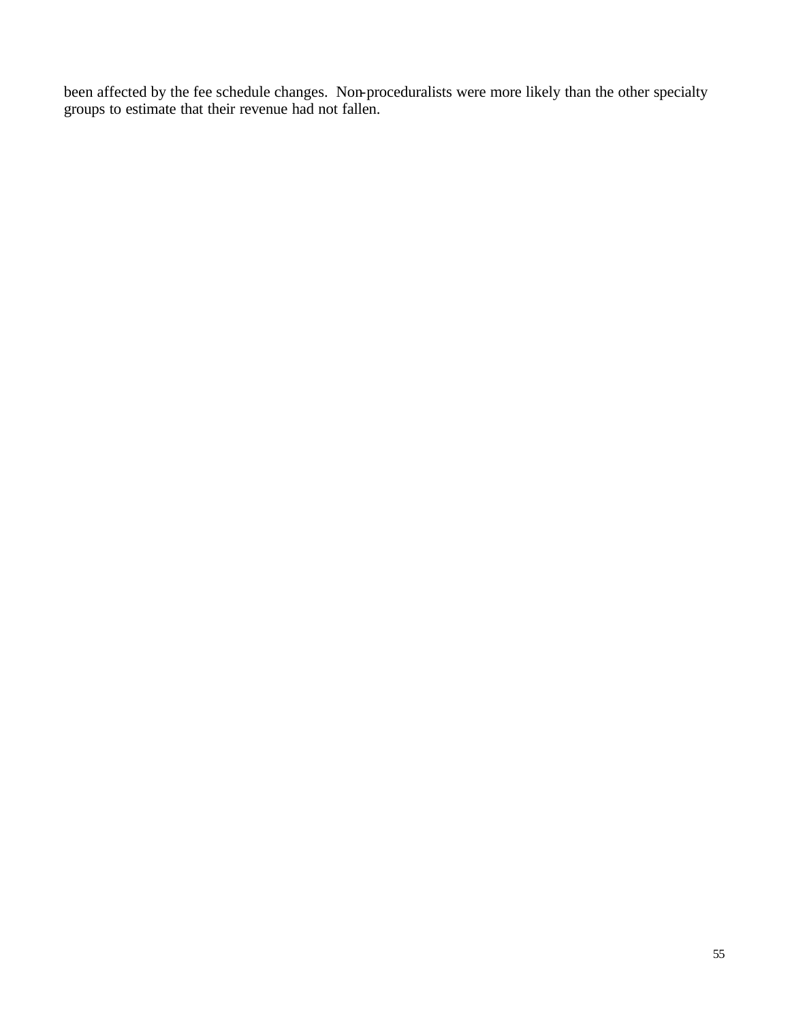been affected by the fee schedule changes. Non-proceduralists were more likely than the other specialty groups to estimate that their revenue had not fallen.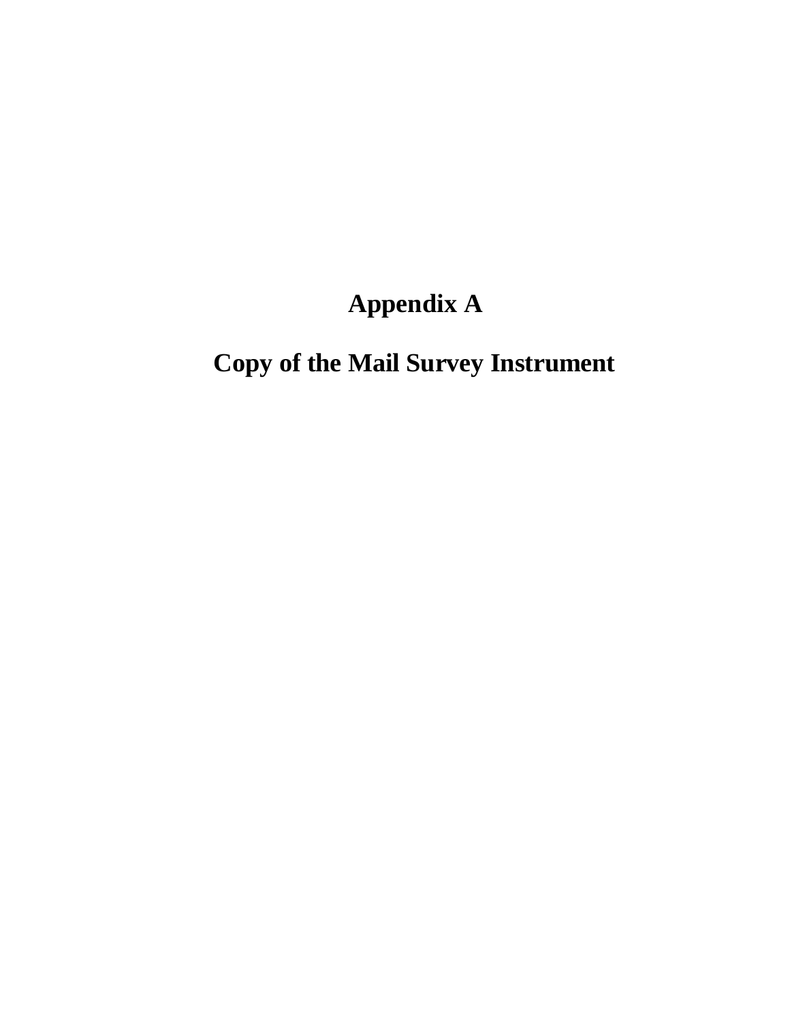# **Appendix A**

# **Copy of the Mail Survey Instrument**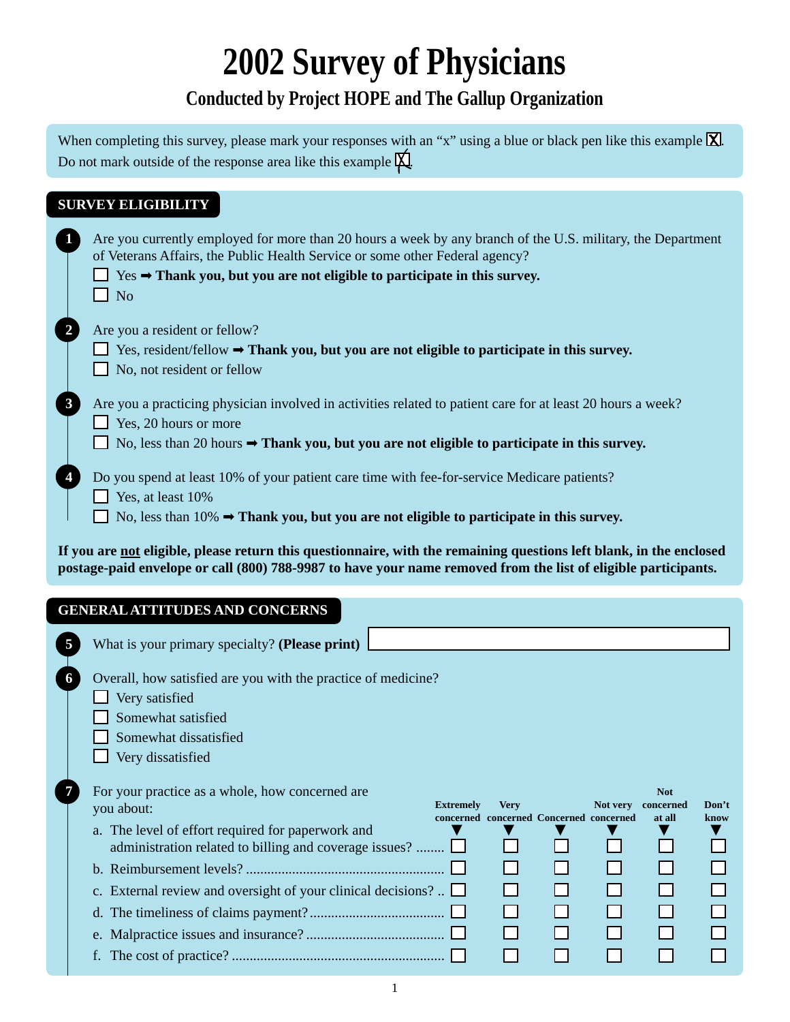# **2002 Survey of Physicians**

# **Conducted by Project HOPE and The Gallup Organization**

When completing this survey, please mark your responses with an "x" using a blue or black pen like this example  $\boxed{\mathsf{X}}$ . Do not mark outside of the response area like this example  $\cancel{\mathsf{X}}$ .

| <b>SURVEY ELIGIBILITY</b>                                                                                                                                                                                                                                                                                                                                                                           |
|-----------------------------------------------------------------------------------------------------------------------------------------------------------------------------------------------------------------------------------------------------------------------------------------------------------------------------------------------------------------------------------------------------|
| Are you currently employed for more than 20 hours a week by any branch of the U.S. military, the Department<br>of Veterans Affairs, the Public Health Service or some other Federal agency?<br>$Yes \rightarrow$ Thank you, but you are not eligible to participate in this survey.<br>$\blacksquare$ No                                                                                            |
| Are you a resident or fellow?<br>Yes, resident/fellow $\rightarrow$ Thank you, but you are not eligible to participate in this survey.<br>No, not resident or fellow                                                                                                                                                                                                                                |
| Are you a practicing physician involved in activities related to patient care for at least 20 hours a week?<br>Yes, 20 hours or more<br>No, less than 20 hours $\rightarrow$ Thank you, but you are not eligible to participate in this survey.                                                                                                                                                     |
| Do you spend at least 10% of your patient care time with fee-for-service Medicare patients?<br>Yes, at least 10%<br>No, less than $10\% \rightarrow$ Thank you, but you are not eligible to participate in this survey.                                                                                                                                                                             |
| If you are not eligible, please return this questionnaire, with the remaining questions left blank, in the enclosed<br>postage-paid envelope or call (800) 788-9987 to have your name removed from the list of eligible participants.                                                                                                                                                               |
|                                                                                                                                                                                                                                                                                                                                                                                                     |
| <b>GENERAL ATTITUDES AND CONCERNS</b><br>What is your primary specialty? (Please print)                                                                                                                                                                                                                                                                                                             |
| Overall, how satisfied are you with the practice of medicine?<br>Very satisfied<br>Somewhat satisfied<br>Somewhat dissatisfied<br>$\Box$ Very dissatisfied                                                                                                                                                                                                                                          |
| For your practice as a whole, how concerned are<br><b>Not</b><br><b>Extremely</b><br><b>Very</b><br>Not very<br>concerned<br>Don't<br>you about:<br>concerned concerned Concerned concerned<br>at all<br>know<br>a. The level of effort required for paperwork and<br>administration related to billing and coverage issues?<br>c. External review and oversight of your clinical decisions? $\Box$ |
| $f_{\star}$                                                                                                                                                                                                                                                                                                                                                                                         |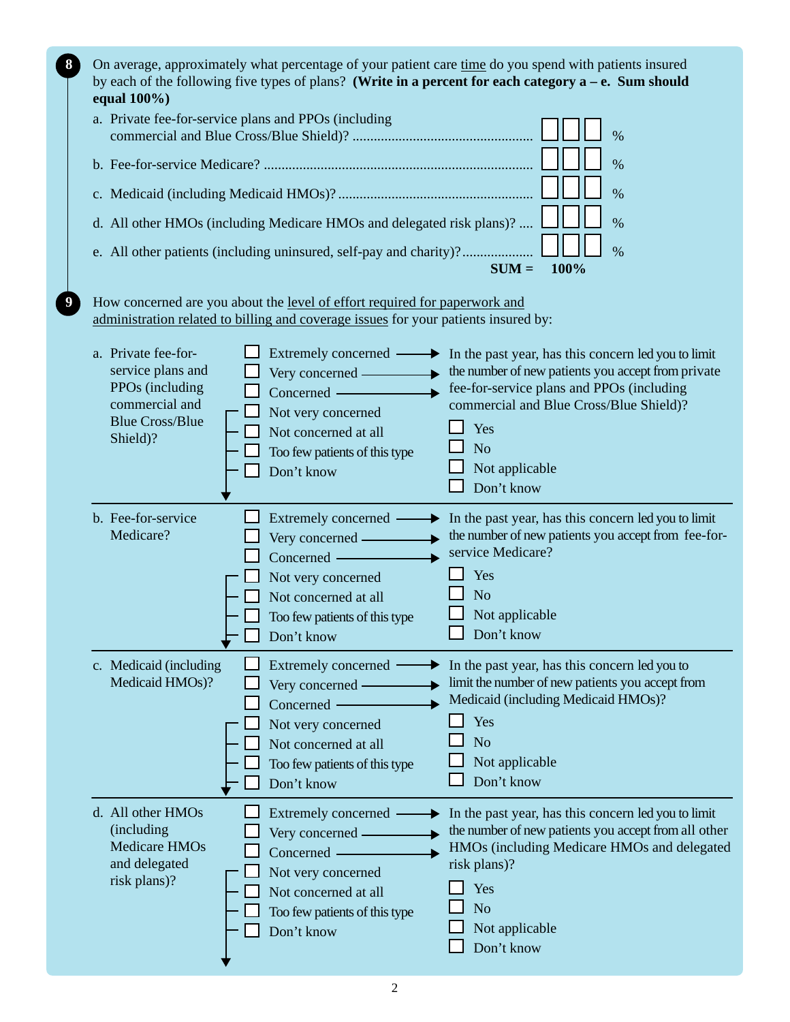| 8 | On average, approximately what percentage of your patient care time do you spend with patients insured<br>by each of the following five types of plans? (Write in a percent for each category $a - e$ . Sum should<br>equal $100\%$ )                                             |                                                                                                                                                                                                                                                            |  |  |  |  |  |
|---|-----------------------------------------------------------------------------------------------------------------------------------------------------------------------------------------------------------------------------------------------------------------------------------|------------------------------------------------------------------------------------------------------------------------------------------------------------------------------------------------------------------------------------------------------------|--|--|--|--|--|
|   | a. Private fee-for-service plans and PPOs (including                                                                                                                                                                                                                              | $\%$                                                                                                                                                                                                                                                       |  |  |  |  |  |
|   |                                                                                                                                                                                                                                                                                   | $\%$                                                                                                                                                                                                                                                       |  |  |  |  |  |
|   |                                                                                                                                                                                                                                                                                   | $\frac{0}{0}$                                                                                                                                                                                                                                              |  |  |  |  |  |
|   | d. All other HMOs (including Medicare HMOs and delegated risk plans)?                                                                                                                                                                                                             | $\frac{0}{0}$                                                                                                                                                                                                                                              |  |  |  |  |  |
|   | e. All other patients (including uninsured, self-pay and charity)?                                                                                                                                                                                                                | $\frac{0}{0}$<br>100%<br>$SUM =$                                                                                                                                                                                                                           |  |  |  |  |  |
|   | How concerned are you about the level of effort required for paperwork and<br>administration related to billing and coverage issues for your patients insured by:                                                                                                                 |                                                                                                                                                                                                                                                            |  |  |  |  |  |
|   | a. Private fee-for-<br>Extremely concerned -<br>▸<br>service plans and<br>Very concerned —<br>PPOs (including<br>Concerned —<br>commercial and<br>Not very concerned<br><b>Blue Cross/Blue</b><br>Not concerned at all<br>Shield)?<br>Too few patients of this type<br>Don't know | In the past year, has this concern led you to limit<br>the number of new patients you accept from private<br>fee-for-service plans and PPOs (including<br>commercial and Blue Cross/Blue Shield)?<br>Yes<br>N <sub>o</sub><br>Not applicable<br>Don't know |  |  |  |  |  |
|   | b. Fee-for-service<br>Extremely concerned -<br>Medicare?<br>Very concerned —<br>Concerned —<br>Not very concerned<br>Not concerned at all<br>Too few patients of this type<br>Don't know                                                                                          | In the past year, has this concern led you to limit<br>the number of new patients you accept from fee-for-<br>service Medicare?<br>Yes<br>N <sub>o</sub><br>Not applicable<br>$\Box$ Don't know                                                            |  |  |  |  |  |
|   | Extremely concerned<br>c. Medicaid (including<br>Medicaid HMOs)?<br>Very concerned —<br>Concerned -<br>Not very concerned<br>Not concerned at all<br>Too few patients of this type<br>Don't know                                                                                  | In the past year, has this concern led you to<br>limit the number of new patients you accept from<br>Medicaid (including Medicaid HMOs)?<br>Yes<br>No<br>Not applicable<br>Don't know                                                                      |  |  |  |  |  |
|   | d. All other HMOs<br>Extremely concerned .<br>(including)<br>Very concerned —<br><b>Medicare HMOs</b><br>Concerned -<br>and delegated<br>Not very concerned<br>risk plans)?<br>Not concerned at all<br>Too few patients of this type<br>Don't know                                | In the past year, has this concern led you to limit<br>the number of new patients you accept from all other<br>HMOs (including Medicare HMOs and delegated<br>risk plans)?<br>Yes<br>N <sub>o</sub><br>Not applicable<br>Don't know                        |  |  |  |  |  |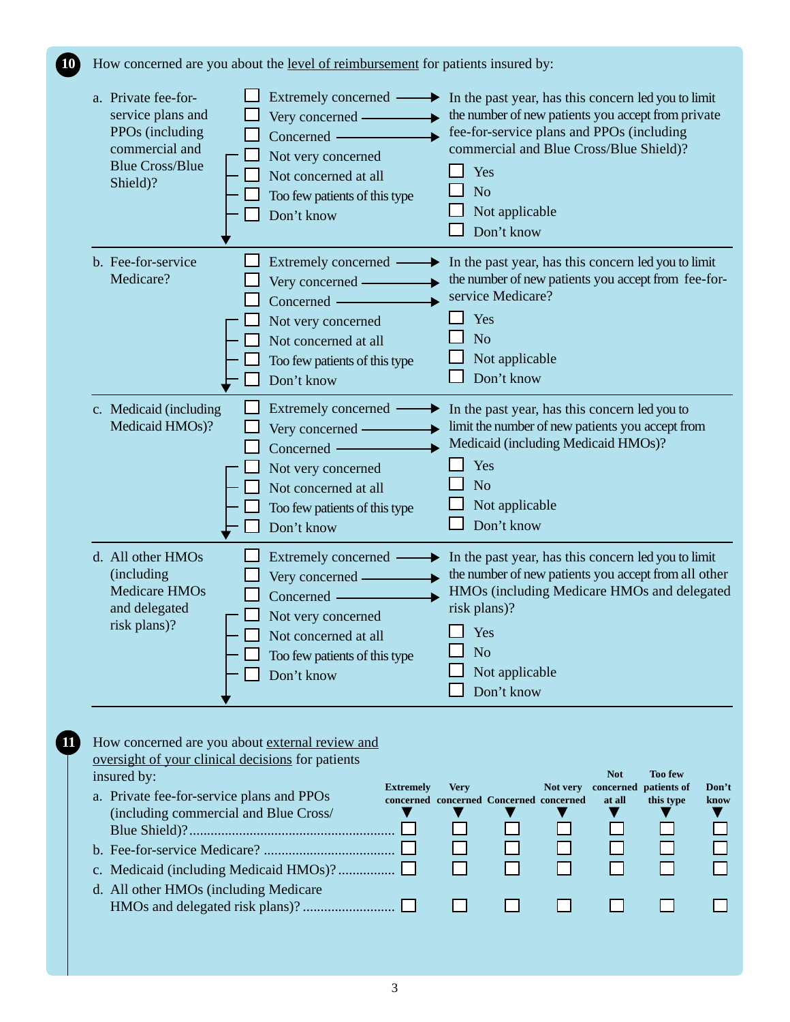**10** How concerned are you about the level of reimbursement for patients insured by:

| a. Private fee-for-<br>service plans and<br>PPOs (including<br>commercial and<br><b>Blue Cross/Blue</b><br>Shield)? | Extremely concerned -<br>Very concerned -<br>Concerned -<br>Not very concerned<br>Not concerned at all<br>Too few patients of this type<br>Don't know | In the past year, has this concern led you to limit<br>▸<br>the number of new patients you accept from private<br>fee-for-service plans and PPOs (including<br>commercial and Blue Cross/Blue Shield)?<br>Yes<br>N <sub>o</sub><br>Not applicable<br>Don't know |
|---------------------------------------------------------------------------------------------------------------------|-------------------------------------------------------------------------------------------------------------------------------------------------------|-----------------------------------------------------------------------------------------------------------------------------------------------------------------------------------------------------------------------------------------------------------------|
| b. Fee-for-service<br>Medicare?                                                                                     | Extremely concerned<br>Very concerned -<br>Concerned -<br>Not very concerned<br>Not concerned at all<br>Too few patients of this type<br>Don't know   | In the past year, has this concern led you to limit<br>the number of new patients you accept from fee-for-<br>service Medicare?<br>Yes<br>N <sub>o</sub><br>Not applicable<br>Don't know                                                                        |
| c. Medicaid (including<br>Medicaid HMOs)?                                                                           | Extremely concerned<br>Very concerned -<br>Concerned -<br>Not very concerned<br>Not concerned at all<br>Too few patients of this type<br>Don't know   | In the past year, has this concern led you to<br>limit the number of new patients you accept from<br>Medicaid (including Medicaid HMOs)?<br>Yes<br>N <sub>o</sub><br>Not applicable<br>Don't know                                                               |
| d. All other HMOs<br>(including<br><b>Medicare HMOs</b><br>and delegated<br>risk plans)?                            | Extremely concerned<br>Very concerned -<br>Concerned —<br>Not very concerned<br>Not concerned at all<br>Too few patients of this type<br>Don't know   | In the past year, has this concern led you to limit<br>the number of new patients you accept from all other<br>HMOs (including Medicare HMOs and delegated<br>risk plans)?<br>Yes<br>N <sub>o</sub><br>Not applicable<br>Don't know                             |

| insured by:                               |                  |             |                                         |          | <b>Not</b> | <b>Too few</b>        |       |
|-------------------------------------------|------------------|-------------|-----------------------------------------|----------|------------|-----------------------|-------|
|                                           | <b>Extremely</b> | <b>Very</b> |                                         | Not very |            | concerned patients of | Don't |
| a. Private fee-for-service plans and PPOs |                  |             | concerned concerned Concerned concerned |          | at all     | this type             | know  |
| (including commercial and Blue Cross/     |                  |             |                                         |          |            |                       |       |
|                                           |                  |             |                                         |          |            |                       |       |
|                                           |                  |             |                                         |          |            |                       |       |
|                                           |                  |             |                                         |          |            |                       |       |
| d. All other HMOs (including Medicare     |                  |             |                                         |          |            |                       |       |
|                                           |                  |             |                                         |          |            |                       |       |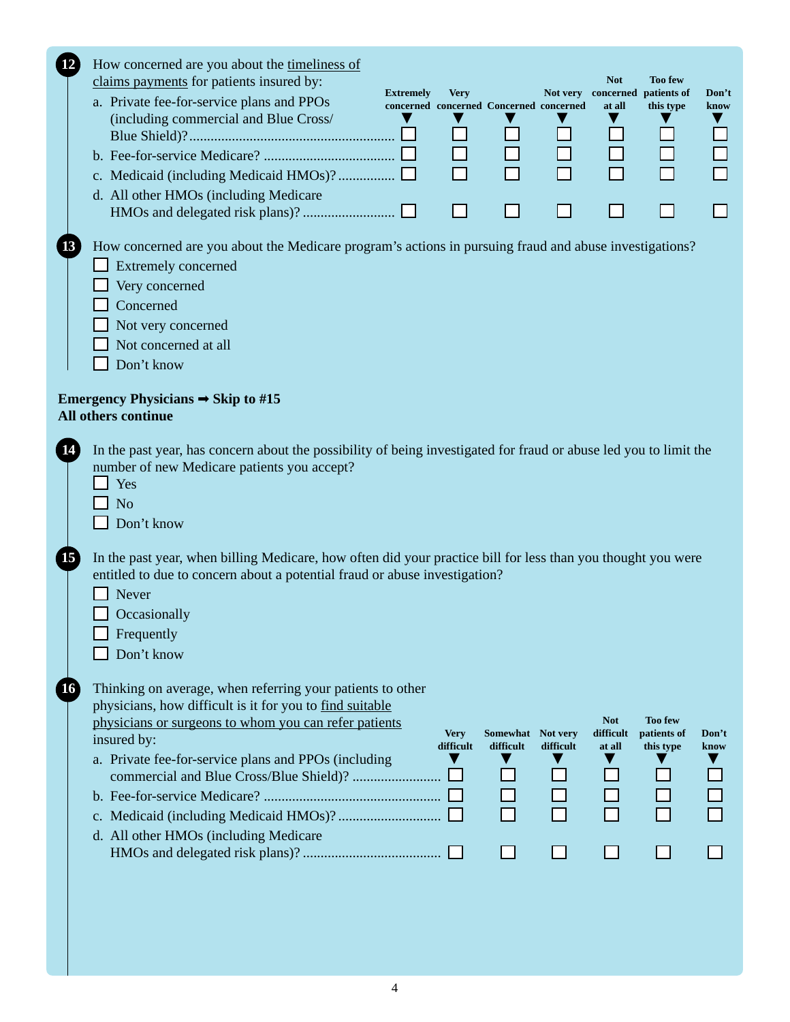| How concerned are you about the timeliness of<br><b>Not</b><br><b>Too few</b><br>claims payments for patients insured by:<br><b>Extremely</b><br><b>Very</b><br>Not very<br>concerned patients of<br>Don't<br>a. Private fee-for-service plans and PPOs<br>concerned concerned Concerned concerned<br>at all<br>this type<br>know<br>(including commercial and Blue Cross/<br>d. All other HMOs (including Medicare                                                            |
|--------------------------------------------------------------------------------------------------------------------------------------------------------------------------------------------------------------------------------------------------------------------------------------------------------------------------------------------------------------------------------------------------------------------------------------------------------------------------------|
| How concerned are you about the Medicare program's actions in pursuing fraud and abuse investigations?<br>Extremely concerned<br>Very concerned<br>Concerned<br>Not very concerned<br>Not concerned at all<br>Don't know                                                                                                                                                                                                                                                       |
| Emergency Physicians $\Rightarrow$ Skip to #15<br>All others continue                                                                                                                                                                                                                                                                                                                                                                                                          |
| In the past year, has concern about the possibility of being investigated for fraud or abuse led you to limit the<br>number of new Medicare patients you accept?<br>Yes<br>N <sub>o</sub><br>Don't know<br>In the past year, when billing Medicare, how often did your practice bill for less than you thought you were<br>entitled to due to concern about a potential fraud or abuse investigation?<br>Never<br>Occasionally<br>Frequently<br>Don't know                     |
| Thinking on average, when referring your patients to other<br>physicians, how difficult is it for you to find suitable<br>physicians or surgeons to whom you can refer patients<br><b>Not</b><br><b>Too few</b><br>difficult<br><b>Very</b><br>Somewhat Not very<br>patients of<br>Don't<br>insured by:<br>difficult<br>difficult<br>difficult<br>at all<br>this type<br>know<br>a. Private fee-for-service plans and PPOs (including<br>d. All other HMOs (including Medicare |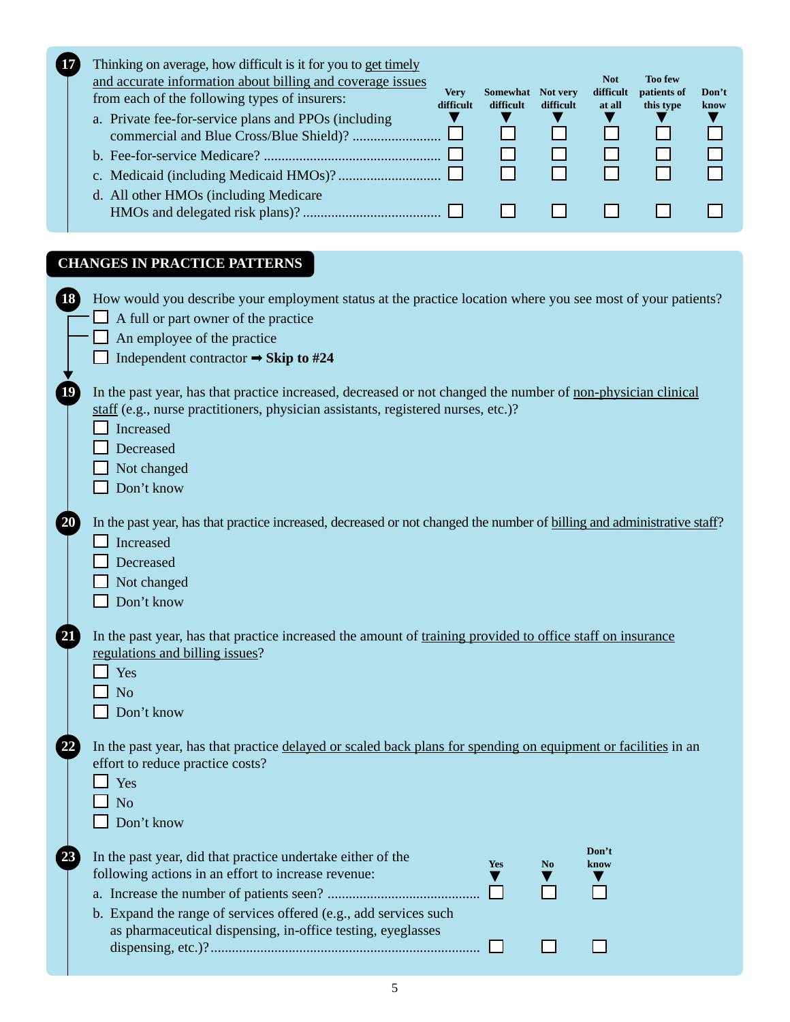|  | <b>IV</b> | Thinking on average, how difficult is it for you to get timely<br>and accurate information about billing and coverage issues<br>from each of the following types of insurers:<br>a. Private fee-for-service plans and PPOs (including<br>d. All other HMOs (including Medicare | <b>Very</b><br>difficult | Somewhat<br>difficult | Not very<br>difficult | <b>Not</b><br>difficult<br>at all | <b>Too few</b><br>patients of<br>this type | Don't<br>know |
|--|-----------|--------------------------------------------------------------------------------------------------------------------------------------------------------------------------------------------------------------------------------------------------------------------------------|--------------------------|-----------------------|-----------------------|-----------------------------------|--------------------------------------------|---------------|
|--|-----------|--------------------------------------------------------------------------------------------------------------------------------------------------------------------------------------------------------------------------------------------------------------------------------|--------------------------|-----------------------|-----------------------|-----------------------------------|--------------------------------------------|---------------|

# **CHANGES IN PRACTICE PATTERNS**

| How would you describe your employment status at the practice location where you see most of your patients?<br>A full or part owner of the practice<br>An employee of the practice<br>Independent contractor $\rightarrow$ Skip to #24                                                                 |
|--------------------------------------------------------------------------------------------------------------------------------------------------------------------------------------------------------------------------------------------------------------------------------------------------------|
| In the past year, has that practice increased, decreased or not changed the number of non-physician clinical<br>staff (e.g., nurse practitioners, physician assistants, registered nurses, etc.)?<br>Increased<br>Decreased<br>Not changed<br>Don't know                                               |
| In the past year, has that practice increased, decreased or not changed the number of billing and administrative staff?<br>Increased<br>Decreased<br>Not changed<br>Don't know                                                                                                                         |
| In the past year, has that practice increased the amount of training provided to office staff on insurance<br>regulations and billing issues?<br>Yes<br>N <sub>o</sub><br>Don't know                                                                                                                   |
| In the past year, has that practice delayed or scaled back plans for spending on equipment or facilities in an<br>effort to reduce practice costs?<br>Yes<br>N <sub>o</sub><br>Don't know                                                                                                              |
| Don't<br>In the past year, did that practice undertake either of the<br><b>Yes</b><br>N <sub>0</sub><br>know<br>following actions in an effort to increase revenue:<br>b. Expand the range of services offered (e.g., add services such<br>as pharmaceutical dispensing, in-office testing, eyeglasses |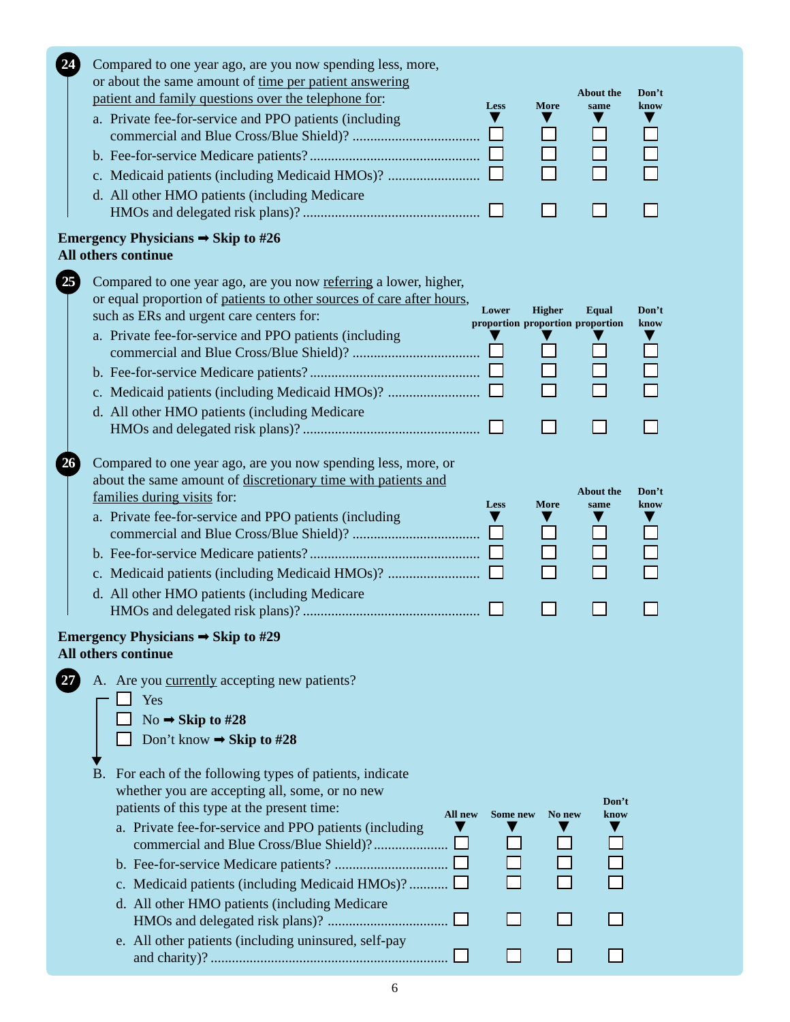|    | Compared to one year ago, are you now spending less, more,<br>or about the same amount of time per patient answering<br>patient and family questions over the telephone for:<br>a. Private fee-for-service and PPO patients (including<br>d. All other HMO patients (including Medicare                                                                                                   | <b>Less</b> | <b>More</b>   | <b>About the</b><br>same                  | Don't<br>know |
|----|-------------------------------------------------------------------------------------------------------------------------------------------------------------------------------------------------------------------------------------------------------------------------------------------------------------------------------------------------------------------------------------------|-------------|---------------|-------------------------------------------|---------------|
|    |                                                                                                                                                                                                                                                                                                                                                                                           |             |               |                                           |               |
|    | Emergency Physicians $\Rightarrow$ Skip to #26<br>All others continue                                                                                                                                                                                                                                                                                                                     |             |               |                                           |               |
| 25 | Compared to one year ago, are you now referring a lower, higher,<br>or equal proportion of patients to other sources of care after hours,<br>such as ERs and urgent care centers for:<br>a. Private fee-for-service and PPO patients (including<br>d. All other HMO patients (including Medicare                                                                                          | Lower       | <b>Higher</b> | Equal<br>proportion proportion proportion | Don't<br>know |
|    |                                                                                                                                                                                                                                                                                                                                                                                           |             |               |                                           |               |
|    | Compared to one year ago, are you now spending less, more, or<br>about the same amount of discretionary time with patients and<br>families during visits for:<br>a. Private fee-for-service and PPO patients (including<br>d. All other HMO patients (including Medicare<br>Emergency Physicians $\rightarrow$ Skip to #29                                                                | Less        | <b>More</b>   | <b>About the</b><br>same                  | Don't<br>know |
|    | All others continue<br>A. Are you currently accepting new patients?<br>Yes<br>No $\rightarrow$ Skip to #28<br>Don't know $\rightarrow$ Skip to #28                                                                                                                                                                                                                                        |             |               |                                           |               |
|    | B. For each of the following types of patients, indicate<br>whether you are accepting all, some, or no new<br>patients of this type at the present time:<br>All new<br>a. Private fee-for-service and PPO patients (including<br>c. Medicaid patients (including Medicaid HMOs)?<br>d. All other HMO patients (including Medicare<br>e. All other patients (including uninsured, self-pay | Some new    | No new        | Don't<br>know                             |               |

6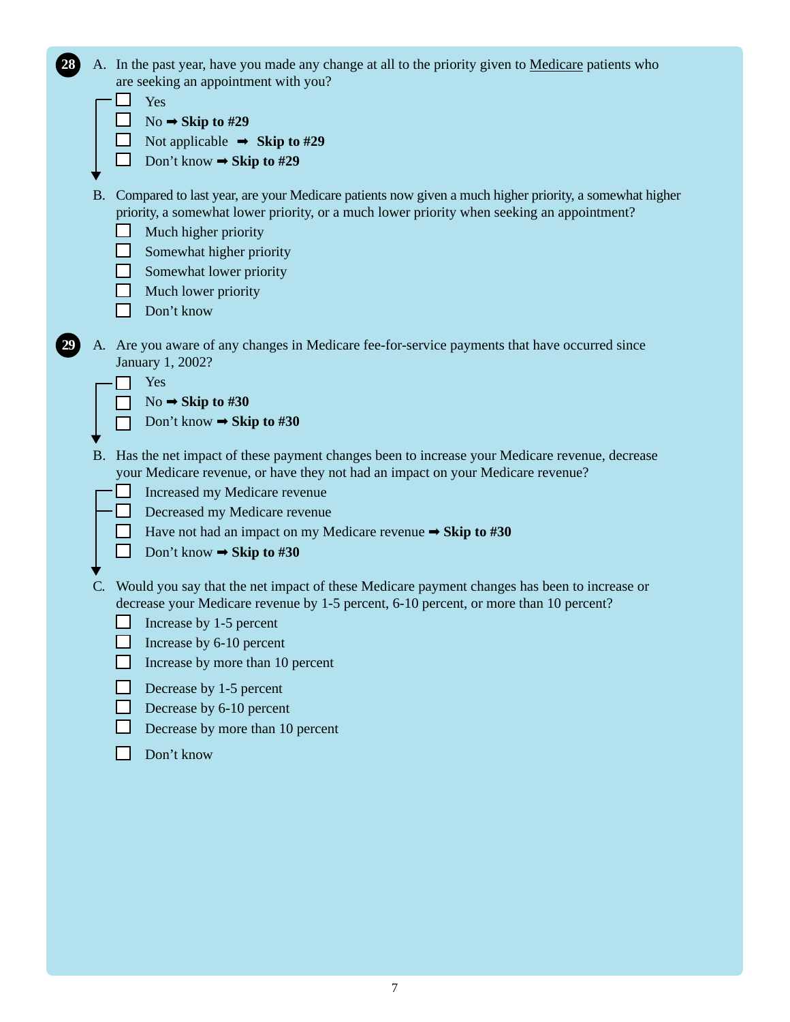| 28 |           | A. In the past year, have you made any change at all to the priority given to Medicare patients who                                                                                                 |
|----|-----------|-----------------------------------------------------------------------------------------------------------------------------------------------------------------------------------------------------|
|    |           | are seeking an appointment with you?                                                                                                                                                                |
|    |           | Yes                                                                                                                                                                                                 |
|    |           | No $\rightarrow$ Skip to #29                                                                                                                                                                        |
|    |           | Not applicable $\Rightarrow$ Skip to #29                                                                                                                                                            |
|    |           | Don't know $\rightarrow$ Skip to #29                                                                                                                                                                |
|    | <b>B.</b> | Compared to last year, are your Medicare patients now given a much higher priority, a somewhat higher<br>priority, a somewhat lower priority, or a much lower priority when seeking an appointment? |
|    |           | Much higher priority                                                                                                                                                                                |
|    |           | Somewhat higher priority                                                                                                                                                                            |
|    |           | Somewhat lower priority                                                                                                                                                                             |
|    |           | Much lower priority                                                                                                                                                                                 |
|    |           | Don't know                                                                                                                                                                                          |
|    |           | A. Are you aware of any changes in Medicare fee-for-service payments that have occurred since<br>January 1, 2002?                                                                                   |
|    |           | Yes                                                                                                                                                                                                 |
|    |           | No $\rightarrow$ Skip to #30                                                                                                                                                                        |
|    |           | Don't know $\rightarrow$ Skip to #30                                                                                                                                                                |
|    | <b>B.</b> | Has the net impact of these payment changes been to increase your Medicare revenue, decrease<br>your Medicare revenue, or have they not had an impact on your Medicare revenue?                     |
|    |           | Increased my Medicare revenue                                                                                                                                                                       |
|    |           | Decreased my Medicare revenue                                                                                                                                                                       |
|    |           | <b>Example 1</b> Have not had an impact on my Medicare revenue $\Rightarrow$ Skip to #30                                                                                                            |
|    |           | Don't know $\rightarrow$ Skip to #30                                                                                                                                                                |
|    |           |                                                                                                                                                                                                     |
|    |           | Would you say that the net impact of these Medicare payment changes has been to increase or                                                                                                         |
|    |           | decrease your Medicare revenue by 1-5 percent, 6-10 percent, or more than 10 percent?                                                                                                               |
|    |           | $\Box$ Increase by 1-5 percent                                                                                                                                                                      |
|    |           | Increase by 6-10 percent                                                                                                                                                                            |
|    |           | Increase by more than 10 percent                                                                                                                                                                    |
|    |           | Decrease by 1-5 percent                                                                                                                                                                             |
|    |           | Decrease by 6-10 percent                                                                                                                                                                            |
|    |           | Decrease by more than 10 percent                                                                                                                                                                    |
|    |           | Don't know                                                                                                                                                                                          |
|    |           |                                                                                                                                                                                                     |
|    |           |                                                                                                                                                                                                     |